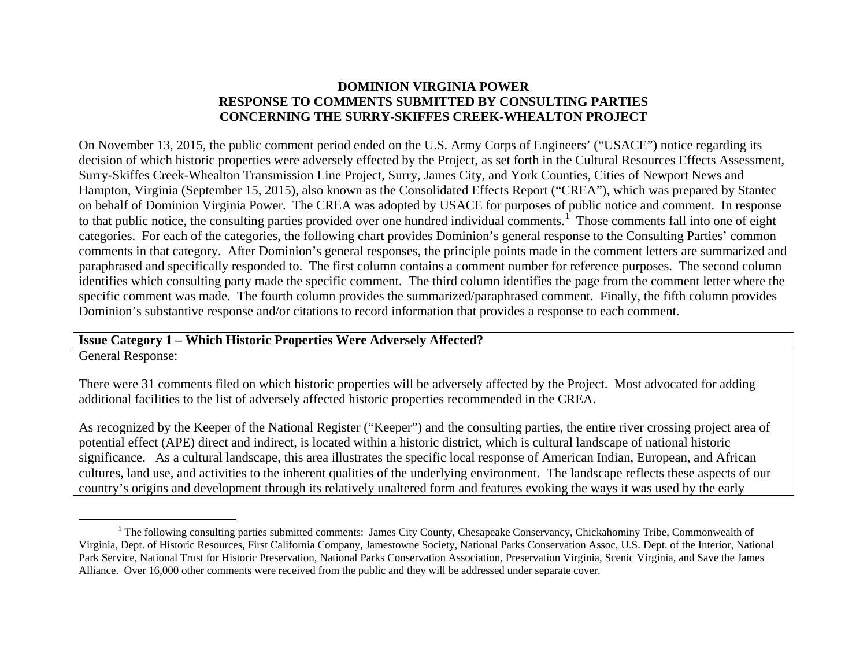# <span id="page-0-0"></span>**DOMINION VIRGINIA POWER RESPONSE TO COMMENTS SUBMITTED BY CONSULTING PARTIES CONCERNING THE SURRY-SKIFFES CREEK-WHEALTON PROJECT**

On November 13, 2015, the public comment period ended on the U.S. Army Corps of Engineers' ("USACE") notice regarding its decision of which historic properties were adversely effected by the Project, as set forth in the Cultural Resources Effects Assessment, Surry-Skiffes Creek-Whealton Transmission Line Project, Surry, James City, and York Counties, Cities of Newport News and Hampton, Virginia (September 15, 2015), also known as the Consolidated Effects Report ("CREA"), which was prepared by Stantec on behalf of Dominion Virginia Power. The CREA was adopted by USACE for purposes of public notice and comment. In response to that public notice, the consulting parties provided over one hundred individual comments.<sup>[1](#page-0-0)</sup> Those comments fall into one of eight categories. For each of the categories, the following chart provides Dominion's general response to the Consulting Parties' common comments in that category. After Dominion's general responses, the principle points made in the comment letters are summarized and paraphrased and specifically responded to. The first column contains a comment number for reference purposes. The second column identifies which consulting party made the specific comment. The third column identifies the page from the comment letter where the specific comment was made. The fourth column provides the summarized/paraphrased comment. Finally, the fifth column provides Dominion's substantive response and/or citations to record information that provides a response to each comment.

#### **Issue Category 1 – Which Historic Properties Were Adversely Affected?**

General Response:

There were 31 comments filed on which historic properties will be adversely affected by the Project. Most advocated for adding additional facilities to the list of adversely affected historic properties recommended in the CREA.

As recognized by the Keeper of the National Register ("Keeper") and the consulting parties, the entire river crossing project area of potential effect (APE) direct and indirect, is located within a historic district, which is cultural landscape of national historic significance. As a cultural landscape, this area illustrates the specific local response of American Indian, European, and African cultures, land use, and activities to the inherent qualities of the underlying environment. The landscape reflects these aspects of our country's origins and development through its relatively unaltered form and features evoking the ways it was used by the early

 $<sup>1</sup>$  The following consulting parties submitted comments: James City County, Chesapeake Conservancy, Chickahominy Tribe, Commonwealth of</sup> Virginia, Dept. of Historic Resources, First California Company, Jamestowne Society, National Parks Conservation Assoc, U.S. Dept. of the Interior, National Park Service, National Trust for Historic Preservation, National Parks Conservation Association, Preservation Virginia, Scenic Virginia, and Save the James Alliance. Over 16,000 other comments were received from the public and they will be addressed under separate cover.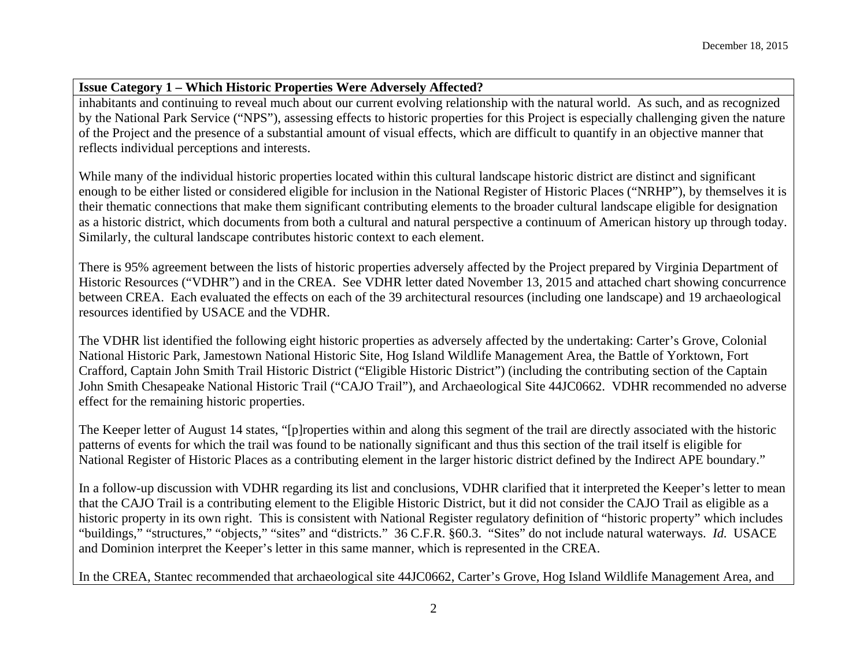# **Issue Category 1 – Which Historic Properties Were Adversely Affected?**

inhabitants and continuing to reveal much about our current evolving relationship with the natural world. As such, and as recognized by the National Park Service ("NPS"), assessing effects to historic properties for this Project is especially challenging given the nature of the Project and the presence of a substantial amount of visual effects, which are difficult to quantify in an objective manner that reflects individual perceptions and interests.

While many of the individual historic properties located within this cultural landscape historic district are distinct and significant enough to be either listed or considered eligible for inclusion in the National Register of Historic Places ("NRHP"), by themselves it is their thematic connections that make them significant contributing elements to the broader cultural landscape eligible for designation as a historic district, which documents from both a cultural and natural perspective a continuum of American history up through today. Similarly, the cultural landscape contributes historic context to each element.

There is 95% agreement between the lists of historic properties adversely affected by the Project prepared by Virginia Department of Historic Resources ("VDHR") and in the CREA. See VDHR letter dated November 13, 2015 and attached chart showing concurrence between CREA. Each evaluated the effects on each of the 39 architectural resources (including one landscape) and 19 archaeological resources identified by USACE and the VDHR.

The VDHR list identified the following eight historic properties as adversely affected by the undertaking: Carter's Grove, Colonial National Historic Park, Jamestown National Historic Site, Hog Island Wildlife Management Area, the Battle of Yorktown, Fort Crafford, Captain John Smith Trail Historic District ("Eligible Historic District") (including the contributing section of the Captain John Smith Chesapeake National Historic Trail ("CAJO Trail"), and Archaeological Site 44JC0662. VDHR recommended no adverse effect for the remaining historic properties.

The Keeper letter of August 14 states, "[p]roperties within and along this segment of the trail are directly associated with the historic patterns of events for which the trail was found to be nationally significant and thus this section of the trail itself is eligible for National Register of Historic Places as a contributing element in the larger historic district defined by the Indirect APE boundary."

In a follow-up discussion with VDHR regarding its list and conclusions, VDHR clarified that it interpreted the Keeper's letter to mean that the CAJO Trail is a contributing element to the Eligible Historic District, but it did not consider the CAJO Trail as eligible as a historic property in its own right. This is consistent with National Register regulatory definition of "historic property" which includes "buildings," "structures," "objects," "sites" and "districts." 36 C.F.R. §60.3. "Sites" do not include natural waterways. *Id.* USACE and Dominion interpret the Keeper's letter in this same manner, which is represented in the CREA.

In the CREA, Stantec recommended that archaeological site 44JC0662, Carter's Grove, Hog Island Wildlife Management Area, and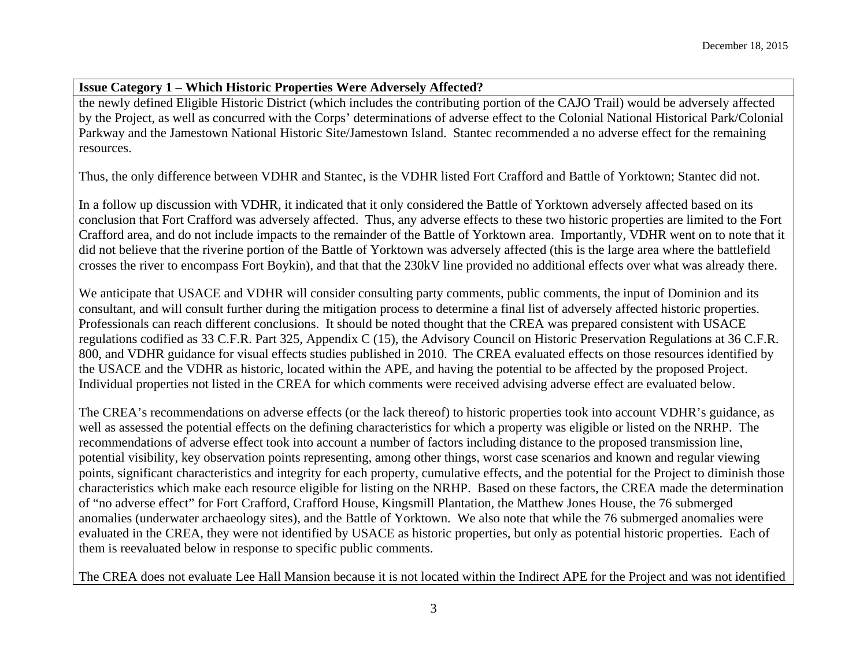## **Issue Category 1 – Which Historic Properties Were Adversely Affected?**

the newly defined Eligible Historic District (which includes the contributing portion of the CAJO Trail) would be adversely affected by the Project, as well as concurred with the Corps' determinations of adverse effect to the Colonial National Historical Park/Colonial Parkway and the Jamestown National Historic Site/Jamestown Island. Stantec recommended a no adverse effect for the remaining resources.

Thus, the only difference between VDHR and Stantec, is the VDHR listed Fort Crafford and Battle of Yorktown; Stantec did not.

In a follow up discussion with VDHR, it indicated that it only considered the Battle of Yorktown adversely affected based on its conclusion that Fort Crafford was adversely affected. Thus, any adverse effects to these two historic properties are limited to the Fort Crafford area, and do not include impacts to the remainder of the Battle of Yorktown area. Importantly, VDHR went on to note that it did not believe that the riverine portion of the Battle of Yorktown was adversely affected (this is the large area where the battlefield crosses the river to encompass Fort Boykin), and that that the 230kV line provided no additional effects over what was already there.

We anticipate that USACE and VDHR will consider consulting party comments, public comments, the input of Dominion and its consultant, and will consult further during the mitigation process to determine a final list of adversely affected historic properties. Professionals can reach different conclusions. It should be noted thought that the CREA was prepared consistent with USACE regulations codified as 33 C.F.R. Part 325, Appendix C (15), the Advisory Council on Historic Preservation Regulations at 36 C.F.R. 800, and VDHR guidance for visual effects studies published in 2010. The CREA evaluated effects on those resources identified by the USACE and the VDHR as historic, located within the APE, and having the potential to be affected by the proposed Project. Individual properties not listed in the CREA for which comments were received advising adverse effect are evaluated below.

The CREA's recommendations on adverse effects (or the lack thereof) to historic properties took into account VDHR's guidance, as well as assessed the potential effects on the defining characteristics for which a property was eligible or listed on the NRHP. The recommendations of adverse effect took into account a number of factors including distance to the proposed transmission line, potential visibility, key observation points representing, among other things, worst case scenarios and known and regular viewing points, significant characteristics and integrity for each property, cumulative effects, and the potential for the Project to diminish those characteristics which make each resource eligible for listing on the NRHP. Based on these factors, the CREA made the determination of "no adverse effect" for Fort Crafford, Crafford House, Kingsmill Plantation, the Matthew Jones House, the 76 submerged anomalies (underwater archaeology sites), and the Battle of Yorktown. We also note that while the 76 submerged anomalies were evaluated in the CREA, they were not identified by USACE as historic properties, but only as potential historic properties. Each of them is reevaluated below in response to specific public comments.

The CREA does not evaluate Lee Hall Mansion because it is not located within the Indirect APE for the Project and was not identified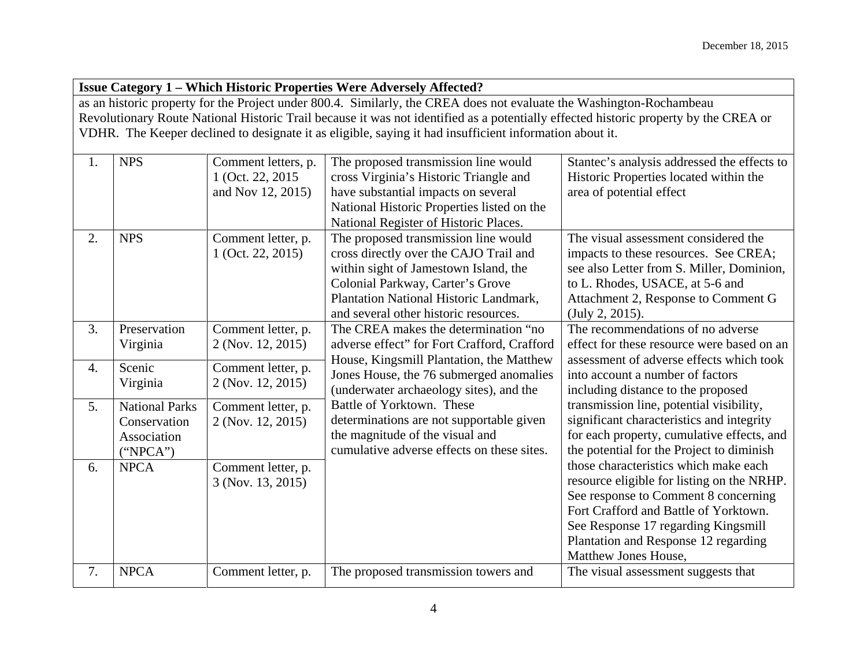|                  | <b>Issue Category 1 - Which Historic Properties Were Adversely Affected?</b> |                                                               |                                                                                                                                                                                                                                                                                                                                                                         |                                                                                                                                                                                                                                                                             |  |
|------------------|------------------------------------------------------------------------------|---------------------------------------------------------------|-------------------------------------------------------------------------------------------------------------------------------------------------------------------------------------------------------------------------------------------------------------------------------------------------------------------------------------------------------------------------|-----------------------------------------------------------------------------------------------------------------------------------------------------------------------------------------------------------------------------------------------------------------------------|--|
|                  |                                                                              |                                                               | as an historic property for the Project under 800.4. Similarly, the CREA does not evaluate the Washington-Rochambeau<br>Revolutionary Route National Historic Trail because it was not identified as a potentially effected historic property by the CREA or<br>VDHR. The Keeper declined to designate it as eligible, saying it had insufficient information about it. |                                                                                                                                                                                                                                                                             |  |
| 1.               | <b>NPS</b>                                                                   | Comment letters, p.<br>1 (Oct. 22, 2015)<br>and Nov 12, 2015) | The proposed transmission line would<br>cross Virginia's Historic Triangle and<br>have substantial impacts on several<br>National Historic Properties listed on the<br>National Register of Historic Places.                                                                                                                                                            | Stantec's analysis addressed the effects to<br>Historic Properties located within the<br>area of potential effect                                                                                                                                                           |  |
| 2.               | <b>NPS</b>                                                                   | Comment letter, p.<br>1 (Oct. 22, 2015)                       | The proposed transmission line would<br>cross directly over the CAJO Trail and<br>within sight of Jamestown Island, the<br>Colonial Parkway, Carter's Grove<br>Plantation National Historic Landmark,<br>and several other historic resources.                                                                                                                          | The visual assessment considered the<br>impacts to these resources. See CREA;<br>see also Letter from S. Miller, Dominion,<br>to L. Rhodes, USACE, at 5-6 and<br>Attachment 2, Response to Comment G<br>(July 2, 2015).                                                     |  |
| $\overline{3}$ . | Preservation<br>Virginia                                                     | Comment letter, p.<br>2 (Nov. 12, 2015)                       | The CREA makes the determination "no<br>adverse effect" for Fort Crafford, Crafford                                                                                                                                                                                                                                                                                     | The recommendations of no adverse<br>effect for these resource were based on an                                                                                                                                                                                             |  |
| 4.               | Scenic<br>Virginia                                                           | Comment letter, p.<br>2 (Nov. 12, 2015)                       | House, Kingsmill Plantation, the Matthew<br>Jones House, the 76 submerged anomalies<br>(underwater archaeology sites), and the                                                                                                                                                                                                                                          | assessment of adverse effects which took<br>into account a number of factors<br>including distance to the proposed                                                                                                                                                          |  |
| 5.               | <b>National Parks</b><br>Conservation<br>Association<br>("NPCA")             | Comment letter, p.<br>2 (Nov. 12, 2015)                       | Battle of Yorktown. These<br>determinations are not supportable given<br>the magnitude of the visual and<br>cumulative adverse effects on these sites.                                                                                                                                                                                                                  | transmission line, potential visibility,<br>significant characteristics and integrity<br>for each property, cumulative effects, and<br>the potential for the Project to diminish                                                                                            |  |
| 6.               | <b>NPCA</b>                                                                  | Comment letter, p.<br>3 (Nov. 13, 2015)                       |                                                                                                                                                                                                                                                                                                                                                                         | those characteristics which make each<br>resource eligible for listing on the NRHP.<br>See response to Comment 8 concerning<br>Fort Crafford and Battle of Yorktown.<br>See Response 17 regarding Kingsmill<br>Plantation and Response 12 regarding<br>Matthew Jones House, |  |
| 7.               | <b>NPCA</b>                                                                  | Comment letter, p.                                            | The proposed transmission towers and                                                                                                                                                                                                                                                                                                                                    | The visual assessment suggests that                                                                                                                                                                                                                                         |  |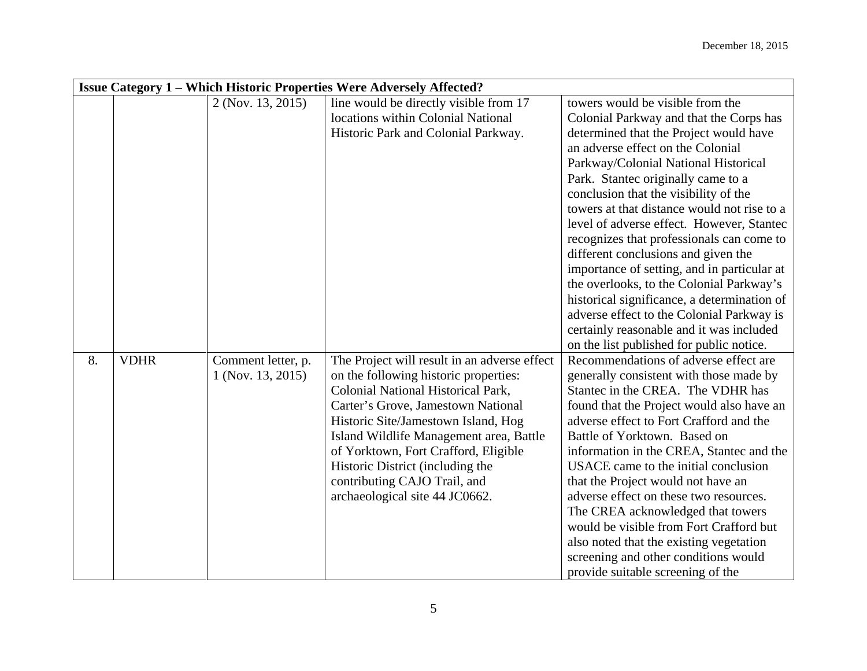|    | <b>Issue Category 1 - Which Historic Properties Were Adversely Affected?</b> |                    |                                              |                                             |  |
|----|------------------------------------------------------------------------------|--------------------|----------------------------------------------|---------------------------------------------|--|
|    |                                                                              | 2 (Nov. 13, 2015)  | line would be directly visible from 17       | towers would be visible from the            |  |
|    |                                                                              |                    | locations within Colonial National           | Colonial Parkway and that the Corps has     |  |
|    |                                                                              |                    | Historic Park and Colonial Parkway.          | determined that the Project would have      |  |
|    |                                                                              |                    |                                              | an adverse effect on the Colonial           |  |
|    |                                                                              |                    |                                              | Parkway/Colonial National Historical        |  |
|    |                                                                              |                    |                                              | Park. Stantec originally came to a          |  |
|    |                                                                              |                    |                                              | conclusion that the visibility of the       |  |
|    |                                                                              |                    |                                              | towers at that distance would not rise to a |  |
|    |                                                                              |                    |                                              | level of adverse effect. However, Stantec   |  |
|    |                                                                              |                    |                                              | recognizes that professionals can come to   |  |
|    |                                                                              |                    |                                              | different conclusions and given the         |  |
|    |                                                                              |                    |                                              | importance of setting, and in particular at |  |
|    |                                                                              |                    |                                              | the overlooks, to the Colonial Parkway's    |  |
|    |                                                                              |                    |                                              | historical significance, a determination of |  |
|    |                                                                              |                    |                                              | adverse effect to the Colonial Parkway is   |  |
|    |                                                                              |                    |                                              | certainly reasonable and it was included    |  |
|    |                                                                              |                    |                                              | on the list published for public notice.    |  |
| 8. | <b>VDHR</b>                                                                  | Comment letter, p. | The Project will result in an adverse effect | Recommendations of adverse effect are       |  |
|    |                                                                              | 1 (Nov. 13, 2015)  | on the following historic properties:        | generally consistent with those made by     |  |
|    |                                                                              |                    | Colonial National Historical Park,           | Stantec in the CREA. The VDHR has           |  |
|    |                                                                              |                    | Carter's Grove, Jamestown National           | found that the Project would also have an   |  |
|    |                                                                              |                    | Historic Site/Jamestown Island, Hog          | adverse effect to Fort Crafford and the     |  |
|    |                                                                              |                    | Island Wildlife Management area, Battle      | Battle of Yorktown. Based on                |  |
|    |                                                                              |                    | of Yorktown, Fort Crafford, Eligible         | information in the CREA, Stantec and the    |  |
|    |                                                                              |                    | Historic District (including the             | USACE came to the initial conclusion        |  |
|    |                                                                              |                    | contributing CAJO Trail, and                 | that the Project would not have an          |  |
|    |                                                                              |                    | archaeological site 44 JC0662.               | adverse effect on these two resources.      |  |
|    |                                                                              |                    |                                              | The CREA acknowledged that towers           |  |
|    |                                                                              |                    |                                              | would be visible from Fort Crafford but     |  |
|    |                                                                              |                    |                                              | also noted that the existing vegetation     |  |
|    |                                                                              |                    |                                              | screening and other conditions would        |  |
|    |                                                                              |                    |                                              | provide suitable screening of the           |  |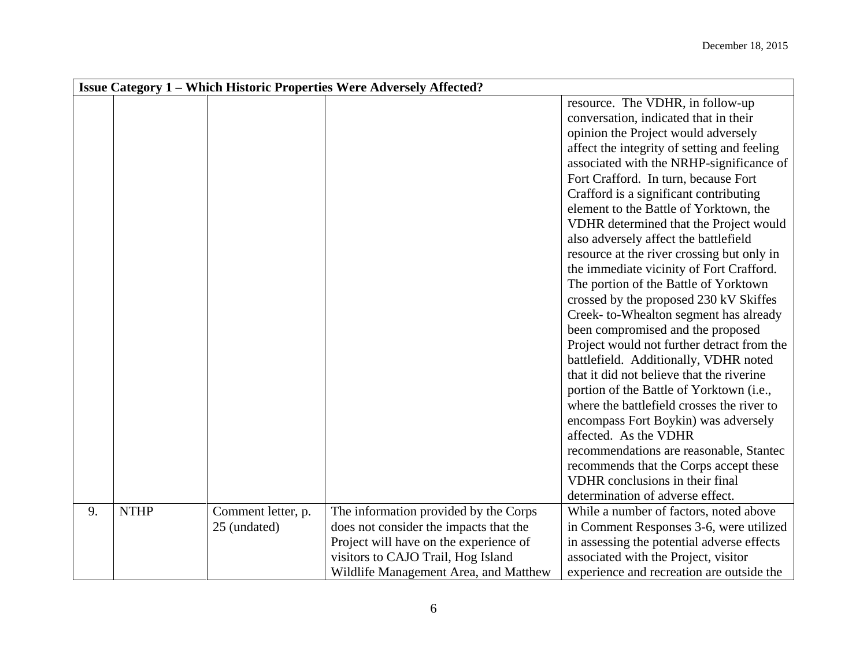|    | <b>Issue Category 1 – Which Historic Properties Were Adversely Affected?</b> |                    |                                        |                                             |  |
|----|------------------------------------------------------------------------------|--------------------|----------------------------------------|---------------------------------------------|--|
|    |                                                                              |                    |                                        | resource. The VDHR, in follow-up            |  |
|    |                                                                              |                    |                                        | conversation, indicated that in their       |  |
|    |                                                                              |                    |                                        | opinion the Project would adversely         |  |
|    |                                                                              |                    |                                        | affect the integrity of setting and feeling |  |
|    |                                                                              |                    |                                        | associated with the NRHP-significance of    |  |
|    |                                                                              |                    |                                        | Fort Crafford. In turn, because Fort        |  |
|    |                                                                              |                    |                                        | Crafford is a significant contributing      |  |
|    |                                                                              |                    |                                        | element to the Battle of Yorktown, the      |  |
|    |                                                                              |                    |                                        | VDHR determined that the Project would      |  |
|    |                                                                              |                    |                                        | also adversely affect the battlefield       |  |
|    |                                                                              |                    |                                        | resource at the river crossing but only in  |  |
|    |                                                                              |                    |                                        | the immediate vicinity of Fort Crafford.    |  |
|    |                                                                              |                    |                                        | The portion of the Battle of Yorktown       |  |
|    |                                                                              |                    |                                        | crossed by the proposed 230 kV Skiffes      |  |
|    |                                                                              |                    |                                        | Creek- to-Whealton segment has already      |  |
|    |                                                                              |                    |                                        | been compromised and the proposed           |  |
|    |                                                                              |                    |                                        | Project would not further detract from the  |  |
|    |                                                                              |                    |                                        | battlefield. Additionally, VDHR noted       |  |
|    |                                                                              |                    |                                        | that it did not believe that the riverine   |  |
|    |                                                                              |                    |                                        | portion of the Battle of Yorktown (i.e.,    |  |
|    |                                                                              |                    |                                        | where the battlefield crosses the river to  |  |
|    |                                                                              |                    |                                        | encompass Fort Boykin) was adversely        |  |
|    |                                                                              |                    |                                        | affected. As the VDHR                       |  |
|    |                                                                              |                    |                                        | recommendations are reasonable, Stantec     |  |
|    |                                                                              |                    |                                        | recommends that the Corps accept these      |  |
|    |                                                                              |                    |                                        | VDHR conclusions in their final             |  |
|    |                                                                              |                    |                                        | determination of adverse effect.            |  |
| 9. | <b>NTHP</b>                                                                  | Comment letter, p. | The information provided by the Corps  | While a number of factors, noted above      |  |
|    |                                                                              | 25 (undated)       | does not consider the impacts that the | in Comment Responses 3-6, were utilized     |  |
|    |                                                                              |                    | Project will have on the experience of | in assessing the potential adverse effects  |  |
|    |                                                                              |                    | visitors to CAJO Trail, Hog Island     | associated with the Project, visitor        |  |
|    |                                                                              |                    | Wildlife Management Area, and Matthew  | experience and recreation are outside the   |  |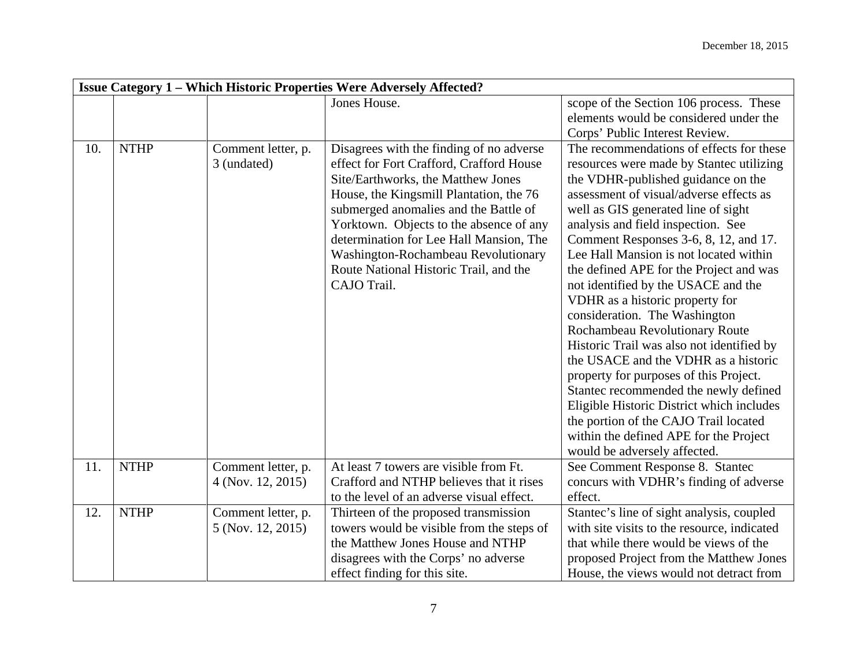|     |             |                                         | <b>Issue Category 1 – Which Historic Properties Were Adversely Affected?</b>                                                                                                                                                                                                                                                                                                                         |                                                                                                                                                                                                                                                                                                                                                                                                                                                                                                                                                                                                                                                                                                                                                                                                                                                                       |
|-----|-------------|-----------------------------------------|------------------------------------------------------------------------------------------------------------------------------------------------------------------------------------------------------------------------------------------------------------------------------------------------------------------------------------------------------------------------------------------------------|-----------------------------------------------------------------------------------------------------------------------------------------------------------------------------------------------------------------------------------------------------------------------------------------------------------------------------------------------------------------------------------------------------------------------------------------------------------------------------------------------------------------------------------------------------------------------------------------------------------------------------------------------------------------------------------------------------------------------------------------------------------------------------------------------------------------------------------------------------------------------|
|     |             |                                         | Jones House.                                                                                                                                                                                                                                                                                                                                                                                         | scope of the Section 106 process. These<br>elements would be considered under the<br>Corps' Public Interest Review.                                                                                                                                                                                                                                                                                                                                                                                                                                                                                                                                                                                                                                                                                                                                                   |
| 10. | <b>NTHP</b> | Comment letter, p.<br>3 (undated)       | Disagrees with the finding of no adverse<br>effect for Fort Crafford, Crafford House<br>Site/Earthworks, the Matthew Jones<br>House, the Kingsmill Plantation, the 76<br>submerged anomalies and the Battle of<br>Yorktown. Objects to the absence of any<br>determination for Lee Hall Mansion, The<br>Washington-Rochambeau Revolutionary<br>Route National Historic Trail, and the<br>CAJO Trail. | The recommendations of effects for these<br>resources were made by Stantec utilizing<br>the VDHR-published guidance on the<br>assessment of visual/adverse effects as<br>well as GIS generated line of sight<br>analysis and field inspection. See<br>Comment Responses 3-6, 8, 12, and 17.<br>Lee Hall Mansion is not located within<br>the defined APE for the Project and was<br>not identified by the USACE and the<br>VDHR as a historic property for<br>consideration. The Washington<br>Rochambeau Revolutionary Route<br>Historic Trail was also not identified by<br>the USACE and the VDHR as a historic<br>property for purposes of this Project.<br>Stantec recommended the newly defined<br>Eligible Historic District which includes<br>the portion of the CAJO Trail located<br>within the defined APE for the Project<br>would be adversely affected. |
| 11. | <b>NTHP</b> | Comment letter, p.<br>4 (Nov. 12, 2015) | At least 7 towers are visible from Ft.<br>Crafford and NTHP believes that it rises<br>to the level of an adverse visual effect.                                                                                                                                                                                                                                                                      | See Comment Response 8. Stantec<br>concurs with VDHR's finding of adverse<br>effect.                                                                                                                                                                                                                                                                                                                                                                                                                                                                                                                                                                                                                                                                                                                                                                                  |
| 12. | <b>NTHP</b> | Comment letter, p.<br>5 (Nov. 12, 2015) | Thirteen of the proposed transmission<br>towers would be visible from the steps of<br>the Matthew Jones House and NTHP<br>disagrees with the Corps' no adverse<br>effect finding for this site.                                                                                                                                                                                                      | Stantec's line of sight analysis, coupled<br>with site visits to the resource, indicated<br>that while there would be views of the<br>proposed Project from the Matthew Jones<br>House, the views would not detract from                                                                                                                                                                                                                                                                                                                                                                                                                                                                                                                                                                                                                                              |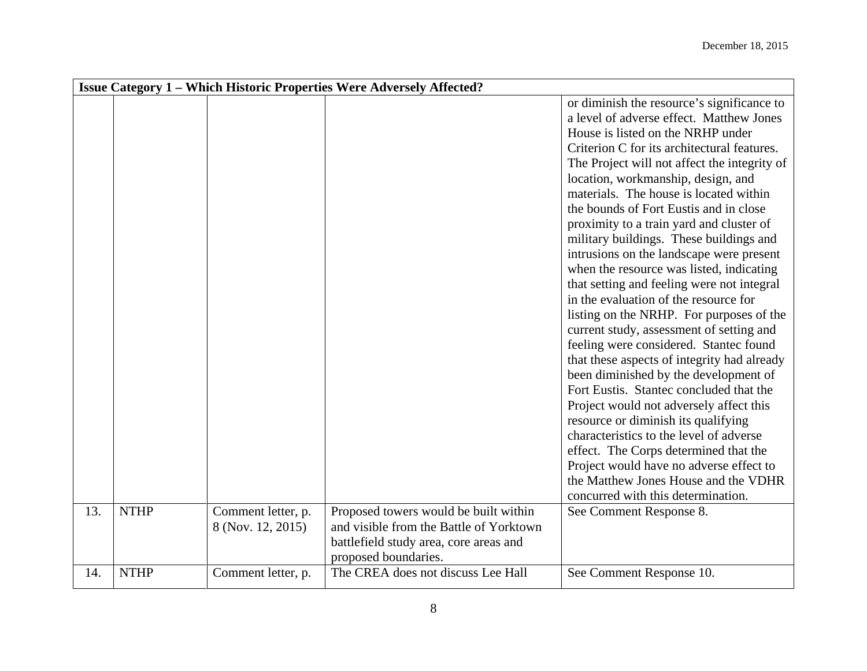|     | <b>Issue Category 1 – Which Historic Properties Were Adversely Affected?</b> |                                         |                                                                                                                                                    |                                                                                                                                                                                                                                                                                                                                                                                                                                                                                                                                                                                                                                                                                                                                                                                                                                                                                                                                                                                                                                                                                                                                                                                                |  |
|-----|------------------------------------------------------------------------------|-----------------------------------------|----------------------------------------------------------------------------------------------------------------------------------------------------|------------------------------------------------------------------------------------------------------------------------------------------------------------------------------------------------------------------------------------------------------------------------------------------------------------------------------------------------------------------------------------------------------------------------------------------------------------------------------------------------------------------------------------------------------------------------------------------------------------------------------------------------------------------------------------------------------------------------------------------------------------------------------------------------------------------------------------------------------------------------------------------------------------------------------------------------------------------------------------------------------------------------------------------------------------------------------------------------------------------------------------------------------------------------------------------------|--|
|     |                                                                              |                                         |                                                                                                                                                    | or diminish the resource's significance to<br>a level of adverse effect. Matthew Jones<br>House is listed on the NRHP under<br>Criterion C for its architectural features.<br>The Project will not affect the integrity of<br>location, workmanship, design, and<br>materials. The house is located within<br>the bounds of Fort Eustis and in close<br>proximity to a train yard and cluster of<br>military buildings. These buildings and<br>intrusions on the landscape were present<br>when the resource was listed, indicating<br>that setting and feeling were not integral<br>in the evaluation of the resource for<br>listing on the NRHP. For purposes of the<br>current study, assessment of setting and<br>feeling were considered. Stantec found<br>that these aspects of integrity had already<br>been diminished by the development of<br>Fort Eustis. Stantec concluded that the<br>Project would not adversely affect this<br>resource or diminish its qualifying<br>characteristics to the level of adverse<br>effect. The Corps determined that the<br>Project would have no adverse effect to<br>the Matthew Jones House and the VDHR<br>concurred with this determination. |  |
|     |                                                                              |                                         |                                                                                                                                                    |                                                                                                                                                                                                                                                                                                                                                                                                                                                                                                                                                                                                                                                                                                                                                                                                                                                                                                                                                                                                                                                                                                                                                                                                |  |
| 13. | <b>NTHP</b>                                                                  | Comment letter, p.<br>8 (Nov. 12, 2015) | Proposed towers would be built within<br>and visible from the Battle of Yorktown<br>battlefield study area, core areas and<br>proposed boundaries. | See Comment Response 8.                                                                                                                                                                                                                                                                                                                                                                                                                                                                                                                                                                                                                                                                                                                                                                                                                                                                                                                                                                                                                                                                                                                                                                        |  |
| 14. | <b>NTHP</b>                                                                  | Comment letter, p.                      | The CREA does not discuss Lee Hall                                                                                                                 | See Comment Response 10.                                                                                                                                                                                                                                                                                                                                                                                                                                                                                                                                                                                                                                                                                                                                                                                                                                                                                                                                                                                                                                                                                                                                                                       |  |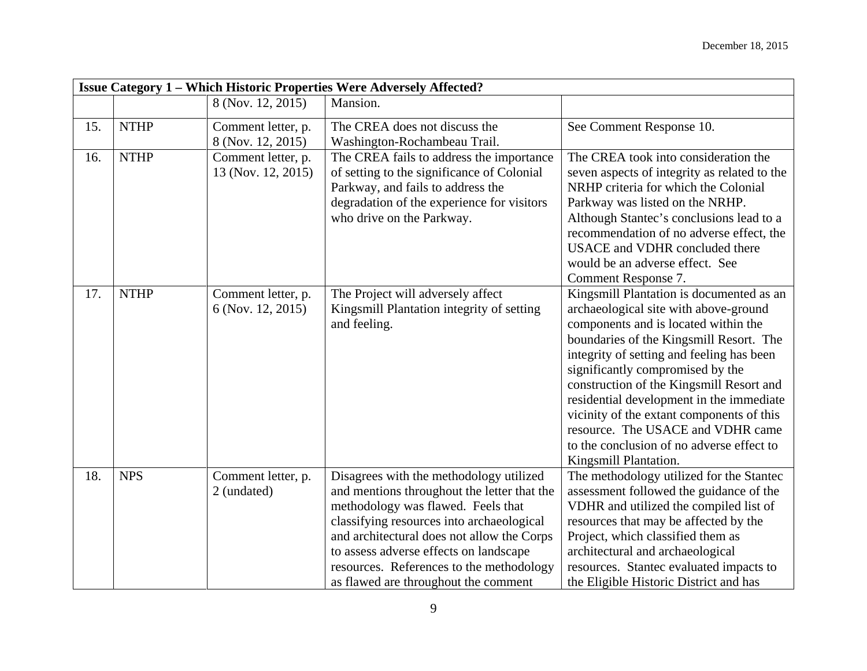|     | <b>Issue Category 1 - Which Historic Properties Were Adversely Affected?</b> |                                          |                                                                                                                                                                                                                                                                                                                                                       |                                                                                                                                                                                                                                                                                                                                                                                                                                                                                                       |
|-----|------------------------------------------------------------------------------|------------------------------------------|-------------------------------------------------------------------------------------------------------------------------------------------------------------------------------------------------------------------------------------------------------------------------------------------------------------------------------------------------------|-------------------------------------------------------------------------------------------------------------------------------------------------------------------------------------------------------------------------------------------------------------------------------------------------------------------------------------------------------------------------------------------------------------------------------------------------------------------------------------------------------|
|     |                                                                              | 8 (Nov. 12, 2015)                        | Mansion.                                                                                                                                                                                                                                                                                                                                              |                                                                                                                                                                                                                                                                                                                                                                                                                                                                                                       |
| 15. | <b>NTHP</b>                                                                  | Comment letter, p.<br>8 (Nov. 12, 2015)  | The CREA does not discuss the<br>Washington-Rochambeau Trail.                                                                                                                                                                                                                                                                                         | See Comment Response 10.                                                                                                                                                                                                                                                                                                                                                                                                                                                                              |
| 16. | <b>NTHP</b>                                                                  | Comment letter, p.<br>13 (Nov. 12, 2015) | The CREA fails to address the importance<br>of setting to the significance of Colonial<br>Parkway, and fails to address the<br>degradation of the experience for visitors<br>who drive on the Parkway.                                                                                                                                                | The CREA took into consideration the<br>seven aspects of integrity as related to the<br>NRHP criteria for which the Colonial<br>Parkway was listed on the NRHP.<br>Although Stantec's conclusions lead to a<br>recommendation of no adverse effect, the<br>USACE and VDHR concluded there<br>would be an adverse effect. See<br>Comment Response 7.                                                                                                                                                   |
| 17. | <b>NTHP</b>                                                                  | Comment letter, p.<br>6 (Nov. 12, 2015)  | The Project will adversely affect<br>Kingsmill Plantation integrity of setting<br>and feeling.                                                                                                                                                                                                                                                        | Kingsmill Plantation is documented as an<br>archaeological site with above-ground<br>components and is located within the<br>boundaries of the Kingsmill Resort. The<br>integrity of setting and feeling has been<br>significantly compromised by the<br>construction of the Kingsmill Resort and<br>residential development in the immediate<br>vicinity of the extant components of this<br>resource. The USACE and VDHR came<br>to the conclusion of no adverse effect to<br>Kingsmill Plantation. |
| 18. | <b>NPS</b>                                                                   | Comment letter, p.<br>2 (undated)        | Disagrees with the methodology utilized<br>and mentions throughout the letter that the<br>methodology was flawed. Feels that<br>classifying resources into archaeological<br>and architectural does not allow the Corps<br>to assess adverse effects on landscape<br>resources. References to the methodology<br>as flawed are throughout the comment | The methodology utilized for the Stantec<br>assessment followed the guidance of the<br>VDHR and utilized the compiled list of<br>resources that may be affected by the<br>Project, which classified them as<br>architectural and archaeological<br>resources. Stantec evaluated impacts to<br>the Eligible Historic District and has                                                                                                                                                                  |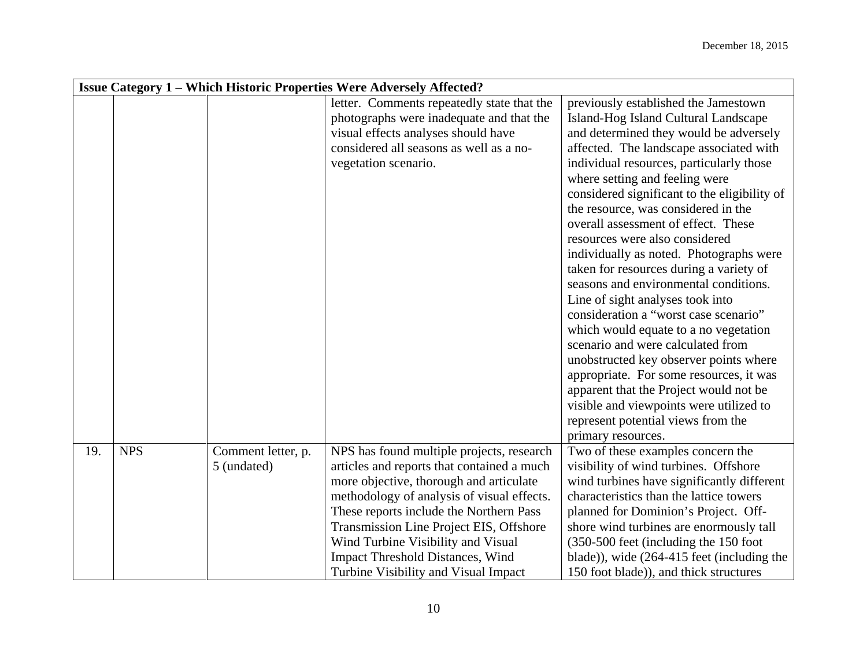|     | <b>Issue Category 1 – Which Historic Properties Were Adversely Affected?</b> |                    |                                            |                                              |  |
|-----|------------------------------------------------------------------------------|--------------------|--------------------------------------------|----------------------------------------------|--|
|     |                                                                              |                    | letter. Comments repeatedly state that the | previously established the Jamestown         |  |
|     |                                                                              |                    | photographs were inadequate and that the   | Island-Hog Island Cultural Landscape         |  |
|     |                                                                              |                    | visual effects analyses should have        | and determined they would be adversely       |  |
|     |                                                                              |                    | considered all seasons as well as a no-    | affected. The landscape associated with      |  |
|     |                                                                              |                    | vegetation scenario.                       | individual resources, particularly those     |  |
|     |                                                                              |                    |                                            | where setting and feeling were               |  |
|     |                                                                              |                    |                                            | considered significant to the eligibility of |  |
|     |                                                                              |                    |                                            | the resource, was considered in the          |  |
|     |                                                                              |                    |                                            | overall assessment of effect. These          |  |
|     |                                                                              |                    |                                            | resources were also considered               |  |
|     |                                                                              |                    |                                            | individually as noted. Photographs were      |  |
|     |                                                                              |                    |                                            | taken for resources during a variety of      |  |
|     |                                                                              |                    |                                            | seasons and environmental conditions.        |  |
|     |                                                                              |                    |                                            | Line of sight analyses took into             |  |
|     |                                                                              |                    |                                            | consideration a "worst case scenario"        |  |
|     |                                                                              |                    |                                            | which would equate to a no vegetation        |  |
|     |                                                                              |                    |                                            | scenario and were calculated from            |  |
|     |                                                                              |                    |                                            | unobstructed key observer points where       |  |
|     |                                                                              |                    |                                            | appropriate. For some resources, it was      |  |
|     |                                                                              |                    |                                            | apparent that the Project would not be       |  |
|     |                                                                              |                    |                                            | visible and viewpoints were utilized to      |  |
|     |                                                                              |                    |                                            | represent potential views from the           |  |
|     |                                                                              |                    |                                            | primary resources.                           |  |
| 19. | <b>NPS</b>                                                                   | Comment letter, p. | NPS has found multiple projects, research  | Two of these examples concern the            |  |
|     |                                                                              | 5 (undated)        | articles and reports that contained a much | visibility of wind turbines. Offshore        |  |
|     |                                                                              |                    | more objective, thorough and articulate    | wind turbines have significantly different   |  |
|     |                                                                              |                    | methodology of analysis of visual effects. | characteristics than the lattice towers      |  |
|     |                                                                              |                    | These reports include the Northern Pass    | planned for Dominion's Project. Off-         |  |
|     |                                                                              |                    | Transmission Line Project EIS, Offshore    | shore wind turbines are enormously tall      |  |
|     |                                                                              |                    | Wind Turbine Visibility and Visual         | (350-500 feet (including the 150 foot)       |  |
|     |                                                                              |                    | <b>Impact Threshold Distances, Wind</b>    | blade)), wide $(264-415$ feet (including the |  |
|     |                                                                              |                    | Turbine Visibility and Visual Impact       | 150 foot blade)), and thick structures       |  |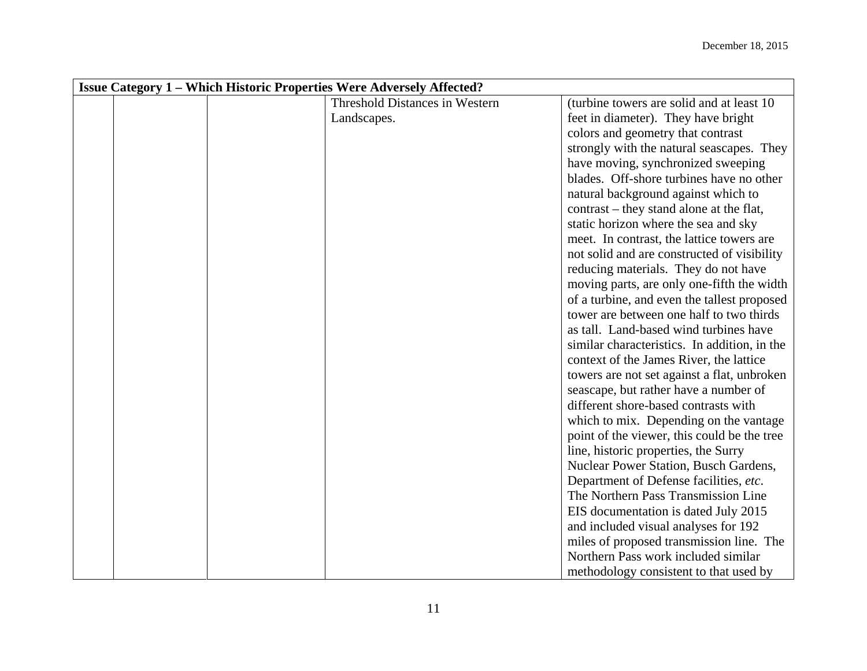| <b>Issue Category 1 - Which Historic Properties Were Adversely Affected?</b> |                                       |                                              |  |
|------------------------------------------------------------------------------|---------------------------------------|----------------------------------------------|--|
|                                                                              | <b>Threshold Distances in Western</b> | (turbine towers are solid and at least 10)   |  |
|                                                                              | Landscapes.                           | feet in diameter). They have bright          |  |
|                                                                              |                                       | colors and geometry that contrast            |  |
|                                                                              |                                       | strongly with the natural seascapes. They    |  |
|                                                                              |                                       | have moving, synchronized sweeping           |  |
|                                                                              |                                       | blades. Off-shore turbines have no other     |  |
|                                                                              |                                       | natural background against which to          |  |
|                                                                              |                                       | contrast – they stand alone at the flat,     |  |
|                                                                              |                                       | static horizon where the sea and sky         |  |
|                                                                              |                                       | meet. In contrast, the lattice towers are    |  |
|                                                                              |                                       | not solid and are constructed of visibility  |  |
|                                                                              |                                       | reducing materials. They do not have         |  |
|                                                                              |                                       | moving parts, are only one-fifth the width   |  |
|                                                                              |                                       | of a turbine, and even the tallest proposed  |  |
|                                                                              |                                       | tower are between one half to two thirds     |  |
|                                                                              |                                       | as tall. Land-based wind turbines have       |  |
|                                                                              |                                       | similar characteristics. In addition, in the |  |
|                                                                              |                                       | context of the James River, the lattice      |  |
|                                                                              |                                       | towers are not set against a flat, unbroken  |  |
|                                                                              |                                       | seascape, but rather have a number of        |  |
|                                                                              |                                       | different shore-based contrasts with         |  |
|                                                                              |                                       | which to mix. Depending on the vantage       |  |
|                                                                              |                                       | point of the viewer, this could be the tree  |  |
|                                                                              |                                       | line, historic properties, the Surry         |  |
|                                                                              |                                       | Nuclear Power Station, Busch Gardens,        |  |
|                                                                              |                                       | Department of Defense facilities, etc.       |  |
|                                                                              |                                       | The Northern Pass Transmission Line          |  |
|                                                                              |                                       | EIS documentation is dated July 2015         |  |
|                                                                              |                                       | and included visual analyses for 192         |  |
|                                                                              |                                       | miles of proposed transmission line. The     |  |
|                                                                              |                                       | Northern Pass work included similar          |  |
|                                                                              |                                       | methodology consistent to that used by       |  |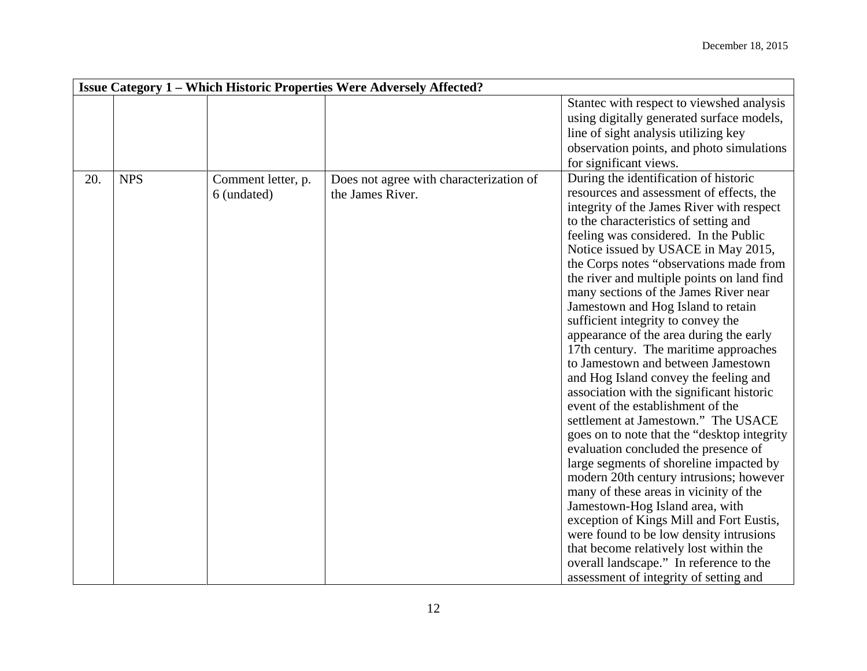|     |            |                                   | <b>Issue Category 1 – Which Historic Properties Were Adversely Affected?</b> |                                                                                                                                                                                                                                                                                                                                                                                                                                                                                                                                                                                                                                                                                                                                                                                                                                                                                                                                                                                                                                                                                                                                                                                                                                                    |
|-----|------------|-----------------------------------|------------------------------------------------------------------------------|----------------------------------------------------------------------------------------------------------------------------------------------------------------------------------------------------------------------------------------------------------------------------------------------------------------------------------------------------------------------------------------------------------------------------------------------------------------------------------------------------------------------------------------------------------------------------------------------------------------------------------------------------------------------------------------------------------------------------------------------------------------------------------------------------------------------------------------------------------------------------------------------------------------------------------------------------------------------------------------------------------------------------------------------------------------------------------------------------------------------------------------------------------------------------------------------------------------------------------------------------|
|     |            |                                   |                                                                              | Stantec with respect to viewshed analysis<br>using digitally generated surface models,<br>line of sight analysis utilizing key<br>observation points, and photo simulations<br>for significant views.                                                                                                                                                                                                                                                                                                                                                                                                                                                                                                                                                                                                                                                                                                                                                                                                                                                                                                                                                                                                                                              |
| 20. | <b>NPS</b> | Comment letter, p.<br>6 (undated) | Does not agree with characterization of<br>the James River.                  | During the identification of historic<br>resources and assessment of effects, the<br>integrity of the James River with respect<br>to the characteristics of setting and<br>feeling was considered. In the Public<br>Notice issued by USACE in May 2015,<br>the Corps notes "observations made from<br>the river and multiple points on land find<br>many sections of the James River near<br>Jamestown and Hog Island to retain<br>sufficient integrity to convey the<br>appearance of the area during the early<br>17th century. The maritime approaches<br>to Jamestown and between Jamestown<br>and Hog Island convey the feeling and<br>association with the significant historic<br>event of the establishment of the<br>settlement at Jamestown." The USACE<br>goes on to note that the "desktop integrity"<br>evaluation concluded the presence of<br>large segments of shoreline impacted by<br>modern 20th century intrusions; however<br>many of these areas in vicinity of the<br>Jamestown-Hog Island area, with<br>exception of Kings Mill and Fort Eustis,<br>were found to be low density intrusions<br>that become relatively lost within the<br>overall landscape." In reference to the<br>assessment of integrity of setting and |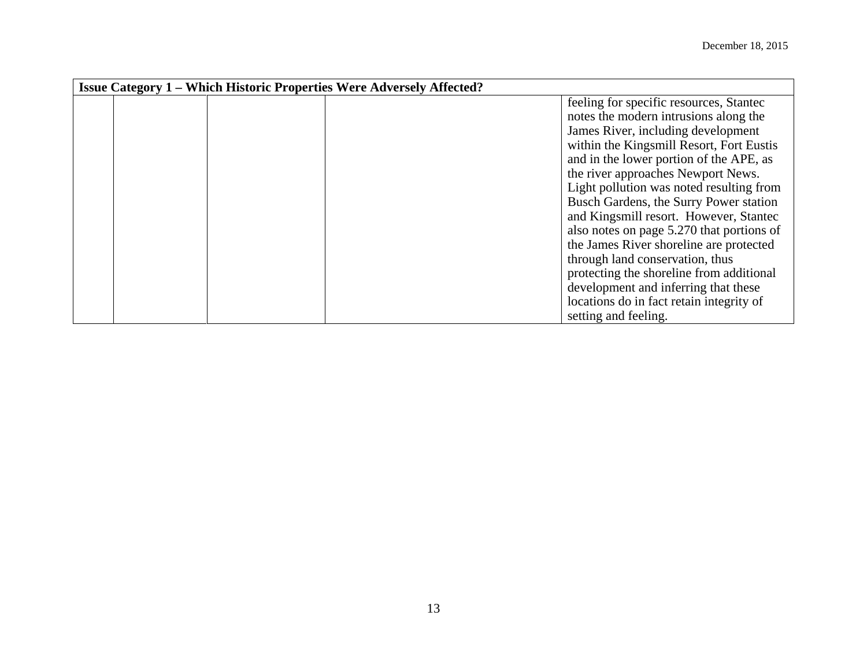| <b>Issue Category 1 – Which Historic Properties Were Adversely Affected?</b> |  |                                           |
|------------------------------------------------------------------------------|--|-------------------------------------------|
|                                                                              |  | feeling for specific resources, Stantec   |
|                                                                              |  | notes the modern intrusions along the     |
|                                                                              |  | James River, including development        |
|                                                                              |  | within the Kingsmill Resort, Fort Eustis  |
|                                                                              |  | and in the lower portion of the APE, as   |
|                                                                              |  | the river approaches Newport News.        |
|                                                                              |  | Light pollution was noted resulting from  |
|                                                                              |  | Busch Gardens, the Surry Power station    |
|                                                                              |  | and Kingsmill resort. However, Stantec    |
|                                                                              |  | also notes on page 5.270 that portions of |
|                                                                              |  | the James River shoreline are protected   |
|                                                                              |  | through land conservation, thus           |
|                                                                              |  | protecting the shoreline from additional  |
|                                                                              |  | development and inferring that these      |
|                                                                              |  | locations do in fact retain integrity of  |
|                                                                              |  | setting and feeling.                      |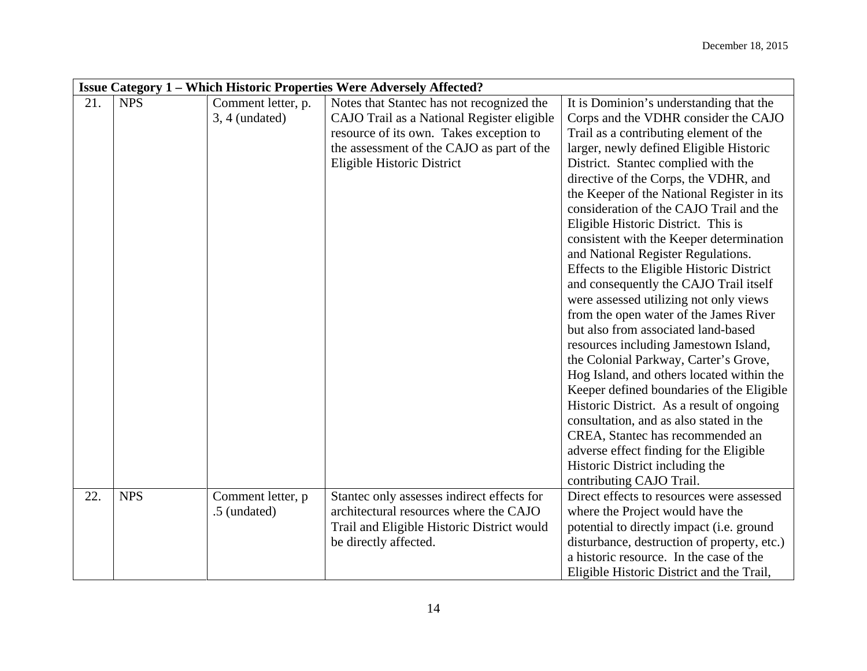|     | <b>Issue Category 1 – Which Historic Properties Were Adversely Affected?</b> |                                        |                                                                                         |                                                                                        |  |
|-----|------------------------------------------------------------------------------|----------------------------------------|-----------------------------------------------------------------------------------------|----------------------------------------------------------------------------------------|--|
| 21. | <b>NPS</b>                                                                   | Comment letter, p.<br>$3, 4$ (undated) | Notes that Stantec has not recognized the<br>CAJO Trail as a National Register eligible | It is Dominion's understanding that the<br>Corps and the VDHR consider the CAJO        |  |
|     |                                                                              |                                        | resource of its own. Takes exception to                                                 | Trail as a contributing element of the                                                 |  |
|     |                                                                              |                                        | the assessment of the CAJO as part of the                                               | larger, newly defined Eligible Historic                                                |  |
|     |                                                                              |                                        | Eligible Historic District                                                              | District. Stantec complied with the<br>directive of the Corps, the VDHR, and           |  |
|     |                                                                              |                                        |                                                                                         | the Keeper of the National Register in its                                             |  |
|     |                                                                              |                                        |                                                                                         | consideration of the CAJO Trail and the                                                |  |
|     |                                                                              |                                        |                                                                                         | Eligible Historic District. This is                                                    |  |
|     |                                                                              |                                        |                                                                                         | consistent with the Keeper determination                                               |  |
|     |                                                                              |                                        |                                                                                         | and National Register Regulations.                                                     |  |
|     |                                                                              |                                        |                                                                                         | Effects to the Eligible Historic District                                              |  |
|     |                                                                              |                                        |                                                                                         | and consequently the CAJO Trail itself                                                 |  |
|     |                                                                              |                                        |                                                                                         | were assessed utilizing not only views                                                 |  |
|     |                                                                              |                                        |                                                                                         | from the open water of the James River                                                 |  |
|     |                                                                              |                                        |                                                                                         | but also from associated land-based                                                    |  |
|     |                                                                              |                                        |                                                                                         | resources including Jamestown Island,                                                  |  |
|     |                                                                              |                                        |                                                                                         | the Colonial Parkway, Carter's Grove,                                                  |  |
|     |                                                                              |                                        |                                                                                         | Hog Island, and others located within the                                              |  |
|     |                                                                              |                                        |                                                                                         | Keeper defined boundaries of the Eligible<br>Historic District. As a result of ongoing |  |
|     |                                                                              |                                        |                                                                                         | consultation, and as also stated in the                                                |  |
|     |                                                                              |                                        |                                                                                         | CREA, Stantec has recommended an                                                       |  |
|     |                                                                              |                                        |                                                                                         | adverse effect finding for the Eligible                                                |  |
|     |                                                                              |                                        |                                                                                         | Historic District including the                                                        |  |
|     |                                                                              |                                        |                                                                                         | contributing CAJO Trail.                                                               |  |
| 22. | <b>NPS</b>                                                                   | Comment letter, p                      | Stantec only assesses indirect effects for                                              | Direct effects to resources were assessed                                              |  |
|     |                                                                              | .5 (undated)                           | architectural resources where the CAJO                                                  | where the Project would have the                                                       |  |
|     |                                                                              |                                        | Trail and Eligible Historic District would                                              | potential to directly impact (i.e. ground                                              |  |
|     |                                                                              |                                        | be directly affected.                                                                   | disturbance, destruction of property, etc.)                                            |  |
|     |                                                                              |                                        |                                                                                         | a historic resource. In the case of the                                                |  |
|     |                                                                              |                                        |                                                                                         | Eligible Historic District and the Trail,                                              |  |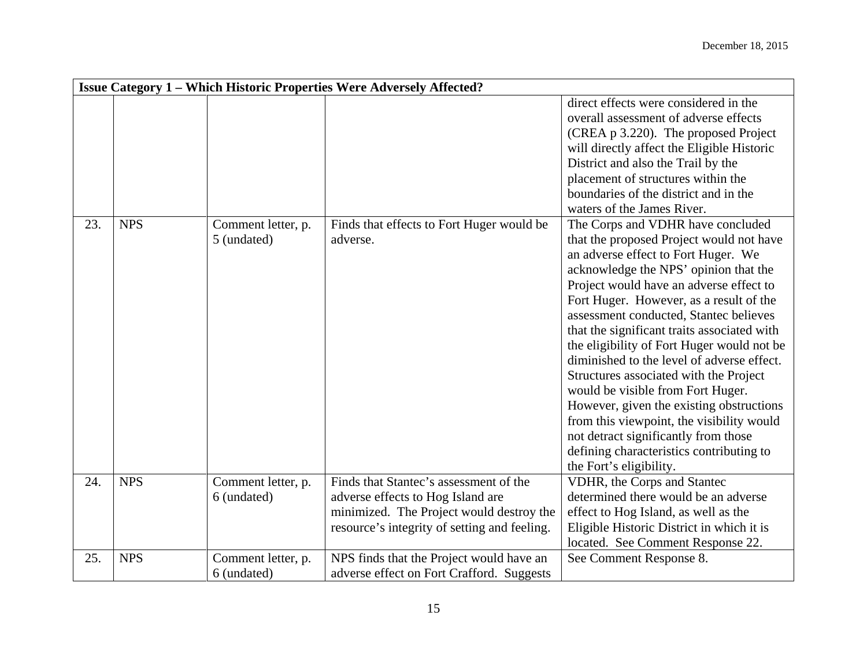|     |            |                                   | <b>Issue Category 1 - Which Historic Properties Were Adversely Affected?</b>                                                                                            |                                                                                                                                                                                                                                                                                                                                                                                                                                                                                                                                                                                                                                                                                                                                 |
|-----|------------|-----------------------------------|-------------------------------------------------------------------------------------------------------------------------------------------------------------------------|---------------------------------------------------------------------------------------------------------------------------------------------------------------------------------------------------------------------------------------------------------------------------------------------------------------------------------------------------------------------------------------------------------------------------------------------------------------------------------------------------------------------------------------------------------------------------------------------------------------------------------------------------------------------------------------------------------------------------------|
|     |            |                                   |                                                                                                                                                                         | direct effects were considered in the<br>overall assessment of adverse effects<br>(CREA p 3.220). The proposed Project<br>will directly affect the Eligible Historic<br>District and also the Trail by the<br>placement of structures within the<br>boundaries of the district and in the<br>waters of the James River.                                                                                                                                                                                                                                                                                                                                                                                                         |
| 23. | <b>NPS</b> | Comment letter, p.<br>5 (undated) | Finds that effects to Fort Huger would be<br>adverse.                                                                                                                   | The Corps and VDHR have concluded<br>that the proposed Project would not have<br>an adverse effect to Fort Huger. We<br>acknowledge the NPS' opinion that the<br>Project would have an adverse effect to<br>Fort Huger. However, as a result of the<br>assessment conducted, Stantec believes<br>that the significant traits associated with<br>the eligibility of Fort Huger would not be<br>diminished to the level of adverse effect.<br>Structures associated with the Project<br>would be visible from Fort Huger.<br>However, given the existing obstructions<br>from this viewpoint, the visibility would<br>not detract significantly from those<br>defining characteristics contributing to<br>the Fort's eligibility. |
| 24. | <b>NPS</b> | Comment letter, p.<br>6 (undated) | Finds that Stantec's assessment of the<br>adverse effects to Hog Island are<br>minimized. The Project would destroy the<br>resource's integrity of setting and feeling. | VDHR, the Corps and Stantec<br>determined there would be an adverse<br>effect to Hog Island, as well as the<br>Eligible Historic District in which it is<br>located. See Comment Response 22.                                                                                                                                                                                                                                                                                                                                                                                                                                                                                                                                   |
| 25. | <b>NPS</b> | Comment letter, p.<br>6 (undated) | NPS finds that the Project would have an<br>adverse effect on Fort Crafford. Suggests                                                                                   | See Comment Response 8.                                                                                                                                                                                                                                                                                                                                                                                                                                                                                                                                                                                                                                                                                                         |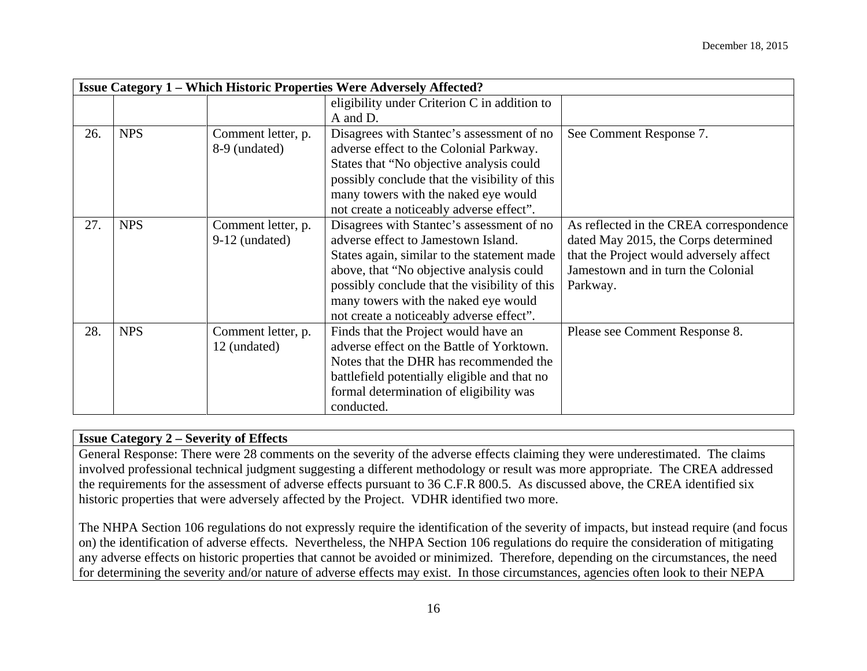|     |            |                                        | <b>Issue Category 1 - Which Historic Properties Were Adversely Affected?</b>                                                                                                                                                                                                                                     |                                                                                                                                                                              |
|-----|------------|----------------------------------------|------------------------------------------------------------------------------------------------------------------------------------------------------------------------------------------------------------------------------------------------------------------------------------------------------------------|------------------------------------------------------------------------------------------------------------------------------------------------------------------------------|
|     |            |                                        | eligibility under Criterion C in addition to<br>A and D.                                                                                                                                                                                                                                                         |                                                                                                                                                                              |
| 26. | <b>NPS</b> | Comment letter, p.<br>8-9 (undated)    | Disagrees with Stantec's assessment of no<br>adverse effect to the Colonial Parkway.<br>States that "No objective analysis could<br>possibly conclude that the visibility of this<br>many towers with the naked eye would<br>not create a noticeably adverse effect".                                            | See Comment Response 7.                                                                                                                                                      |
| 27. | <b>NPS</b> | Comment letter, p.<br>$9-12$ (undated) | Disagrees with Stantec's assessment of no<br>adverse effect to Jamestown Island.<br>States again, similar to the statement made<br>above, that "No objective analysis could<br>possibly conclude that the visibility of this<br>many towers with the naked eye would<br>not create a noticeably adverse effect". | As reflected in the CREA correspondence<br>dated May 2015, the Corps determined<br>that the Project would adversely affect<br>Jamestown and in turn the Colonial<br>Parkway. |
| 28. | <b>NPS</b> | Comment letter, p.<br>12 (undated)     | Finds that the Project would have an<br>adverse effect on the Battle of Yorktown.<br>Notes that the DHR has recommended the<br>battlefield potentially eligible and that no<br>formal determination of eligibility was<br>conducted.                                                                             | Please see Comment Response 8.                                                                                                                                               |

# **Issue Category 2 – Severity of Effects**

General Response: There were 28 comments on the severity of the adverse effects claiming they were underestimated. The claims involved professional technical judgment suggesting a different methodology or result was more appropriate. The CREA addressed the requirements for the assessment of adverse effects pursuant to 36 C.F.R 800.5. As discussed above, the CREA identified six historic properties that were adversely affected by the Project. VDHR identified two more.

The NHPA Section 106 regulations do not expressly require the identification of the severity of impacts, but instead require (and focus on) the identification of adverse effects. Nevertheless, the NHPA Section 106 regulations do require the consideration of mitigating any adverse effects on historic properties that cannot be avoided or minimized. Therefore, depending on the circumstances, the need for determining the severity and/or nature of adverse effects may exist. In those circumstances, agencies often look to their NEPA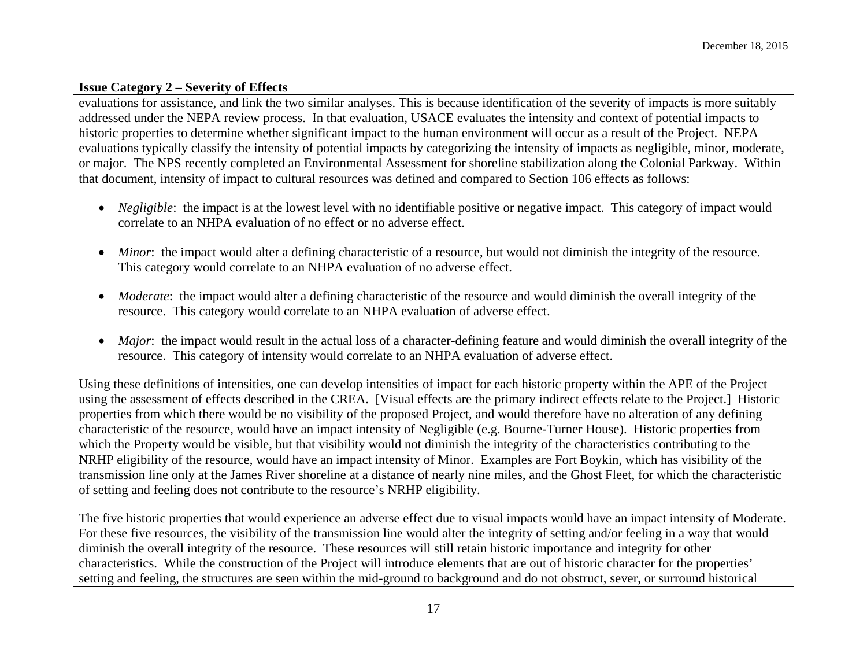# **Issue Category 2 – Severity of Effects**

evaluations for assistance, and link the two similar analyses. This is because identification of the severity of impacts is more suitably addressed under the NEPA review process. In that evaluation, USACE evaluates the intensity and context of potential impacts to historic properties to determine whether significant impact to the human environment will occur as a result of the Project. NEPA evaluations typically classify the intensity of potential impacts by categorizing the intensity of impacts as negligible, minor, moderate, or major. The NPS recently completed an Environmental Assessment for shoreline stabilization along the Colonial Parkway. Within that document, intensity of impact to cultural resources was defined and compared to Section 106 effects as follows:

- *Negligible*: the impact is at the lowest level with no identifiable positive or negative impact. This category of impact would correlate to an NHPA evaluation of no effect or no adverse effect.
- *Minor*: the impact would alter a defining characteristic of a resource, but would not diminish the integrity of the resource. This category would correlate to an NHPA evaluation of no adverse effect.
- *Moderate*: the impact would alter a defining characteristic of the resource and would diminish the overall integrity of the resource. This category would correlate to an NHPA evaluation of adverse effect.
- *Major*: the impact would result in the actual loss of a character-defining feature and would diminish the overall integrity of the resource. This category of intensity would correlate to an NHPA evaluation of adverse effect.

Using these definitions of intensities, one can develop intensities of impact for each historic property within the APE of the Project using the assessment of effects described in the CREA. [Visual effects are the primary indirect effects relate to the Project.] Historic properties from which there would be no visibility of the proposed Project, and would therefore have no alteration of any defining characteristic of the resource, would have an impact intensity of Negligible (e.g. Bourne-Turner House). Historic properties from which the Property would be visible, but that visibility would not diminish the integrity of the characteristics contributing to the NRHP eligibility of the resource, would have an impact intensity of Minor. Examples are Fort Boykin, which has visibility of the transmission line only at the James River shoreline at a distance of nearly nine miles, and the Ghost Fleet, for which the characteristic of setting and feeling does not contribute to the resource's NRHP eligibility.

The five historic properties that would experience an adverse effect due to visual impacts would have an impact intensity of Moderate. For these five resources, the visibility of the transmission line would alter the integrity of setting and/or feeling in a way that would diminish the overall integrity of the resource. These resources will still retain historic importance and integrity for other characteristics. While the construction of the Project will introduce elements that are out of historic character for the properties' setting and feeling, the structures are seen within the mid-ground to background and do not obstruct, sever, or surround historical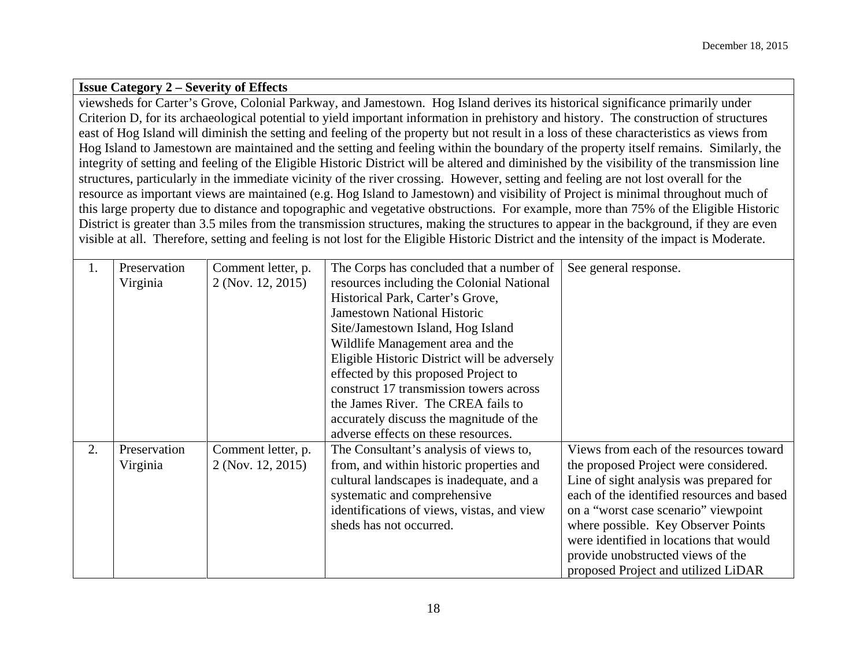#### **Issue Category 2 – Severity of Effects**

viewsheds for Carter's Grove, Colonial Parkway, and Jamestown. Hog Island derives its historical significance primarily under Criterion D, for its archaeological potential to yield important information in prehistory and history. The construction of structures east of Hog Island will diminish the setting and feeling of the property but not result in a loss of these characteristics as views from Hog Island to Jamestown are maintained and the setting and feeling within the boundary of the property itself remains. Similarly, the integrity of setting and feeling of the Eligible Historic District will be altered and diminished by the visibility of the transmission line structures, particularly in the immediate vicinity of the river crossing. However, setting and feeling are not lost overall for the resource as important views are maintained (e.g. Hog Island to Jamestown) and visibility of Project is minimal throughout much of this large property due to distance and topographic and vegetative obstructions. For example, more than 75% of the Eligible Historic District is greater than 3.5 miles from the transmission structures, making the structures to appear in the background, if they are even visible at all. Therefore, setting and feeling is not lost for the Eligible Historic District and the intensity of the impact is Moderate.

| 1. | Preservation | Comment letter, p. | The Corps has concluded that a number of     | See general response.                      |
|----|--------------|--------------------|----------------------------------------------|--------------------------------------------|
|    | Virginia     | 2 (Nov. 12, 2015)  | resources including the Colonial National    |                                            |
|    |              |                    | Historical Park, Carter's Grove,             |                                            |
|    |              |                    | <b>Jamestown National Historic</b>           |                                            |
|    |              |                    | Site/Jamestown Island, Hog Island            |                                            |
|    |              |                    | Wildlife Management area and the             |                                            |
|    |              |                    | Eligible Historic District will be adversely |                                            |
|    |              |                    | effected by this proposed Project to         |                                            |
|    |              |                    | construct 17 transmission towers across      |                                            |
|    |              |                    | the James River. The CREA fails to           |                                            |
|    |              |                    | accurately discuss the magnitude of the      |                                            |
|    |              |                    | adverse effects on these resources.          |                                            |
| 2. | Preservation | Comment letter, p. | The Consultant's analysis of views to,       | Views from each of the resources toward    |
|    | Virginia     | 2 (Nov. 12, 2015)  | from, and within historic properties and     | the proposed Project were considered.      |
|    |              |                    | cultural landscapes is inadequate, and a     | Line of sight analysis was prepared for    |
|    |              |                    | systematic and comprehensive                 | each of the identified resources and based |
|    |              |                    | identifications of views, vistas, and view   | on a "worst case scenario" viewpoint       |
|    |              |                    | sheds has not occurred.                      | where possible. Key Observer Points        |
|    |              |                    |                                              | were identified in locations that would    |
|    |              |                    |                                              | provide unobstructed views of the          |
|    |              |                    |                                              | proposed Project and utilized LiDAR        |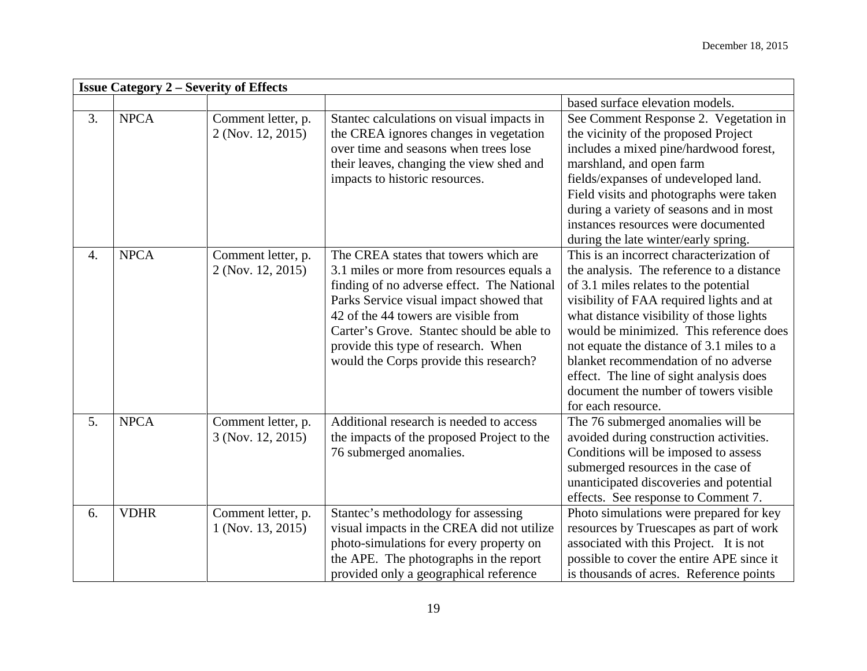|    | <b>Issue Category 2 - Severity of Effects</b> |                                         |                                                                                                                                                                                                                                                                                                                                                   |                                                                                                                                                                                                                                                                                                                                                                                                                                                                  |  |
|----|-----------------------------------------------|-----------------------------------------|---------------------------------------------------------------------------------------------------------------------------------------------------------------------------------------------------------------------------------------------------------------------------------------------------------------------------------------------------|------------------------------------------------------------------------------------------------------------------------------------------------------------------------------------------------------------------------------------------------------------------------------------------------------------------------------------------------------------------------------------------------------------------------------------------------------------------|--|
|    |                                               |                                         |                                                                                                                                                                                                                                                                                                                                                   | based surface elevation models.                                                                                                                                                                                                                                                                                                                                                                                                                                  |  |
| 3. | <b>NPCA</b>                                   | Comment letter, p.<br>2 (Nov. 12, 2015) | Stantec calculations on visual impacts in<br>the CREA ignores changes in vegetation<br>over time and seasons when trees lose<br>their leaves, changing the view shed and<br>impacts to historic resources.                                                                                                                                        | See Comment Response 2. Vegetation in<br>the vicinity of the proposed Project<br>includes a mixed pine/hardwood forest,<br>marshland, and open farm<br>fields/expanses of undeveloped land.<br>Field visits and photographs were taken<br>during a variety of seasons and in most<br>instances resources were documented<br>during the late winter/early spring.                                                                                                 |  |
| 4. | <b>NPCA</b>                                   | Comment letter, p.<br>2 (Nov. 12, 2015) | The CREA states that towers which are<br>3.1 miles or more from resources equals a<br>finding of no adverse effect. The National<br>Parks Service visual impact showed that<br>42 of the 44 towers are visible from<br>Carter's Grove. Stantec should be able to<br>provide this type of research. When<br>would the Corps provide this research? | This is an incorrect characterization of<br>the analysis. The reference to a distance<br>of 3.1 miles relates to the potential<br>visibility of FAA required lights and at<br>what distance visibility of those lights<br>would be minimized. This reference does<br>not equate the distance of 3.1 miles to a<br>blanket recommendation of no adverse<br>effect. The line of sight analysis does<br>document the number of towers visible<br>for each resource. |  |
| 5. | <b>NPCA</b>                                   | Comment letter, p.<br>3 (Nov. 12, 2015) | Additional research is needed to access<br>the impacts of the proposed Project to the<br>76 submerged anomalies.                                                                                                                                                                                                                                  | The 76 submerged anomalies will be<br>avoided during construction activities.<br>Conditions will be imposed to assess<br>submerged resources in the case of<br>unanticipated discoveries and potential<br>effects. See response to Comment 7.                                                                                                                                                                                                                    |  |
| 6. | <b>VDHR</b>                                   | Comment letter, p.<br>1 (Nov. 13, 2015) | Stantec's methodology for assessing<br>visual impacts in the CREA did not utilize<br>photo-simulations for every property on<br>the APE. The photographs in the report<br>provided only a geographical reference                                                                                                                                  | Photo simulations were prepared for key<br>resources by Truescapes as part of work<br>associated with this Project. It is not<br>possible to cover the entire APE since it<br>is thousands of acres. Reference points                                                                                                                                                                                                                                            |  |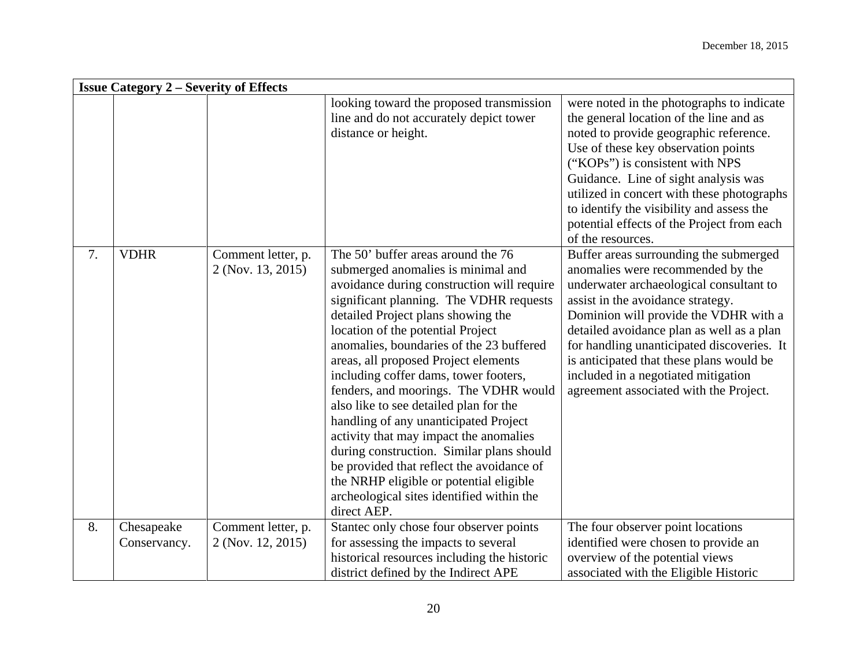|    | <b>Issue Category 2 – Severity of Effects</b> |                                         |                                                                                                                                                                                                                                                                                                                                                                                                                                                                                                                                                                                                                                                                                                                                                  |                                                                                                                                                                                                                                                                                                                                                                                                                              |  |  |
|----|-----------------------------------------------|-----------------------------------------|--------------------------------------------------------------------------------------------------------------------------------------------------------------------------------------------------------------------------------------------------------------------------------------------------------------------------------------------------------------------------------------------------------------------------------------------------------------------------------------------------------------------------------------------------------------------------------------------------------------------------------------------------------------------------------------------------------------------------------------------------|------------------------------------------------------------------------------------------------------------------------------------------------------------------------------------------------------------------------------------------------------------------------------------------------------------------------------------------------------------------------------------------------------------------------------|--|--|
|    |                                               |                                         | looking toward the proposed transmission<br>line and do not accurately depict tower<br>distance or height.                                                                                                                                                                                                                                                                                                                                                                                                                                                                                                                                                                                                                                       | were noted in the photographs to indicate<br>the general location of the line and as<br>noted to provide geographic reference.<br>Use of these key observation points<br>("KOPs") is consistent with NPS<br>Guidance. Line of sight analysis was<br>utilized in concert with these photographs<br>to identify the visibility and assess the<br>potential effects of the Project from each<br>of the resources.               |  |  |
| 7. | <b>VDHR</b>                                   | Comment letter, p.<br>2 (Nov. 13, 2015) | The 50' buffer areas around the 76<br>submerged anomalies is minimal and<br>avoidance during construction will require<br>significant planning. The VDHR requests<br>detailed Project plans showing the<br>location of the potential Project<br>anomalies, boundaries of the 23 buffered<br>areas, all proposed Project elements<br>including coffer dams, tower footers,<br>fenders, and moorings. The VDHR would<br>also like to see detailed plan for the<br>handling of any unanticipated Project<br>activity that may impact the anomalies<br>during construction. Similar plans should<br>be provided that reflect the avoidance of<br>the NRHP eligible or potential eligible<br>archeological sites identified within the<br>direct AEP. | Buffer areas surrounding the submerged<br>anomalies were recommended by the<br>underwater archaeological consultant to<br>assist in the avoidance strategy.<br>Dominion will provide the VDHR with a<br>detailed avoidance plan as well as a plan<br>for handling unanticipated discoveries. It<br>is anticipated that these plans would be<br>included in a negotiated mitigation<br>agreement associated with the Project. |  |  |
| 8. | Chesapeake<br>Conservancy.                    | Comment letter, p.<br>2 (Nov. 12, 2015) | Stantec only chose four observer points<br>for assessing the impacts to several<br>historical resources including the historic<br>district defined by the Indirect APE                                                                                                                                                                                                                                                                                                                                                                                                                                                                                                                                                                           | The four observer point locations<br>identified were chosen to provide an<br>overview of the potential views<br>associated with the Eligible Historic                                                                                                                                                                                                                                                                        |  |  |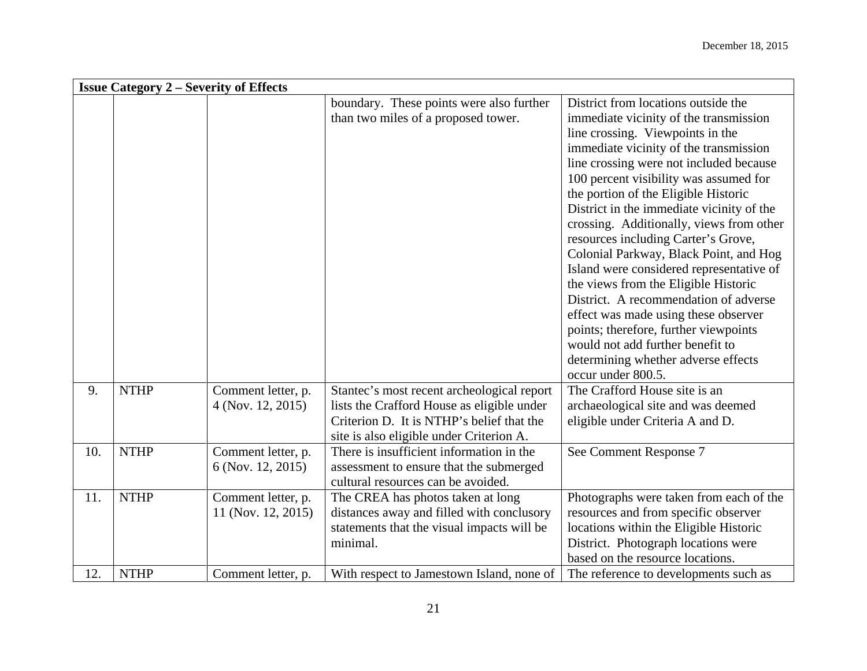|     | <b>Issue Category 2 – Severity of Effects</b> |                                          |                                                                                                                                                                                   |                                                                                                                                                                                                                                                                                                                                                                                                                                                                                                                                                                                                                                                                                  |  |  |
|-----|-----------------------------------------------|------------------------------------------|-----------------------------------------------------------------------------------------------------------------------------------------------------------------------------------|----------------------------------------------------------------------------------------------------------------------------------------------------------------------------------------------------------------------------------------------------------------------------------------------------------------------------------------------------------------------------------------------------------------------------------------------------------------------------------------------------------------------------------------------------------------------------------------------------------------------------------------------------------------------------------|--|--|
|     |                                               |                                          | boundary. These points were also further<br>than two miles of a proposed tower.                                                                                                   | District from locations outside the<br>immediate vicinity of the transmission<br>line crossing. Viewpoints in the<br>immediate vicinity of the transmission<br>line crossing were not included because<br>100 percent visibility was assumed for<br>the portion of the Eligible Historic<br>District in the immediate vicinity of the<br>crossing. Additionally, views from other<br>resources including Carter's Grove,<br>Colonial Parkway, Black Point, and Hog<br>Island were considered representative of<br>the views from the Eligible Historic<br>District. A recommendation of adverse<br>effect was made using these observer<br>points; therefore, further viewpoints |  |  |
|     |                                               |                                          |                                                                                                                                                                                   | would not add further benefit to<br>determining whether adverse effects<br>occur under 800.5.                                                                                                                                                                                                                                                                                                                                                                                                                                                                                                                                                                                    |  |  |
| 9.  | <b>NTHP</b>                                   | Comment letter, p.<br>4 (Nov. 12, 2015)  | Stantec's most recent archeological report<br>lists the Crafford House as eligible under<br>Criterion D. It is NTHP's belief that the<br>site is also eligible under Criterion A. | The Crafford House site is an<br>archaeological site and was deemed<br>eligible under Criteria A and D.                                                                                                                                                                                                                                                                                                                                                                                                                                                                                                                                                                          |  |  |
| 10. | <b>NTHP</b>                                   | Comment letter, p.<br>6 (Nov. 12, 2015)  | There is insufficient information in the<br>assessment to ensure that the submerged<br>cultural resources can be avoided.                                                         | See Comment Response 7                                                                                                                                                                                                                                                                                                                                                                                                                                                                                                                                                                                                                                                           |  |  |
| 11. | <b>NTHP</b>                                   | Comment letter, p.<br>11 (Nov. 12, 2015) | The CREA has photos taken at long<br>distances away and filled with conclusory<br>statements that the visual impacts will be<br>minimal.                                          | Photographs were taken from each of the<br>resources and from specific observer<br>locations within the Eligible Historic<br>District. Photograph locations were<br>based on the resource locations.                                                                                                                                                                                                                                                                                                                                                                                                                                                                             |  |  |
| 12. | <b>NTHP</b>                                   | Comment letter, p.                       | With respect to Jamestown Island, none of                                                                                                                                         | The reference to developments such as                                                                                                                                                                                                                                                                                                                                                                                                                                                                                                                                                                                                                                            |  |  |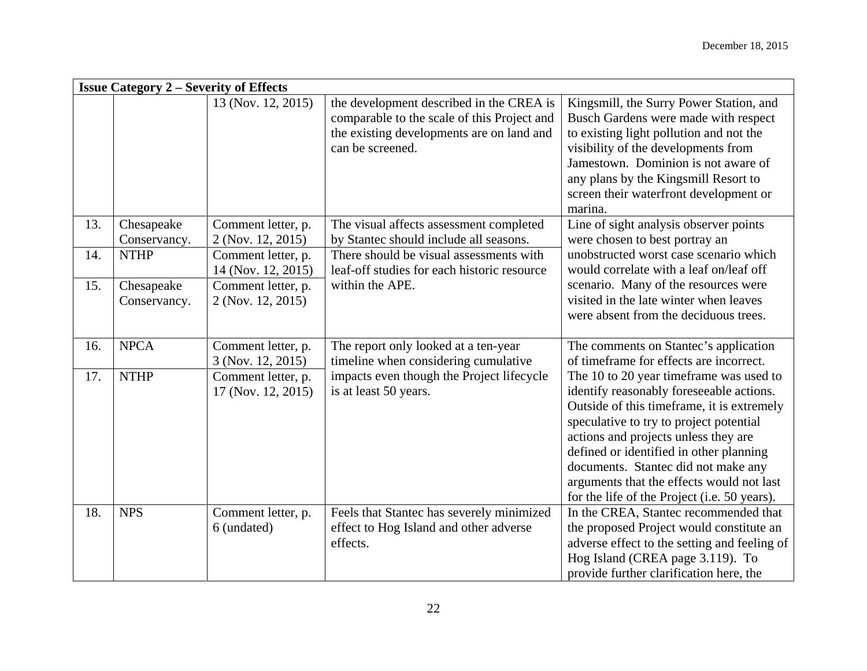|     | <b>Issue Category 2 – Severity of Effects</b> |                                          |                                                                                                                                                          |                                                                                                                                                                                                                                                                                                                                                                                                     |  |
|-----|-----------------------------------------------|------------------------------------------|----------------------------------------------------------------------------------------------------------------------------------------------------------|-----------------------------------------------------------------------------------------------------------------------------------------------------------------------------------------------------------------------------------------------------------------------------------------------------------------------------------------------------------------------------------------------------|--|
|     |                                               | 13 (Nov. 12, 2015)                       | the development described in the CREA is<br>comparable to the scale of this Project and<br>the existing developments are on land and<br>can be screened. | Kingsmill, the Surry Power Station, and<br>Busch Gardens were made with respect<br>to existing light pollution and not the<br>visibility of the developments from<br>Jamestown. Dominion is not aware of<br>any plans by the Kingsmill Resort to<br>screen their waterfront development or<br>marina.                                                                                               |  |
| 13. | Chesapeake<br>Conservancy.                    | Comment letter, p.<br>2 (Nov. 12, 2015)  | The visual affects assessment completed<br>by Stantec should include all seasons.                                                                        | Line of sight analysis observer points<br>were chosen to best portray an                                                                                                                                                                                                                                                                                                                            |  |
| 14. | <b>NTHP</b>                                   | Comment letter, p.<br>14 (Nov. 12, 2015) | There should be visual assessments with<br>leaf-off studies for each historic resource                                                                   | unobstructed worst case scenario which<br>would correlate with a leaf on/leaf off                                                                                                                                                                                                                                                                                                                   |  |
| 15. | Chesapeake<br>Conservancy.                    | Comment letter, p.<br>2 (Nov. 12, 2015)  | within the APE.                                                                                                                                          | scenario. Many of the resources were<br>visited in the late winter when leaves<br>were absent from the deciduous trees.                                                                                                                                                                                                                                                                             |  |
| 16. | <b>NPCA</b>                                   | Comment letter, p.<br>3 (Nov. 12, 2015)  | The report only looked at a ten-year<br>timeline when considering cumulative                                                                             | The comments on Stantec's application<br>of timeframe for effects are incorrect.                                                                                                                                                                                                                                                                                                                    |  |
| 17. | <b>NTHP</b>                                   | Comment letter, p.<br>17 (Nov. 12, 2015) | impacts even though the Project lifecycle<br>is at least 50 years.                                                                                       | The 10 to 20 year timeframe was used to<br>identify reasonably foreseeable actions.<br>Outside of this timeframe, it is extremely<br>speculative to try to project potential<br>actions and projects unless they are<br>defined or identified in other planning<br>documents. Stantec did not make any<br>arguments that the effects would not last<br>for the life of the Project (i.e. 50 years). |  |
| 18. | <b>NPS</b>                                    | Comment letter, p.<br>6 (undated)        | Feels that Stantec has severely minimized<br>effect to Hog Island and other adverse<br>effects.                                                          | In the CREA, Stantec recommended that<br>the proposed Project would constitute an<br>adverse effect to the setting and feeling of<br>Hog Island (CREA page 3.119). To<br>provide further clarification here, the                                                                                                                                                                                    |  |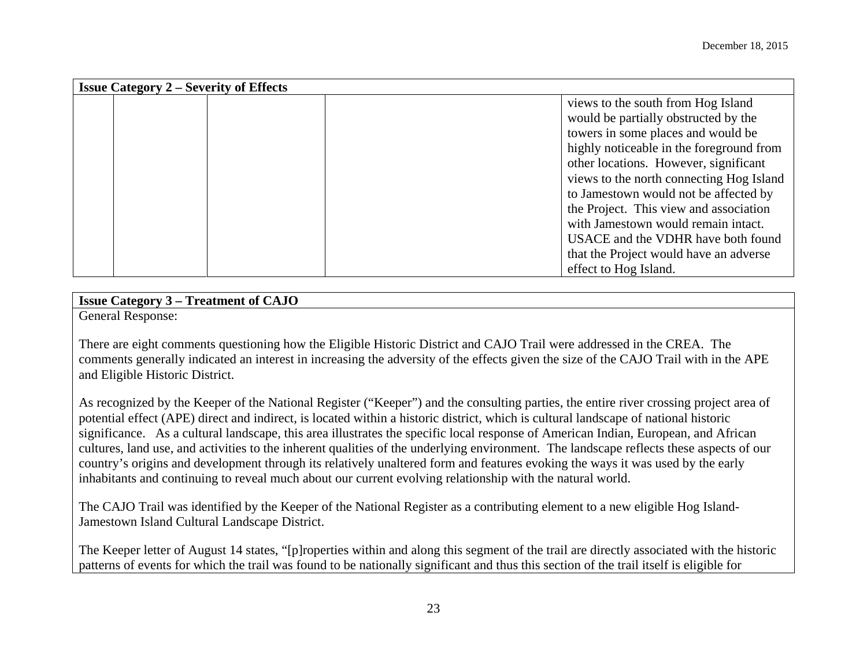| <b>Issue Category 2 – Severity of Effects</b> |                                          |  |  |
|-----------------------------------------------|------------------------------------------|--|--|
|                                               | views to the south from Hog Island       |  |  |
|                                               | would be partially obstructed by the     |  |  |
|                                               | towers in some places and would be       |  |  |
|                                               | highly noticeable in the foreground from |  |  |
|                                               | other locations. However, significant    |  |  |
|                                               | views to the north connecting Hog Island |  |  |
|                                               | to Jamestown would not be affected by    |  |  |
|                                               | the Project. This view and association   |  |  |
|                                               | with Jamestown would remain intact.      |  |  |
|                                               | USACE and the VDHR have both found       |  |  |
|                                               | that the Project would have an adverse   |  |  |
|                                               | effect to Hog Island.                    |  |  |

# **Issue Category 3 – Treatment of CAJO**

General Response:

There are eight comments questioning how the Eligible Historic District and CAJO Trail were addressed in the CREA. The comments generally indicated an interest in increasing the adversity of the effects given the size of the CAJO Trail with in the APE and Eligible Historic District.

As recognized by the Keeper of the National Register ("Keeper") and the consulting parties, the entire river crossing project area of potential effect (APE) direct and indirect, is located within a historic district, which is cultural landscape of national historic significance. As a cultural landscape, this area illustrates the specific local response of American Indian, European, and African cultures, land use, and activities to the inherent qualities of the underlying environment. The landscape reflects these aspects of our country's origins and development through its relatively unaltered form and features evoking the ways it was used by the early inhabitants and continuing to reveal much about our current evolving relationship with the natural world.

The CAJO Trail was identified by the Keeper of the National Register as a contributing element to a new eligible Hog Island-Jamestown Island Cultural Landscape District.

The Keeper letter of August 14 states, "[p]roperties within and along this segment of the trail are directly associated with the historic patterns of events for which the trail was found to be nationally significant and thus this section of the trail itself is eligible for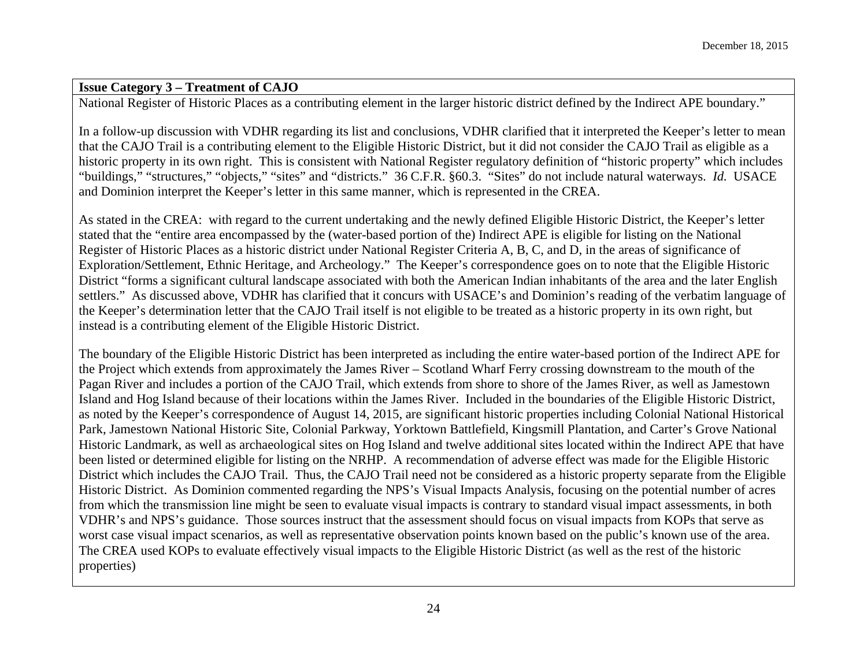## **Issue Category 3 – Treatment of CAJO**

National Register of Historic Places as a contributing element in the larger historic district defined by the Indirect APE boundary."

In a follow-up discussion with VDHR regarding its list and conclusions, VDHR clarified that it interpreted the Keeper's letter to mean that the CAJO Trail is a contributing element to the Eligible Historic District, but it did not consider the CAJO Trail as eligible as a historic property in its own right. This is consistent with National Register regulatory definition of "historic property" which includes "buildings," "structures," "objects," "sites" and "districts." 36 C.F.R. §60.3. "Sites" do not include natural waterways. *Id.* USACE and Dominion interpret the Keeper's letter in this same manner, which is represented in the CREA.

As stated in the CREA: with regard to the current undertaking and the newly defined Eligible Historic District, the Keeper's letter stated that the "entire area encompassed by the (water-based portion of the) Indirect APE is eligible for listing on the National Register of Historic Places as a historic district under National Register Criteria A, B, C, and D, in the areas of significance of Exploration/Settlement, Ethnic Heritage, and Archeology." The Keeper's correspondence goes on to note that the Eligible Historic District "forms a significant cultural landscape associated with both the American Indian inhabitants of the area and the later English settlers." As discussed above, VDHR has clarified that it concurs with USACE's and Dominion's reading of the verbatim language of the Keeper's determination letter that the CAJO Trail itself is not eligible to be treated as a historic property in its own right, but instead is a contributing element of the Eligible Historic District.

The boundary of the Eligible Historic District has been interpreted as including the entire water-based portion of the Indirect APE for the Project which extends from approximately the James River – Scotland Wharf Ferry crossing downstream to the mouth of the Pagan River and includes a portion of the CAJO Trail, which extends from shore to shore of the James River, as well as Jamestown Island and Hog Island because of their locations within the James River. Included in the boundaries of the Eligible Historic District, as noted by the Keeper's correspondence of August 14, 2015, are significant historic properties including Colonial National Historical Park, Jamestown National Historic Site, Colonial Parkway, Yorktown Battlefield, Kingsmill Plantation, and Carter's Grove National Historic Landmark, as well as archaeological sites on Hog Island and twelve additional sites located within the Indirect APE that have been listed or determined eligible for listing on the NRHP. A recommendation of adverse effect was made for the Eligible Historic District which includes the CAJO Trail. Thus, the CAJO Trail need not be considered as a historic property separate from the Eligible Historic District. As Dominion commented regarding the NPS's Visual Impacts Analysis, focusing on the potential number of acres from which the transmission line might be seen to evaluate visual impacts is contrary to standard visual impact assessments, in both VDHR's and NPS's guidance. Those sources instruct that the assessment should focus on visual impacts from KOPs that serve as worst case visual impact scenarios, as well as representative observation points known based on the public's known use of the area. The CREA used KOPs to evaluate effectively visual impacts to the Eligible Historic District (as well as the rest of the historic properties)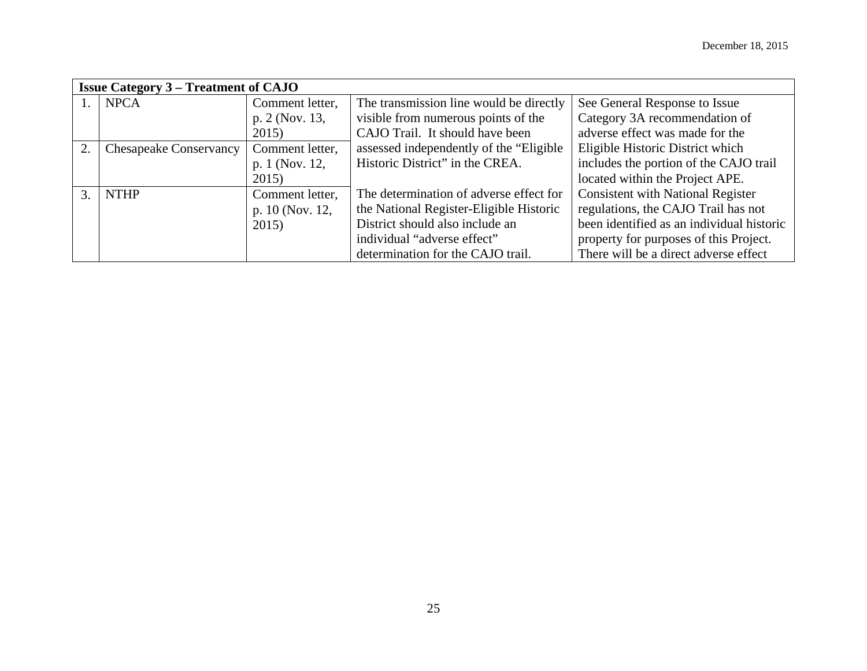|    | <b>Issue Category 3 – Treatment of CAJO</b> |                 |                                          |                                           |  |
|----|---------------------------------------------|-----------------|------------------------------------------|-------------------------------------------|--|
|    | <b>NPCA</b>                                 | Comment letter, | The transmission line would be directly  | See General Response to Issue             |  |
|    |                                             | p. 2 (Nov. 13,  | visible from numerous points of the      | Category 3A recommendation of             |  |
|    |                                             | 2015)           | CAJO Trail. It should have been          | adverse effect was made for the           |  |
| 2. | <b>Chesapeake Conservancy</b>               | Comment letter, | assessed independently of the "Eligible" | Eligible Historic District which          |  |
|    |                                             | p. 1 (Nov. 12,  | Historic District" in the CREA.          | includes the portion of the CAJO trail    |  |
|    |                                             | 2015)           |                                          | located within the Project APE.           |  |
| 3. | <b>NTHP</b>                                 | Comment letter, | The determination of adverse effect for  | <b>Consistent with National Register</b>  |  |
|    |                                             | p. 10 (Nov. 12, | the National Register-Eligible Historic  | regulations, the CAJO Trail has not       |  |
|    |                                             | 2015)           | District should also include an          | been identified as an individual historic |  |
|    |                                             |                 | individual "adverse effect"              | property for purposes of this Project.    |  |
|    |                                             |                 | determination for the CAJO trail.        | There will be a direct adverse effect     |  |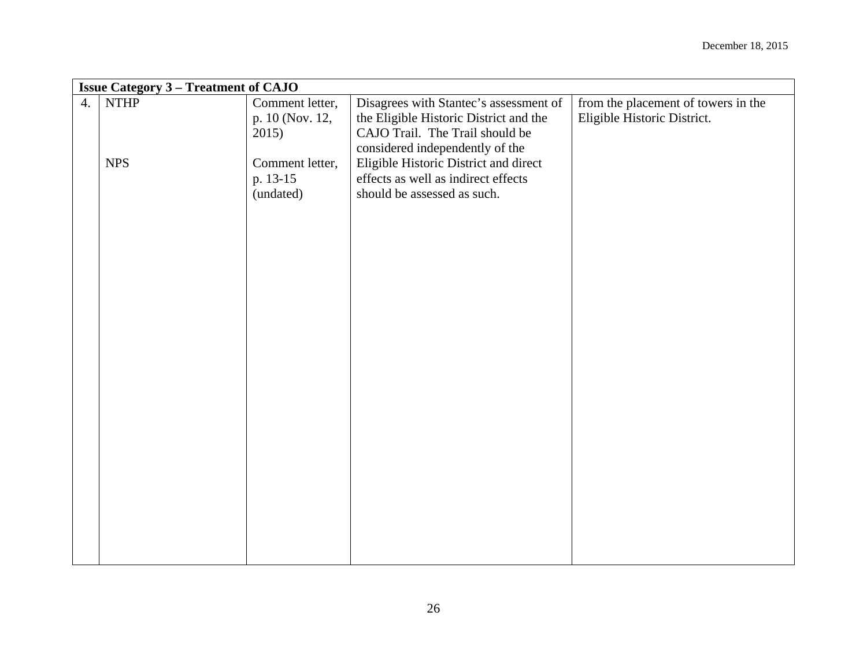|                  | <b>Issue Category 3 - Treatment of CAJO</b> |                 |                                        |                                     |  |  |
|------------------|---------------------------------------------|-----------------|----------------------------------------|-------------------------------------|--|--|
| $\overline{4}$ . | <b>NTHP</b>                                 | Comment letter, | Disagrees with Stantec's assessment of | from the placement of towers in the |  |  |
|                  |                                             | p. 10 (Nov. 12, | the Eligible Historic District and the | Eligible Historic District.         |  |  |
|                  |                                             | 2015)           | CAJO Trail. The Trail should be        |                                     |  |  |
|                  |                                             |                 | considered independently of the        |                                     |  |  |
|                  | <b>NPS</b>                                  | Comment letter, | Eligible Historic District and direct  |                                     |  |  |
|                  |                                             | p. 13-15        | effects as well as indirect effects    |                                     |  |  |
|                  |                                             | (undated)       | should be assessed as such.            |                                     |  |  |
|                  |                                             |                 |                                        |                                     |  |  |
|                  |                                             |                 |                                        |                                     |  |  |
|                  |                                             |                 |                                        |                                     |  |  |
|                  |                                             |                 |                                        |                                     |  |  |
|                  |                                             |                 |                                        |                                     |  |  |
|                  |                                             |                 |                                        |                                     |  |  |
|                  |                                             |                 |                                        |                                     |  |  |
|                  |                                             |                 |                                        |                                     |  |  |
|                  |                                             |                 |                                        |                                     |  |  |
|                  |                                             |                 |                                        |                                     |  |  |
|                  |                                             |                 |                                        |                                     |  |  |
|                  |                                             |                 |                                        |                                     |  |  |
|                  |                                             |                 |                                        |                                     |  |  |
|                  |                                             |                 |                                        |                                     |  |  |
|                  |                                             |                 |                                        |                                     |  |  |
|                  |                                             |                 |                                        |                                     |  |  |
|                  |                                             |                 |                                        |                                     |  |  |
|                  |                                             |                 |                                        |                                     |  |  |
|                  |                                             |                 |                                        |                                     |  |  |
|                  |                                             |                 |                                        |                                     |  |  |
|                  |                                             |                 |                                        |                                     |  |  |
|                  |                                             |                 |                                        |                                     |  |  |
|                  |                                             |                 |                                        |                                     |  |  |
|                  |                                             |                 |                                        |                                     |  |  |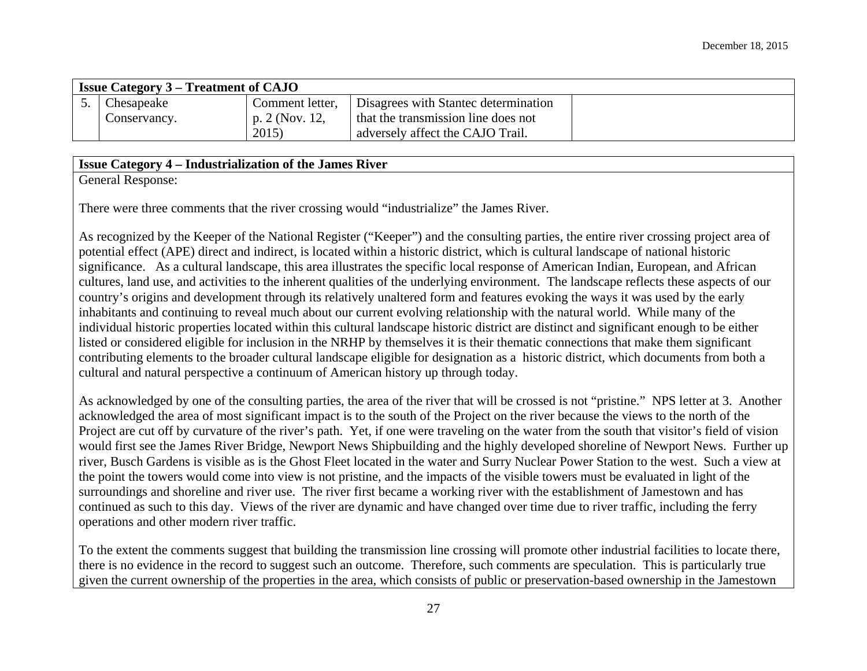| <b>Issue Category 3 – Treatment of CAJO</b> |                 |                                      |  |
|---------------------------------------------|-----------------|--------------------------------------|--|
| Chesapeake                                  | Comment letter, | Disagrees with Stantec determination |  |
| Conservancy.                                | p. 2 (Nov. 12,  | that the transmission line does not  |  |
|                                             | 2015            | adversely affect the CAJO Trail.     |  |

# **Issue Category 4 – Industrialization of the James River**

General Response:

There were three comments that the river crossing would "industrialize" the James River.

As recognized by the Keeper of the National Register ("Keeper") and the consulting parties, the entire river crossing project area of potential effect (APE) direct and indirect, is located within a historic district, which is cultural landscape of national historic significance. As a cultural landscape, this area illustrates the specific local response of American Indian, European, and African cultures, land use, and activities to the inherent qualities of the underlying environment. The landscape reflects these aspects of our country's origins and development through its relatively unaltered form and features evoking the ways it was used by the early inhabitants and continuing to reveal much about our current evolving relationship with the natural world. While many of the individual historic properties located within this cultural landscape historic district are distinct and significant enough to be either listed or considered eligible for inclusion in the NRHP by themselves it is their thematic connections that make them significant contributing elements to the broader cultural landscape eligible for designation as a historic district, which documents from both a cultural and natural perspective a continuum of American history up through today.

As acknowledged by one of the consulting parties, the area of the river that will be crossed is not "pristine." NPS letter at 3. Another acknowledged the area of most significant impact is to the south of the Project on the river because the views to the north of the Project are cut off by curvature of the river's path. Yet, if one were traveling on the water from the south that visitor's field of vision would first see the James River Bridge, Newport News Shipbuilding and the highly developed shoreline of Newport News. Further up river, Busch Gardens is visible as is the Ghost Fleet located in the water and Surry Nuclear Power Station to the west. Such a view at the point the towers would come into view is not pristine, and the impacts of the visible towers must be evaluated in light of the surroundings and shoreline and river use. The river first became a working river with the establishment of Jamestown and has continued as such to this day. Views of the river are dynamic and have changed over time due to river traffic, including the ferry operations and other modern river traffic.

To the extent the comments suggest that building the transmission line crossing will promote other industrial facilities to locate there, there is no evidence in the record to suggest such an outcome. Therefore, such comments are speculation. This is particularly true given the current ownership of the properties in the area, which consists of public or preservation-based ownership in the Jamestown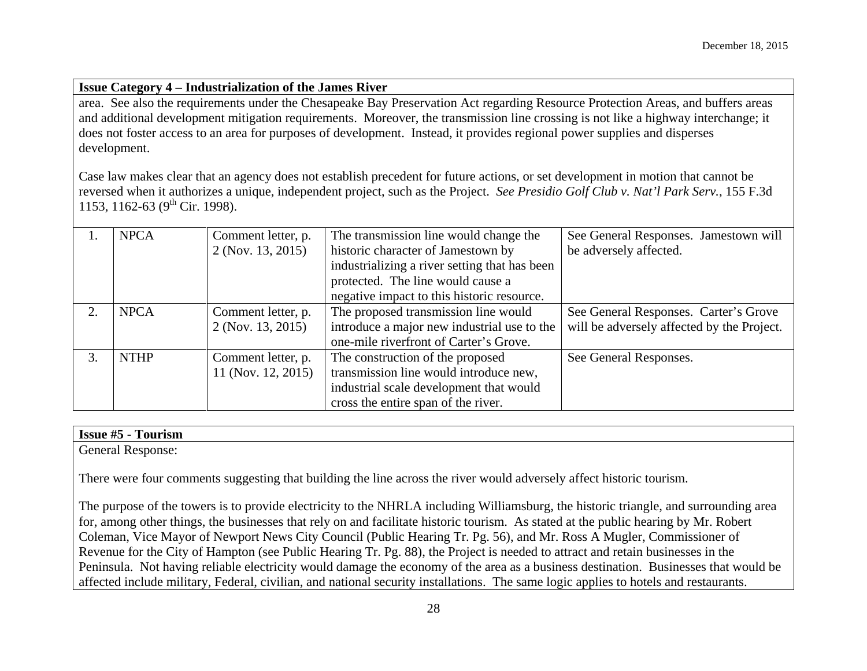#### **Issue Category 4 – Industrialization of the James River**

area. See also the requirements under the Chesapeake Bay Preservation Act regarding Resource Protection Areas, and buffers areas and additional development mitigation requirements. Moreover, the transmission line crossing is not like a highway interchange; it does not foster access to an area for purposes of development. Instead, it provides regional power supplies and disperses development.

Case law makes clear that an agency does not establish precedent for future actions, or set development in motion that cannot be reversed when it authorizes a unique, independent project, such as the Project. *See Presidio Golf Club v. Nat'l Park Serv.*, 155 F.3d 1153, 1162-63 ( $9^{th}$  Cir. 1998).

|    | <b>NPCA</b> | Comment letter, p. | The transmission line would change the        | See General Responses. Jamestown will      |
|----|-------------|--------------------|-----------------------------------------------|--------------------------------------------|
|    |             | 2 (Nov. 13, 2015)  | historic character of Jamestown by            | be adversely affected.                     |
|    |             |                    | industrializing a river setting that has been |                                            |
|    |             |                    | protected. The line would cause a             |                                            |
|    |             |                    | negative impact to this historic resource.    |                                            |
|    | <b>NPCA</b> | Comment letter, p. | The proposed transmission line would          | See General Responses. Carter's Grove      |
|    |             | 2 (Nov. 13, 2015)  | introduce a major new industrial use to the   | will be adversely affected by the Project. |
|    |             |                    | one-mile riverfront of Carter's Grove.        |                                            |
| 3. | <b>NTHP</b> | Comment letter, p. | The construction of the proposed              | See General Responses.                     |
|    |             | 11 (Nov. 12, 2015) | transmission line would introduce new,        |                                            |
|    |             |                    | industrial scale development that would       |                                            |
|    |             |                    | cross the entire span of the river.           |                                            |

# **Issue #5 - Tourism**

General Response:

There were four comments suggesting that building the line across the river would adversely affect historic tourism.

The purpose of the towers is to provide electricity to the NHRLA including Williamsburg, the historic triangle, and surrounding area for, among other things, the businesses that rely on and facilitate historic tourism. As stated at the public hearing by Mr. Robert Coleman, Vice Mayor of Newport News City Council (Public Hearing Tr. Pg. 56), and Mr. Ross A Mugler, Commissioner of Revenue for the City of Hampton (see Public Hearing Tr. Pg. 88), the Project is needed to attract and retain businesses in the Peninsula. Not having reliable electricity would damage the economy of the area as a business destination. Businesses that would be affected include military, Federal, civilian, and national security installations. The same logic applies to hotels and restaurants.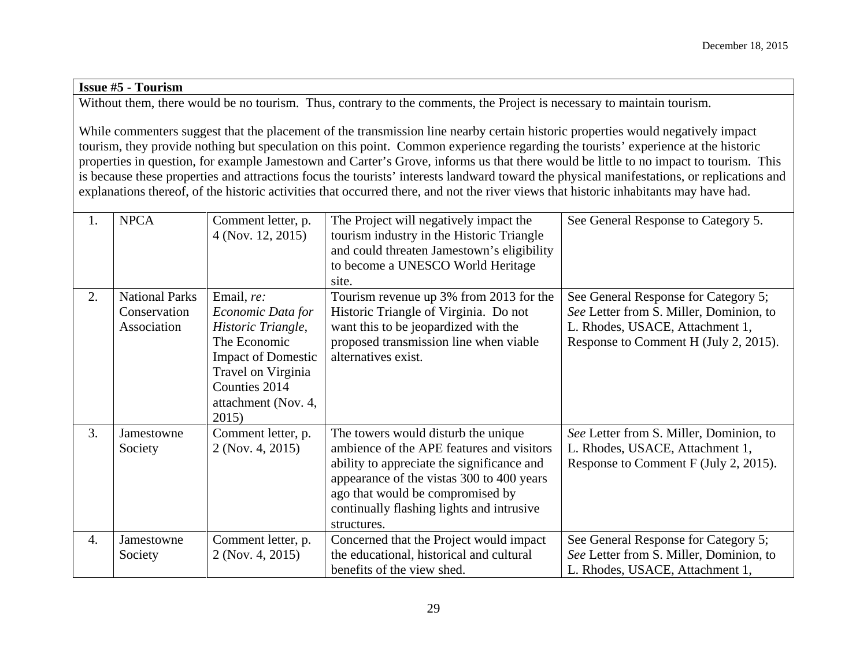# **Issue #5 - Tourism**

Without them, there would be no tourism. Thus, contrary to the comments, the Project is necessary to maintain tourism.

While commenters suggest that the placement of the transmission line nearby certain historic properties would negatively impact tourism, they provide nothing but speculation on this point. Common experience regarding the tourists' experience at the historic properties in question, for example Jamestown and Carter's Grove, informs us that there would be little to no impact to tourism. This is because these properties and attractions focus the tourists' interests landward toward the physical manifestations, or replications and explanations thereof, of the historic activities that occurred there, and not the river views that historic inhabitants may have had.

| 1.               | <b>NPCA</b>                                          | Comment letter, p.<br>4 (Nov. 12, 2015)                                                                                                                                   | The Project will negatively impact the<br>tourism industry in the Historic Triangle<br>and could threaten Jamestown's eligibility<br>to become a UNESCO World Heritage<br>site.                                                                                             | See General Response to Category 5.                                                                                                                         |
|------------------|------------------------------------------------------|---------------------------------------------------------------------------------------------------------------------------------------------------------------------------|-----------------------------------------------------------------------------------------------------------------------------------------------------------------------------------------------------------------------------------------------------------------------------|-------------------------------------------------------------------------------------------------------------------------------------------------------------|
| 2.               | <b>National Parks</b><br>Conservation<br>Association | Email, re:<br>Economic Data for<br>Historic Triangle,<br>The Economic<br><b>Impact of Domestic</b><br>Travel on Virginia<br>Counties 2014<br>attachment (Nov. 4,<br>2015) | Tourism revenue up 3% from 2013 for the<br>Historic Triangle of Virginia. Do not<br>want this to be jeopardized with the<br>proposed transmission line when viable<br>alternatives exist.                                                                                   | See General Response for Category 5;<br>See Letter from S. Miller, Dominion, to<br>L. Rhodes, USACE, Attachment 1,<br>Response to Comment H (July 2, 2015). |
| 3.               | Jamestowne<br>Society                                | Comment letter, p.<br>2 (Nov. 4, 2015)                                                                                                                                    | The towers would disturb the unique<br>ambience of the APE features and visitors<br>ability to appreciate the significance and<br>appearance of the vistas 300 to 400 years<br>ago that would be compromised by<br>continually flashing lights and intrusive<br>structures. | See Letter from S. Miller, Dominion, to<br>L. Rhodes, USACE, Attachment 1,<br>Response to Comment F (July 2, 2015).                                         |
| $\overline{4}$ . | Jamestowne<br>Society                                | Comment letter, p.<br>$2$ (Nov. 4, 2015)                                                                                                                                  | Concerned that the Project would impact<br>the educational, historical and cultural<br>benefits of the view shed.                                                                                                                                                           | See General Response for Category 5;<br>See Letter from S. Miller, Dominion, to<br>L. Rhodes, USACE, Attachment 1,                                          |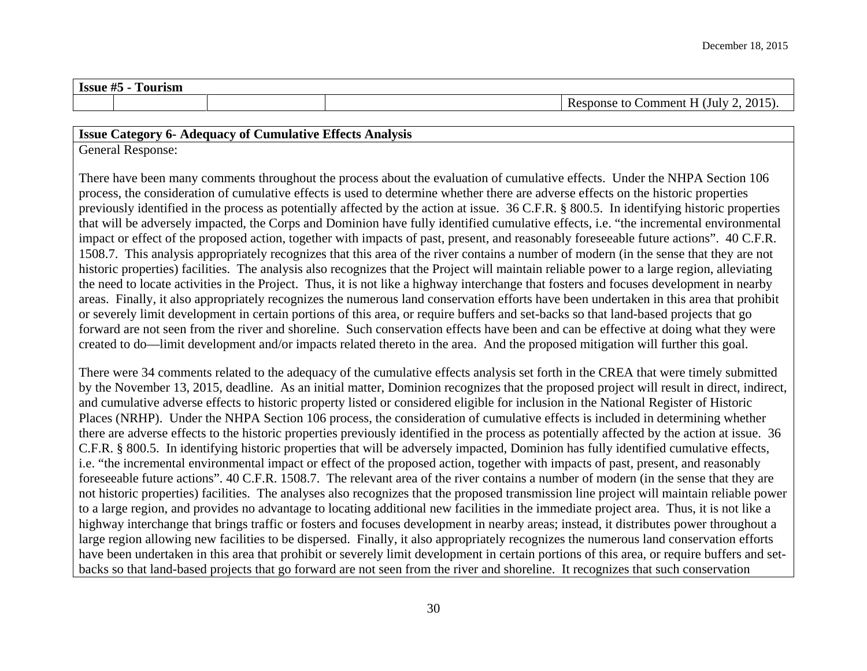**Issue #5 - Tourism**

Response to Comment H (July 2, 2015).

## **Issue Category 6- Adequacy of Cumulative Effects Analysis**

General Response:

There have been many comments throughout the process about the evaluation of cumulative effects. Under the NHPA Section 106 process, the consideration of cumulative effects is used to determine whether there are adverse effects on the historic properties previously identified in the process as potentially affected by the action at issue. 36 C.F.R. § 800.5. In identifying historic properties that will be adversely impacted, the Corps and Dominion have fully identified cumulative effects, i.e. "the incremental environmental impact or effect of the proposed action, together with impacts of past, present, and reasonably foreseeable future actions". 40 C.F.R. 1508.7. This analysis appropriately recognizes that this area of the river contains a number of modern (in the sense that they are not historic properties) facilities. The analysis also recognizes that the Project will maintain reliable power to a large region, alleviating the need to locate activities in the Project. Thus, it is not like a highway interchange that fosters and focuses development in nearby areas. Finally, it also appropriately recognizes the numerous land conservation efforts have been undertaken in this area that prohibit or severely limit development in certain portions of this area, or require buffers and set-backs so that land-based projects that go forward are not seen from the river and shoreline. Such conservation effects have been and can be effective at doing what they were created to do—limit development and/or impacts related thereto in the area. And the proposed mitigation will further this goal.

There were 34 comments related to the adequacy of the cumulative effects analysis set forth in the CREA that were timely submitted by the November 13, 2015, deadline. As an initial matter, Dominion recognizes that the proposed project will result in direct, indirect, and cumulative adverse effects to historic property listed or considered eligible for inclusion in the National Register of Historic Places (NRHP). Under the NHPA Section 106 process, the consideration of cumulative effects is included in determining whether there are adverse effects to the historic properties previously identified in the process as potentially affected by the action at issue. 36 C.F.R. § 800.5. In identifying historic properties that will be adversely impacted, Dominion has fully identified cumulative effects, i.e. "the incremental environmental impact or effect of the proposed action, together with impacts of past, present, and reasonably foreseeable future actions". 40 C.F.R. 1508.7. The relevant area of the river contains a number of modern (in the sense that they are not historic properties) facilities. The analyses also recognizes that the proposed transmission line project will maintain reliable power to a large region, and provides no advantage to locating additional new facilities in the immediate project area. Thus, it is not like a highway interchange that brings traffic or fosters and focuses development in nearby areas; instead, it distributes power throughout a large region allowing new facilities to be dispersed. Finally, it also appropriately recognizes the numerous land conservation efforts have been undertaken in this area that prohibit or severely limit development in certain portions of this area, or require buffers and setbacks so that land-based projects that go forward are not seen from the river and shoreline. It recognizes that such conservation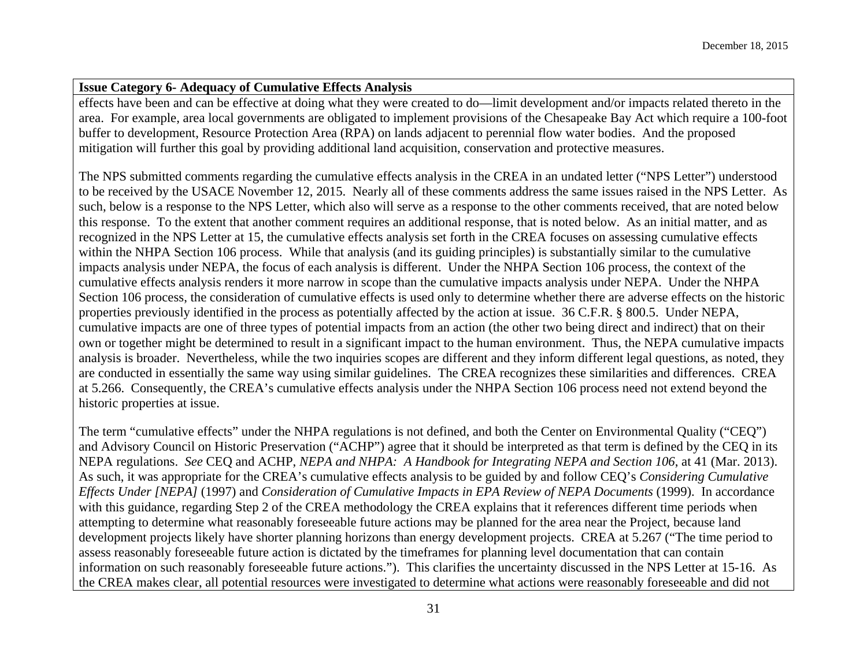effects have been and can be effective at doing what they were created to do—limit development and/or impacts related thereto in the area. For example, area local governments are obligated to implement provisions of the Chesapeake Bay Act which require a 100-foot buffer to development, Resource Protection Area (RPA) on lands adjacent to perennial flow water bodies. And the proposed mitigation will further this goal by providing additional land acquisition, conservation and protective measures.

The NPS submitted comments regarding the cumulative effects analysis in the CREA in an undated letter ("NPS Letter") understood to be received by the USACE November 12, 2015. Nearly all of these comments address the same issues raised in the NPS Letter. As such, below is a response to the NPS Letter, which also will serve as a response to the other comments received, that are noted below this response. To the extent that another comment requires an additional response, that is noted below. As an initial matter, and as recognized in the NPS Letter at 15, the cumulative effects analysis set forth in the CREA focuses on assessing cumulative effects within the NHPA Section 106 process. While that analysis (and its guiding principles) is substantially similar to the cumulative impacts analysis under NEPA, the focus of each analysis is different. Under the NHPA Section 106 process, the context of the cumulative effects analysis renders it more narrow in scope than the cumulative impacts analysis under NEPA. Under the NHPA Section 106 process, the consideration of cumulative effects is used only to determine whether there are adverse effects on the historic properties previously identified in the process as potentially affected by the action at issue. 36 C.F.R. § 800.5. Under NEPA, cumulative impacts are one of three types of potential impacts from an action (the other two being direct and indirect) that on their own or together might be determined to result in a significant impact to the human environment. Thus, the NEPA cumulative impacts analysis is broader. Nevertheless, while the two inquiries scopes are different and they inform different legal questions, as noted, they are conducted in essentially the same way using similar guidelines. The CREA recognizes these similarities and differences. CREA at 5.266. Consequently, the CREA's cumulative effects analysis under the NHPA Section 106 process need not extend beyond the historic properties at issue.

The term "cumulative effects" under the NHPA regulations is not defined, and both the Center on Environmental Quality ("CEQ") and Advisory Council on Historic Preservation ("ACHP") agree that it should be interpreted as that term is defined by the CEQ in its NEPA regulations. *See* CEQ and ACHP, *NEPA and NHPA: A Handbook for Integrating NEPA and Section 106*, at 41 (Mar. 2013). As such, it was appropriate for the CREA's cumulative effects analysis to be guided by and follow CEQ's *Considering Cumulative Effects Under [NEPA]* (1997) and *Consideration of Cumulative Impacts in EPA Review of NEPA Documents* (1999). In accordance with this guidance, regarding Step 2 of the CREA methodology the CREA explains that it references different time periods when attempting to determine what reasonably foreseeable future actions may be planned for the area near the Project, because land development projects likely have shorter planning horizons than energy development projects. CREA at 5.267 ("The time period to assess reasonably foreseeable future action is dictated by the timeframes for planning level documentation that can contain information on such reasonably foreseeable future actions."). This clarifies the uncertainty discussed in the NPS Letter at 15-16. As the CREA makes clear, all potential resources were investigated to determine what actions were reasonably foreseeable and did not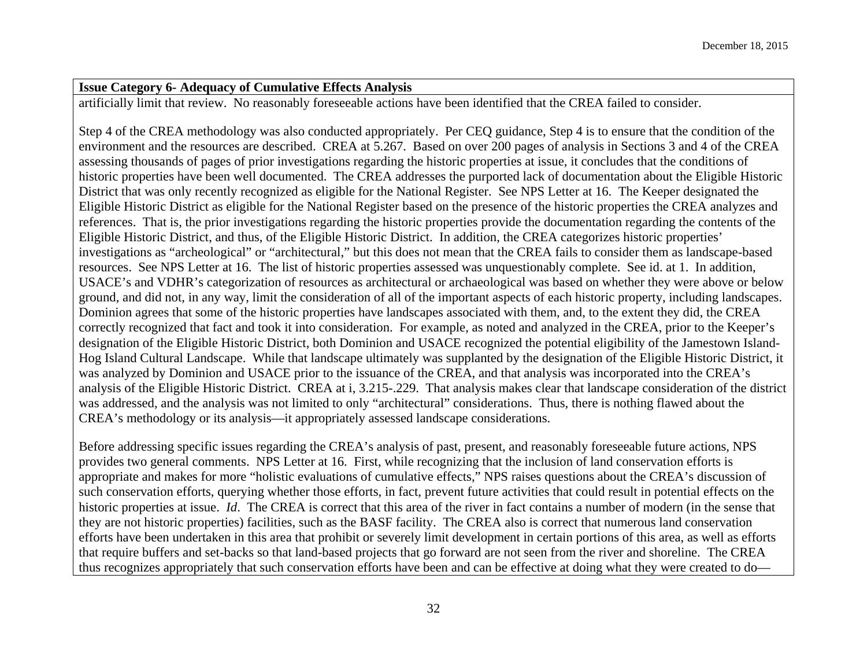artificially limit that review. No reasonably foreseeable actions have been identified that the CREA failed to consider.

Step 4 of the CREA methodology was also conducted appropriately. Per CEQ guidance, Step 4 is to ensure that the condition of the environment and the resources are described. CREA at 5.267. Based on over 200 pages of analysis in Sections 3 and 4 of the CREA assessing thousands of pages of prior investigations regarding the historic properties at issue, it concludes that the conditions of historic properties have been well documented. The CREA addresses the purported lack of documentation about the Eligible Historic District that was only recently recognized as eligible for the National Register. See NPS Letter at 16. The Keeper designated the Eligible Historic District as eligible for the National Register based on the presence of the historic properties the CREA analyzes and references. That is, the prior investigations regarding the historic properties provide the documentation regarding the contents of the Eligible Historic District, and thus, of the Eligible Historic District. In addition, the CREA categorizes historic properties' investigations as "archeological" or "architectural," but this does not mean that the CREA fails to consider them as landscape-based resources. See NPS Letter at 16. The list of historic properties assessed was unquestionably complete. See id. at 1. In addition, USACE's and VDHR's categorization of resources as architectural or archaeological was based on whether they were above or below ground, and did not, in any way, limit the consideration of all of the important aspects of each historic property, including landscapes. Dominion agrees that some of the historic properties have landscapes associated with them, and, to the extent they did, the CREA correctly recognized that fact and took it into consideration. For example, as noted and analyzed in the CREA, prior to the Keeper's designation of the Eligible Historic District, both Dominion and USACE recognized the potential eligibility of the Jamestown Island-Hog Island Cultural Landscape. While that landscape ultimately was supplanted by the designation of the Eligible Historic District, it was analyzed by Dominion and USACE prior to the issuance of the CREA, and that analysis was incorporated into the CREA's analysis of the Eligible Historic District. CREA at i, 3.215-.229. That analysis makes clear that landscape consideration of the district was addressed, and the analysis was not limited to only "architectural" considerations. Thus, there is nothing flawed about the CREA's methodology or its analysis—it appropriately assessed landscape considerations.

Before addressing specific issues regarding the CREA's analysis of past, present, and reasonably foreseeable future actions, NPS provides two general comments. NPS Letter at 16. First, while recognizing that the inclusion of land conservation efforts is appropriate and makes for more "holistic evaluations of cumulative effects," NPS raises questions about the CREA's discussion of such conservation efforts, querying whether those efforts, in fact, prevent future activities that could result in potential effects on the historic properties at issue. *Id*. The CREA is correct that this area of the river in fact contains a number of modern (in the sense that they are not historic properties) facilities, such as the BASF facility. The CREA also is correct that numerous land conservation efforts have been undertaken in this area that prohibit or severely limit development in certain portions of this area, as well as efforts that require buffers and set-backs so that land-based projects that go forward are not seen from the river and shoreline. The CREA thus recognizes appropriately that such conservation efforts have been and can be effective at doing what they were created to do—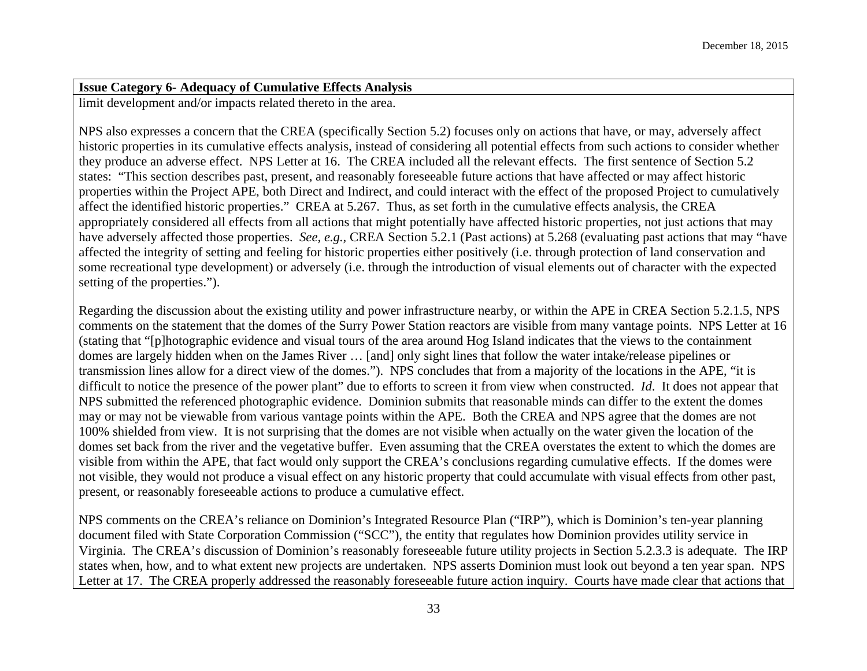limit development and/or impacts related thereto in the area.

NPS also expresses a concern that the CREA (specifically Section 5.2) focuses only on actions that have, or may, adversely affect historic properties in its cumulative effects analysis, instead of considering all potential effects from such actions to consider whether they produce an adverse effect. NPS Letter at 16. The CREA included all the relevant effects. The first sentence of Section 5.2 states: "This section describes past, present, and reasonably foreseeable future actions that have affected or may affect historic properties within the Project APE, both Direct and Indirect, and could interact with the effect of the proposed Project to cumulatively affect the identified historic properties." CREA at 5.267. Thus, as set forth in the cumulative effects analysis, the CREA appropriately considered all effects from all actions that might potentially have affected historic properties, not just actions that may have adversely affected those properties. *See, e.g.*, CREA Section 5.2.1 (Past actions) at 5.268 (evaluating past actions that may "have affected the integrity of setting and feeling for historic properties either positively (i.e. through protection of land conservation and some recreational type development) or adversely (i.e. through the introduction of visual elements out of character with the expected setting of the properties.").

Regarding the discussion about the existing utility and power infrastructure nearby, or within the APE in CREA Section 5.2.1.5, NPS comments on the statement that the domes of the Surry Power Station reactors are visible from many vantage points. NPS Letter at 16 (stating that "[p]hotographic evidence and visual tours of the area around Hog Island indicates that the views to the containment domes are largely hidden when on the James River … [and] only sight lines that follow the water intake/release pipelines or transmission lines allow for a direct view of the domes."). NPS concludes that from a majority of the locations in the APE, "it is difficult to notice the presence of the power plant" due to efforts to screen it from view when constructed. *Id*. It does not appear that NPS submitted the referenced photographic evidence. Dominion submits that reasonable minds can differ to the extent the domes may or may not be viewable from various vantage points within the APE. Both the CREA and NPS agree that the domes are not 100% shielded from view. It is not surprising that the domes are not visible when actually on the water given the location of the domes set back from the river and the vegetative buffer. Even assuming that the CREA overstates the extent to which the domes are visible from within the APE, that fact would only support the CREA's conclusions regarding cumulative effects. If the domes were not visible, they would not produce a visual effect on any historic property that could accumulate with visual effects from other past, present, or reasonably foreseeable actions to produce a cumulative effect.

NPS comments on the CREA's reliance on Dominion's Integrated Resource Plan ("IRP"), which is Dominion's ten-year planning document filed with State Corporation Commission ("SCC"), the entity that regulates how Dominion provides utility service in Virginia. The CREA's discussion of Dominion's reasonably foreseeable future utility projects in Section 5.2.3.3 is adequate. The IRP states when, how, and to what extent new projects are undertaken. NPS asserts Dominion must look out beyond a ten year span. NPS Letter at 17. The CREA properly addressed the reasonably foreseeable future action inquiry. Courts have made clear that actions that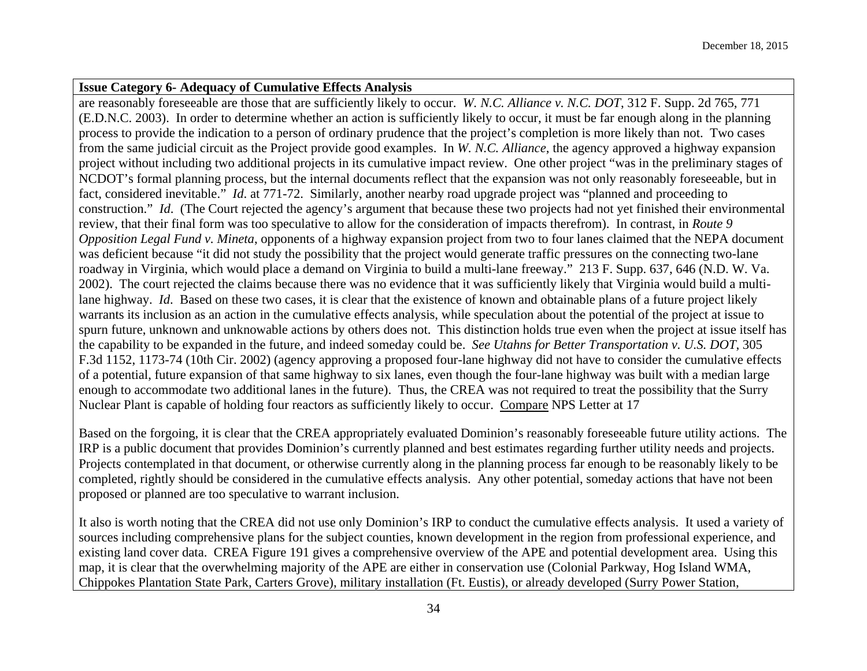are reasonably foreseeable are those that are sufficiently likely to occur. *W. N.C. Alliance v. N.C. DOT*, 312 F. Supp. 2d 765, 771 (E.D.N.C. 2003). In order to determine whether an action is sufficiently likely to occur, it must be far enough along in the planning process to provide the indication to a person of ordinary prudence that the project's completion is more likely than not. Two cases from the same judicial circuit as the Project provide good examples. In *W. N.C. Alliance*, the agency approved a highway expansion project without including two additional projects in its cumulative impact review. One other project "was in the preliminary stages of NCDOT's formal planning process, but the internal documents reflect that the expansion was not only reasonably foreseeable, but in fact, considered inevitable." *Id*. at 771-72. Similarly, another nearby road upgrade project was "planned and proceeding to construction." *Id.* (The Court rejected the agency's argument that because these two projects had not yet finished their environmental review, that their final form was too speculative to allow for the consideration of impacts therefrom). In contrast, in *Route 9 Opposition Legal Fund v. Mineta*, opponents of a highway expansion project from two to four lanes claimed that the NEPA document was deficient because "it did not study the possibility that the project would generate traffic pressures on the connecting two-lane roadway in Virginia, which would place a demand on Virginia to build a multi-lane freeway." 213 F. Supp. 637, 646 (N.D. W. Va. 2002). The court rejected the claims because there was no evidence that it was sufficiently likely that Virginia would build a multilane highway. *Id*. Based on these two cases, it is clear that the existence of known and obtainable plans of a future project likely warrants its inclusion as an action in the cumulative effects analysis, while speculation about the potential of the project at issue to spurn future, unknown and unknowable actions by others does not. This distinction holds true even when the project at issue itself has the capability to be expanded in the future, and indeed someday could be. *See Utahns for Better Transportation v. U.S. DOT*, 305 F.3d 1152, 1173-74 (10th Cir. 2002) (agency approving a proposed four-lane highway did not have to consider the cumulative effects of a potential, future expansion of that same highway to six lanes, even though the four-lane highway was built with a median large enough to accommodate two additional lanes in the future). Thus, the CREA was not required to treat the possibility that the Surry Nuclear Plant is capable of holding four reactors as sufficiently likely to occur. Compare NPS Letter at 17

Based on the forgoing, it is clear that the CREA appropriately evaluated Dominion's reasonably foreseeable future utility actions. The IRP is a public document that provides Dominion's currently planned and best estimates regarding further utility needs and projects. Projects contemplated in that document, or otherwise currently along in the planning process far enough to be reasonably likely to be completed, rightly should be considered in the cumulative effects analysis. Any other potential, someday actions that have not been proposed or planned are too speculative to warrant inclusion.

It also is worth noting that the CREA did not use only Dominion's IRP to conduct the cumulative effects analysis. It used a variety of sources including comprehensive plans for the subject counties, known development in the region from professional experience, and existing land cover data. CREA Figure 191 gives a comprehensive overview of the APE and potential development area. Using this map, it is clear that the overwhelming majority of the APE are either in conservation use (Colonial Parkway, Hog Island WMA, Chippokes Plantation State Park, Carters Grove), military installation (Ft. Eustis), or already developed (Surry Power Station,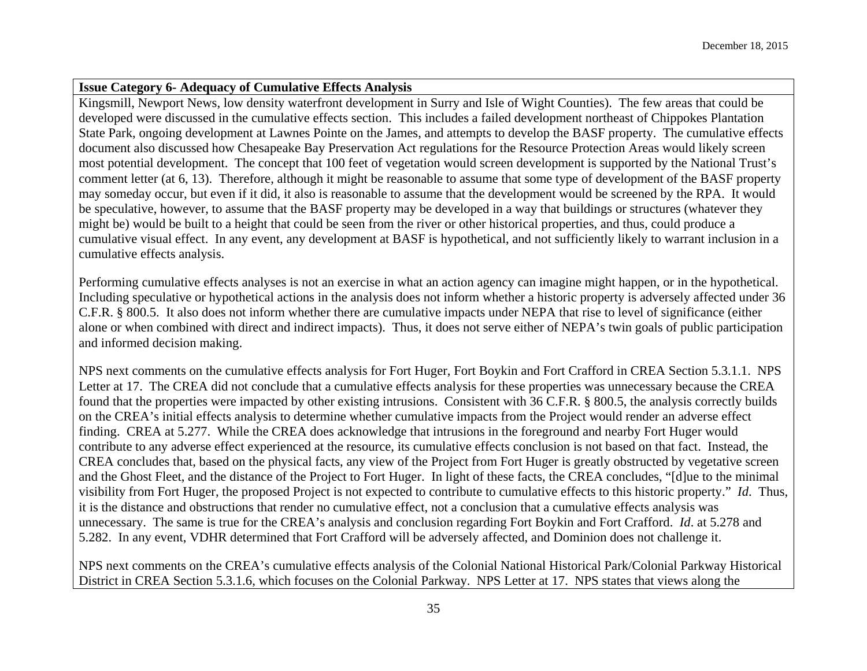Kingsmill, Newport News, low density waterfront development in Surry and Isle of Wight Counties). The few areas that could be developed were discussed in the cumulative effects section. This includes a failed development northeast of Chippokes Plantation State Park, ongoing development at Lawnes Pointe on the James, and attempts to develop the BASF property. The cumulative effects document also discussed how Chesapeake Bay Preservation Act regulations for the Resource Protection Areas would likely screen most potential development. The concept that 100 feet of vegetation would screen development is supported by the National Trust's comment letter (at 6, 13). Therefore, although it might be reasonable to assume that some type of development of the BASF property may someday occur, but even if it did, it also is reasonable to assume that the development would be screened by the RPA. It would be speculative, however, to assume that the BASF property may be developed in a way that buildings or structures (whatever they might be) would be built to a height that could be seen from the river or other historical properties, and thus, could produce a cumulative visual effect. In any event, any development at BASF is hypothetical, and not sufficiently likely to warrant inclusion in a cumulative effects analysis.

Performing cumulative effects analyses is not an exercise in what an action agency can imagine might happen, or in the hypothetical. Including speculative or hypothetical actions in the analysis does not inform whether a historic property is adversely affected under 36 C.F.R. § 800.5. It also does not inform whether there are cumulative impacts under NEPA that rise to level of significance (either alone or when combined with direct and indirect impacts). Thus, it does not serve either of NEPA's twin goals of public participation and informed decision making.

NPS next comments on the cumulative effects analysis for Fort Huger, Fort Boykin and Fort Crafford in CREA Section 5.3.1.1. NPS Letter at 17. The CREA did not conclude that a cumulative effects analysis for these properties was unnecessary because the CREA found that the properties were impacted by other existing intrusions. Consistent with 36 C.F.R. § 800.5, the analysis correctly builds on the CREA's initial effects analysis to determine whether cumulative impacts from the Project would render an adverse effect finding. CREA at 5.277. While the CREA does acknowledge that intrusions in the foreground and nearby Fort Huger would contribute to any adverse effect experienced at the resource, its cumulative effects conclusion is not based on that fact. Instead, the CREA concludes that, based on the physical facts, any view of the Project from Fort Huger is greatly obstructed by vegetative screen and the Ghost Fleet, and the distance of the Project to Fort Huger. In light of these facts, the CREA concludes, "[d]ue to the minimal visibility from Fort Huger, the proposed Project is not expected to contribute to cumulative effects to this historic property." *Id*. Thus, it is the distance and obstructions that render no cumulative effect, not a conclusion that a cumulative effects analysis was unnecessary. The same is true for the CREA's analysis and conclusion regarding Fort Boykin and Fort Crafford. *Id*. at 5.278 and 5.282. In any event, VDHR determined that Fort Crafford will be adversely affected, and Dominion does not challenge it.

NPS next comments on the CREA's cumulative effects analysis of the Colonial National Historical Park/Colonial Parkway Historical District in CREA Section 5.3.1.6, which focuses on the Colonial Parkway. NPS Letter at 17. NPS states that views along the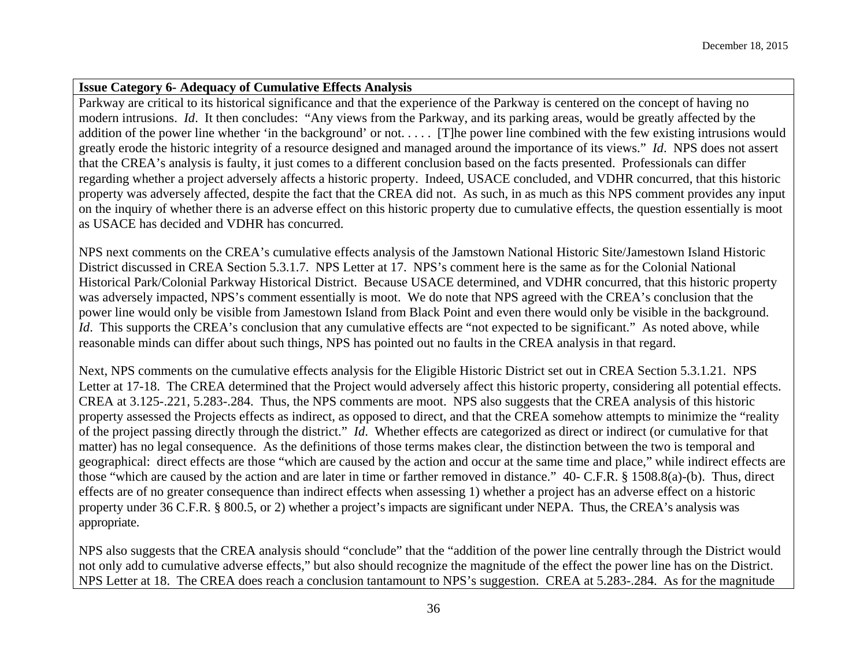Parkway are critical to its historical significance and that the experience of the Parkway is centered on the concept of having no modern intrusions. *Id*. It then concludes: "Any views from the Parkway, and its parking areas, would be greatly affected by the addition of the power line whether 'in the background' or not..... [T]he power line combined with the few existing intrusions would greatly erode the historic integrity of a resource designed and managed around the importance of its views." *Id*. NPS does not assert that the CREA's analysis is faulty, it just comes to a different conclusion based on the facts presented. Professionals can differ regarding whether a project adversely affects a historic property. Indeed, USACE concluded, and VDHR concurred, that this historic property was adversely affected, despite the fact that the CREA did not. As such, in as much as this NPS comment provides any input on the inquiry of whether there is an adverse effect on this historic property due to cumulative effects, the question essentially is moot as USACE has decided and VDHR has concurred.

NPS next comments on the CREA's cumulative effects analysis of the Jamstown National Historic Site/Jamestown Island Historic District discussed in CREA Section 5.3.1.7. NPS Letter at 17. NPS's comment here is the same as for the Colonial National Historical Park/Colonial Parkway Historical District. Because USACE determined, and VDHR concurred, that this historic property was adversely impacted, NPS's comment essentially is moot. We do note that NPS agreed with the CREA's conclusion that the power line would only be visible from Jamestown Island from Black Point and even there would only be visible in the background. *Id.* This supports the CREA's conclusion that any cumulative effects are "not expected to be significant." As noted above, while reasonable minds can differ about such things, NPS has pointed out no faults in the CREA analysis in that regard.

Next, NPS comments on the cumulative effects analysis for the Eligible Historic District set out in CREA Section 5.3.1.21. NPS Letter at 17-18. The CREA determined that the Project would adversely affect this historic property, considering all potential effects. CREA at 3.125-.221, 5.283-.284. Thus, the NPS comments are moot. NPS also suggests that the CREA analysis of this historic property assessed the Projects effects as indirect, as opposed to direct, and that the CREA somehow attempts to minimize the "reality of the project passing directly through the district." *Id*. Whether effects are categorized as direct or indirect (or cumulative for that matter) has no legal consequence. As the definitions of those terms makes clear, the distinction between the two is temporal and geographical: direct effects are those "which are caused by the action and occur at the same time and place," while indirect effects are those "which are caused by the action and are later in time or farther removed in distance." 40- C.F.R. § 1508.8(a)-(b). Thus, direct effects are of no greater consequence than indirect effects when assessing 1) whether a project has an adverse effect on a historic property under 36 C.F.R. § 800.5, or 2) whether a project's impacts are significant under NEPA. Thus, the CREA's analysis was appropriate.

NPS also suggests that the CREA analysis should "conclude" that the "addition of the power line centrally through the District would not only add to cumulative adverse effects," but also should recognize the magnitude of the effect the power line has on the District. NPS Letter at 18. The CREA does reach a conclusion tantamount to NPS's suggestion. CREA at 5.283-.284. As for the magnitude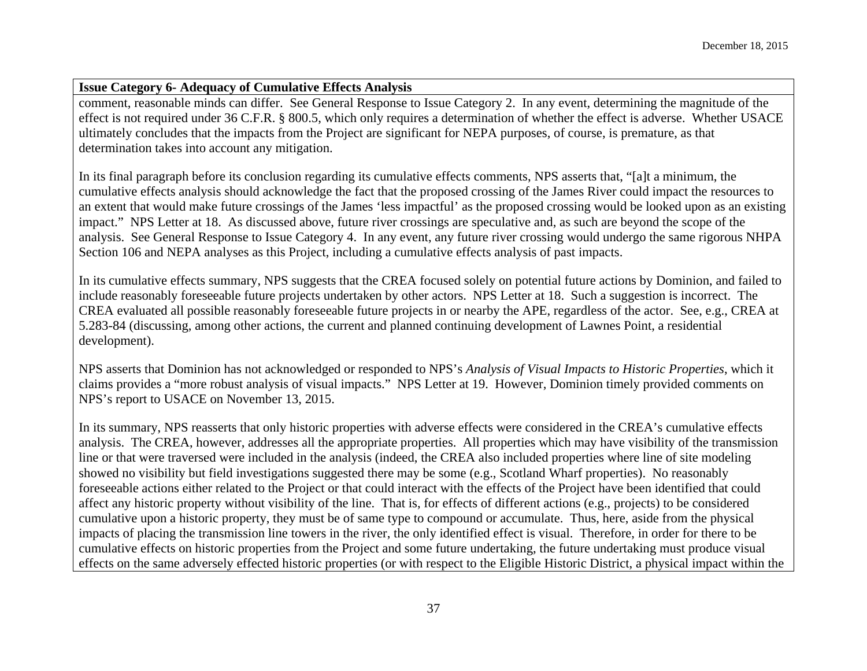comment, reasonable minds can differ. See General Response to Issue Category 2. In any event, determining the magnitude of the effect is not required under 36 C.F.R. § 800.5, which only requires a determination of whether the effect is adverse. Whether USACE ultimately concludes that the impacts from the Project are significant for NEPA purposes, of course, is premature, as that determination takes into account any mitigation.

In its final paragraph before its conclusion regarding its cumulative effects comments, NPS asserts that, "[a]t a minimum, the cumulative effects analysis should acknowledge the fact that the proposed crossing of the James River could impact the resources to an extent that would make future crossings of the James 'less impactful' as the proposed crossing would be looked upon as an existing impact." NPS Letter at 18. As discussed above, future river crossings are speculative and, as such are beyond the scope of the analysis. See General Response to Issue Category 4. In any event, any future river crossing would undergo the same rigorous NHPA Section 106 and NEPA analyses as this Project, including a cumulative effects analysis of past impacts.

In its cumulative effects summary, NPS suggests that the CREA focused solely on potential future actions by Dominion, and failed to include reasonably foreseeable future projects undertaken by other actors. NPS Letter at 18. Such a suggestion is incorrect. The CREA evaluated all possible reasonably foreseeable future projects in or nearby the APE, regardless of the actor. See, e.g., CREA at 5.283-84 (discussing, among other actions, the current and planned continuing development of Lawnes Point, a residential development).

NPS asserts that Dominion has not acknowledged or responded to NPS's *Analysis of Visual Impacts to Historic Properties*, which it claims provides a "more robust analysis of visual impacts." NPS Letter at 19. However, Dominion timely provided comments on NPS's report to USACE on November 13, 2015.

In its summary, NPS reasserts that only historic properties with adverse effects were considered in the CREA's cumulative effects analysis. The CREA, however, addresses all the appropriate properties. All properties which may have visibility of the transmission line or that were traversed were included in the analysis (indeed, the CREA also included properties where line of site modeling showed no visibility but field investigations suggested there may be some (e.g., Scotland Wharf properties). No reasonably foreseeable actions either related to the Project or that could interact with the effects of the Project have been identified that could affect any historic property without visibility of the line. That is, for effects of different actions (e.g., projects) to be considered cumulative upon a historic property, they must be of same type to compound or accumulate. Thus, here, aside from the physical impacts of placing the transmission line towers in the river, the only identified effect is visual. Therefore, in order for there to be cumulative effects on historic properties from the Project and some future undertaking, the future undertaking must produce visual effects on the same adversely effected historic properties (or with respect to the Eligible Historic District, a physical impact within the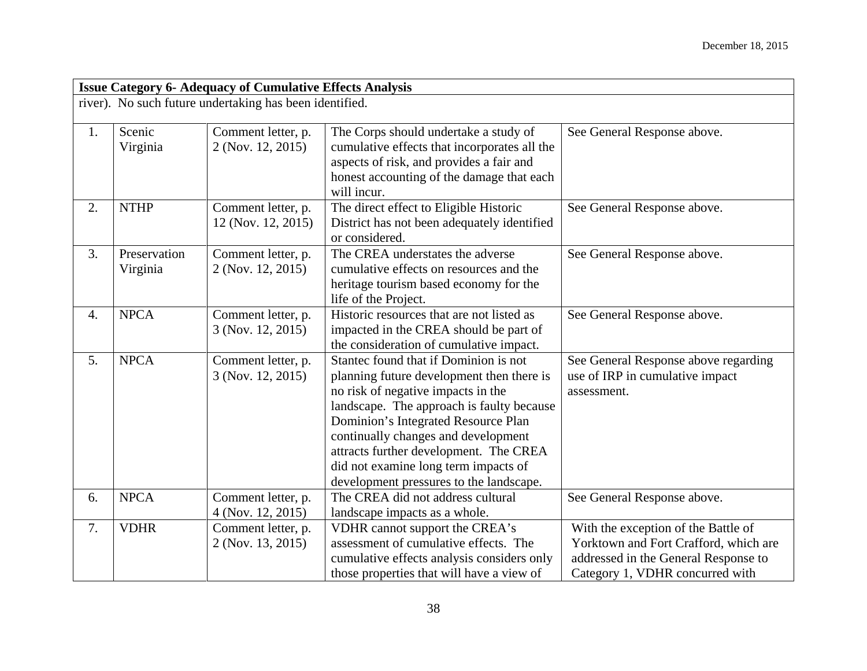|    | <b>Issue Category 6- Adequacy of Cumulative Effects Analysis</b> |                                                         |                                                                                                                                                                                                                                                                                                                                                                                  |                                                                                                                                                         |  |
|----|------------------------------------------------------------------|---------------------------------------------------------|----------------------------------------------------------------------------------------------------------------------------------------------------------------------------------------------------------------------------------------------------------------------------------------------------------------------------------------------------------------------------------|---------------------------------------------------------------------------------------------------------------------------------------------------------|--|
|    |                                                                  | river). No such future undertaking has been identified. |                                                                                                                                                                                                                                                                                                                                                                                  |                                                                                                                                                         |  |
| 1. | Scenic<br>Virginia                                               | Comment letter, p.<br>2 (Nov. 12, 2015)                 | The Corps should undertake a study of<br>cumulative effects that incorporates all the<br>aspects of risk, and provides a fair and<br>honest accounting of the damage that each<br>will incur.                                                                                                                                                                                    | See General Response above.                                                                                                                             |  |
| 2. | <b>NTHP</b>                                                      | Comment letter, p.<br>12 (Nov. 12, 2015)                | The direct effect to Eligible Historic<br>District has not been adequately identified<br>or considered.                                                                                                                                                                                                                                                                          | See General Response above.                                                                                                                             |  |
| 3. | Preservation<br>Virginia                                         | Comment letter, p.<br>2 (Nov. 12, 2015)                 | The CREA understates the adverse<br>cumulative effects on resources and the<br>heritage tourism based economy for the<br>life of the Project.                                                                                                                                                                                                                                    | See General Response above.                                                                                                                             |  |
| 4. | <b>NPCA</b>                                                      | Comment letter, p.<br>3 (Nov. 12, 2015)                 | Historic resources that are not listed as<br>impacted in the CREA should be part of<br>the consideration of cumulative impact.                                                                                                                                                                                                                                                   | See General Response above.                                                                                                                             |  |
| 5. | <b>NPCA</b>                                                      | Comment letter, p.<br>3 (Nov. 12, 2015)                 | Stantec found that if Dominion is not<br>planning future development then there is<br>no risk of negative impacts in the<br>landscape. The approach is faulty because<br>Dominion's Integrated Resource Plan<br>continually changes and development<br>attracts further development. The CREA<br>did not examine long term impacts of<br>development pressures to the landscape. | See General Response above regarding<br>use of IRP in cumulative impact<br>assessment.                                                                  |  |
| 6. | <b>NPCA</b>                                                      | Comment letter, p.<br>4 (Nov. 12, 2015)                 | The CREA did not address cultural<br>landscape impacts as a whole.                                                                                                                                                                                                                                                                                                               | See General Response above.                                                                                                                             |  |
| 7. | <b>VDHR</b>                                                      | Comment letter, p.<br>2 (Nov. 13, 2015)                 | VDHR cannot support the CREA's<br>assessment of cumulative effects. The<br>cumulative effects analysis considers only<br>those properties that will have a view of                                                                                                                                                                                                               | With the exception of the Battle of<br>Yorktown and Fort Crafford, which are<br>addressed in the General Response to<br>Category 1, VDHR concurred with |  |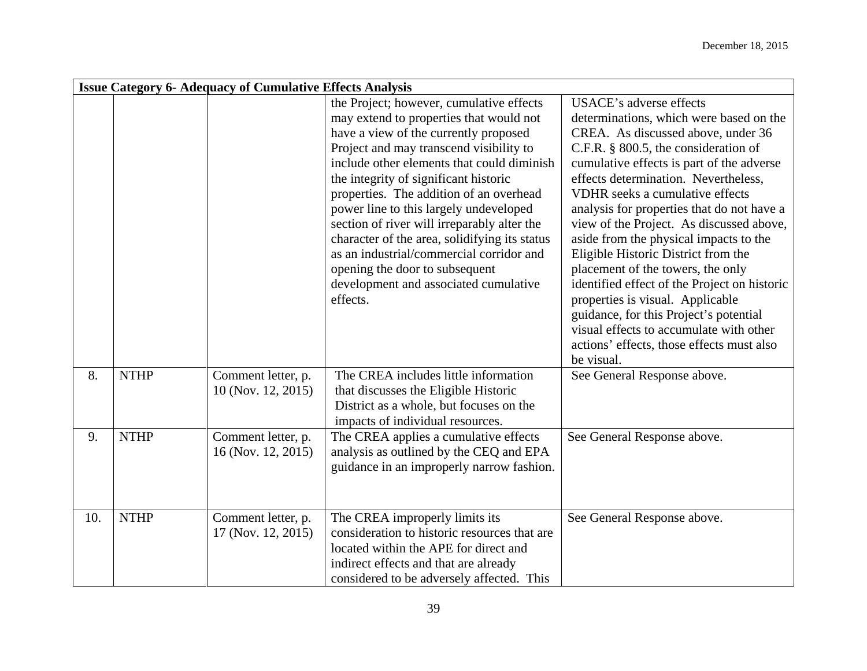|     | <b>Issue Category 6- Adequacy of Cumulative Effects Analysis</b> |                                          |                                                                                                                                                                                                                                                                                                                                                                                                                                                                                                                                                                                        |                                                                                                                                                                                                                                                                                                                                                                                                                                                                                                                                                                                                                                                                                                                                        |  |  |
|-----|------------------------------------------------------------------|------------------------------------------|----------------------------------------------------------------------------------------------------------------------------------------------------------------------------------------------------------------------------------------------------------------------------------------------------------------------------------------------------------------------------------------------------------------------------------------------------------------------------------------------------------------------------------------------------------------------------------------|----------------------------------------------------------------------------------------------------------------------------------------------------------------------------------------------------------------------------------------------------------------------------------------------------------------------------------------------------------------------------------------------------------------------------------------------------------------------------------------------------------------------------------------------------------------------------------------------------------------------------------------------------------------------------------------------------------------------------------------|--|--|
|     |                                                                  |                                          | the Project; however, cumulative effects<br>may extend to properties that would not<br>have a view of the currently proposed<br>Project and may transcend visibility to<br>include other elements that could diminish<br>the integrity of significant historic<br>properties. The addition of an overhead<br>power line to this largely undeveloped<br>section of river will irreparably alter the<br>character of the area, solidifying its status<br>as an industrial/commercial corridor and<br>opening the door to subsequent<br>development and associated cumulative<br>effects. | <b>USACE's adverse effects</b><br>determinations, which were based on the<br>CREA. As discussed above, under 36<br>C.F.R. $\S$ 800.5, the consideration of<br>cumulative effects is part of the adverse<br>effects determination. Nevertheless,<br>VDHR seeks a cumulative effects<br>analysis for properties that do not have a<br>view of the Project. As discussed above,<br>aside from the physical impacts to the<br>Eligible Historic District from the<br>placement of the towers, the only<br>identified effect of the Project on historic<br>properties is visual. Applicable<br>guidance, for this Project's potential<br>visual effects to accumulate with other<br>actions' effects, those effects must also<br>be visual. |  |  |
| 8.  | <b>NTHP</b>                                                      | Comment letter, p.<br>10 (Nov. 12, 2015) | The CREA includes little information<br>that discusses the Eligible Historic<br>District as a whole, but focuses on the<br>impacts of individual resources.                                                                                                                                                                                                                                                                                                                                                                                                                            | See General Response above.                                                                                                                                                                                                                                                                                                                                                                                                                                                                                                                                                                                                                                                                                                            |  |  |
| 9.  | <b>NTHP</b>                                                      | Comment letter, p.<br>16 (Nov. 12, 2015) | The CREA applies a cumulative effects<br>analysis as outlined by the CEQ and EPA<br>guidance in an improperly narrow fashion.                                                                                                                                                                                                                                                                                                                                                                                                                                                          | See General Response above.                                                                                                                                                                                                                                                                                                                                                                                                                                                                                                                                                                                                                                                                                                            |  |  |
| 10. | <b>NTHP</b>                                                      | Comment letter, p.<br>17 (Nov. 12, 2015) | The CREA improperly limits its<br>consideration to historic resources that are<br>located within the APE for direct and<br>indirect effects and that are already<br>considered to be adversely affected. This                                                                                                                                                                                                                                                                                                                                                                          | See General Response above.                                                                                                                                                                                                                                                                                                                                                                                                                                                                                                                                                                                                                                                                                                            |  |  |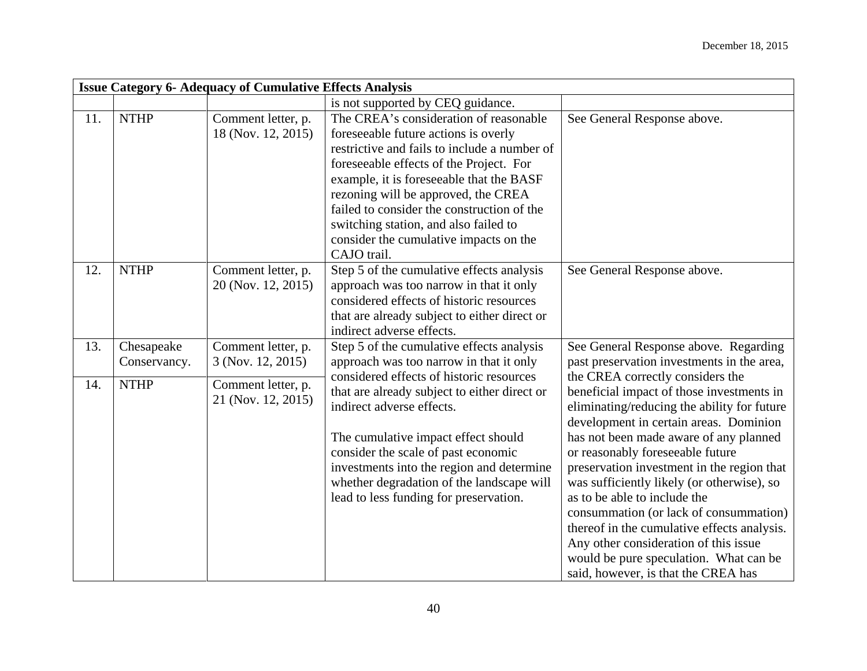|     | <b>Issue Category 6- Adequacy of Cumulative Effects Analysis</b> |                                          |                                                                                                                                                                                                                                                                                                                                                                                                              |                                                                                                                                                                                                                                                                                                                                                                                                                                                                                                                                                                                                     |  |
|-----|------------------------------------------------------------------|------------------------------------------|--------------------------------------------------------------------------------------------------------------------------------------------------------------------------------------------------------------------------------------------------------------------------------------------------------------------------------------------------------------------------------------------------------------|-----------------------------------------------------------------------------------------------------------------------------------------------------------------------------------------------------------------------------------------------------------------------------------------------------------------------------------------------------------------------------------------------------------------------------------------------------------------------------------------------------------------------------------------------------------------------------------------------------|--|
|     |                                                                  |                                          | is not supported by CEQ guidance.                                                                                                                                                                                                                                                                                                                                                                            |                                                                                                                                                                                                                                                                                                                                                                                                                                                                                                                                                                                                     |  |
| 11. | <b>NTHP</b>                                                      | Comment letter, p.<br>18 (Nov. 12, 2015) | The CREA's consideration of reasonable<br>foreseeable future actions is overly<br>restrictive and fails to include a number of<br>foreseeable effects of the Project. For<br>example, it is foreseeable that the BASF<br>rezoning will be approved, the CREA<br>failed to consider the construction of the<br>switching station, and also failed to<br>consider the cumulative impacts on the<br>CAJO trail. | See General Response above.                                                                                                                                                                                                                                                                                                                                                                                                                                                                                                                                                                         |  |
| 12. | <b>NTHP</b>                                                      | Comment letter, p.<br>20 (Nov. 12, 2015) | Step 5 of the cumulative effects analysis<br>approach was too narrow in that it only<br>considered effects of historic resources<br>that are already subject to either direct or<br>indirect adverse effects.                                                                                                                                                                                                | See General Response above.                                                                                                                                                                                                                                                                                                                                                                                                                                                                                                                                                                         |  |
| 13. | Chesapeake<br>Conservancy.                                       | Comment letter, p.<br>3 (Nov. 12, 2015)  | Step 5 of the cumulative effects analysis<br>approach was too narrow in that it only                                                                                                                                                                                                                                                                                                                         | See General Response above. Regarding<br>past preservation investments in the area,                                                                                                                                                                                                                                                                                                                                                                                                                                                                                                                 |  |
| 14. | <b>NTHP</b>                                                      | Comment letter, p.<br>21 (Nov. 12, 2015) | considered effects of historic resources<br>that are already subject to either direct or<br>indirect adverse effects.<br>The cumulative impact effect should<br>consider the scale of past economic<br>investments into the region and determine<br>whether degradation of the landscape will<br>lead to less funding for preservation.                                                                      | the CREA correctly considers the<br>beneficial impact of those investments in<br>eliminating/reducing the ability for future<br>development in certain areas. Dominion<br>has not been made aware of any planned<br>or reasonably foreseeable future<br>preservation investment in the region that<br>was sufficiently likely (or otherwise), so<br>as to be able to include the<br>consummation (or lack of consummation)<br>thereof in the cumulative effects analysis.<br>Any other consideration of this issue<br>would be pure speculation. What can be<br>said, however, is that the CREA has |  |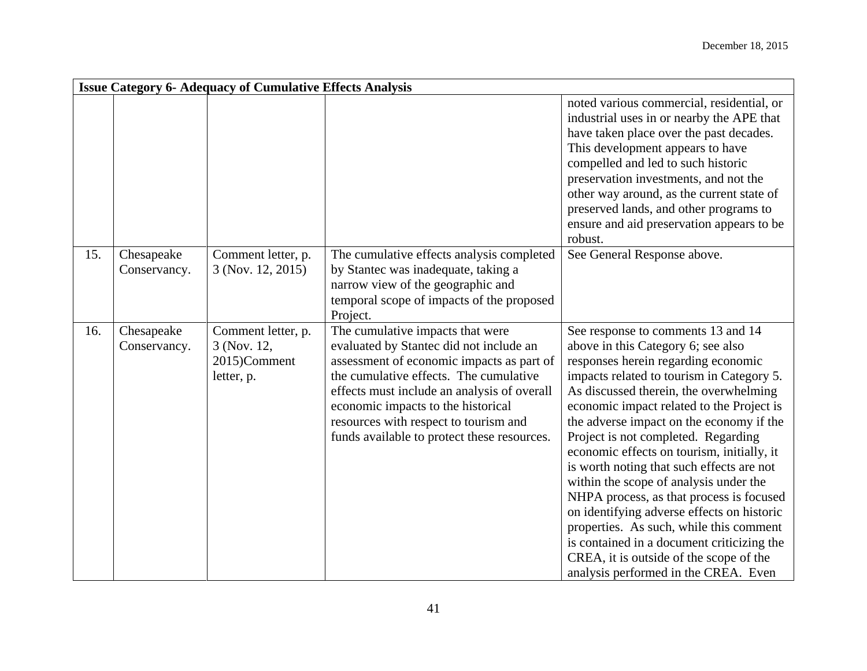|     | <b>Issue Category 6- Adequacy of Cumulative Effects Analysis</b> |                                                                 |                                                                                                                                                                                                                                                                                                                                                             |                                                                                                                                                                                                                                                                                                                                                                                                                                                                                                                                                                                                                                                                                                                                                   |  |
|-----|------------------------------------------------------------------|-----------------------------------------------------------------|-------------------------------------------------------------------------------------------------------------------------------------------------------------------------------------------------------------------------------------------------------------------------------------------------------------------------------------------------------------|---------------------------------------------------------------------------------------------------------------------------------------------------------------------------------------------------------------------------------------------------------------------------------------------------------------------------------------------------------------------------------------------------------------------------------------------------------------------------------------------------------------------------------------------------------------------------------------------------------------------------------------------------------------------------------------------------------------------------------------------------|--|
|     |                                                                  |                                                                 |                                                                                                                                                                                                                                                                                                                                                             | noted various commercial, residential, or<br>industrial uses in or nearby the APE that<br>have taken place over the past decades.<br>This development appears to have<br>compelled and led to such historic<br>preservation investments, and not the<br>other way around, as the current state of<br>preserved lands, and other programs to<br>ensure and aid preservation appears to be<br>robust.                                                                                                                                                                                                                                                                                                                                               |  |
| 15. | Chesapeake<br>Conservancy.                                       | Comment letter, p.<br>3 (Nov. 12, 2015)                         | The cumulative effects analysis completed<br>by Stantec was inadequate, taking a                                                                                                                                                                                                                                                                            | See General Response above.                                                                                                                                                                                                                                                                                                                                                                                                                                                                                                                                                                                                                                                                                                                       |  |
|     |                                                                  |                                                                 | narrow view of the geographic and                                                                                                                                                                                                                                                                                                                           |                                                                                                                                                                                                                                                                                                                                                                                                                                                                                                                                                                                                                                                                                                                                                   |  |
|     |                                                                  |                                                                 | temporal scope of impacts of the proposed                                                                                                                                                                                                                                                                                                                   |                                                                                                                                                                                                                                                                                                                                                                                                                                                                                                                                                                                                                                                                                                                                                   |  |
| 16. | Chesapeake<br>Conservancy.                                       | Comment letter, p.<br>3 (Nov. 12,<br>2015)Comment<br>letter, p. | Project.<br>The cumulative impacts that were<br>evaluated by Stantec did not include an<br>assessment of economic impacts as part of<br>the cumulative effects. The cumulative<br>effects must include an analysis of overall<br>economic impacts to the historical<br>resources with respect to tourism and<br>funds available to protect these resources. | See response to comments 13 and 14<br>above in this Category 6; see also<br>responses herein regarding economic<br>impacts related to tourism in Category 5.<br>As discussed therein, the overwhelming<br>economic impact related to the Project is<br>the adverse impact on the economy if the<br>Project is not completed. Regarding<br>economic effects on tourism, initially, it<br>is worth noting that such effects are not<br>within the scope of analysis under the<br>NHPA process, as that process is focused<br>on identifying adverse effects on historic<br>properties. As such, while this comment<br>is contained in a document criticizing the<br>CREA, it is outside of the scope of the<br>analysis performed in the CREA. Even |  |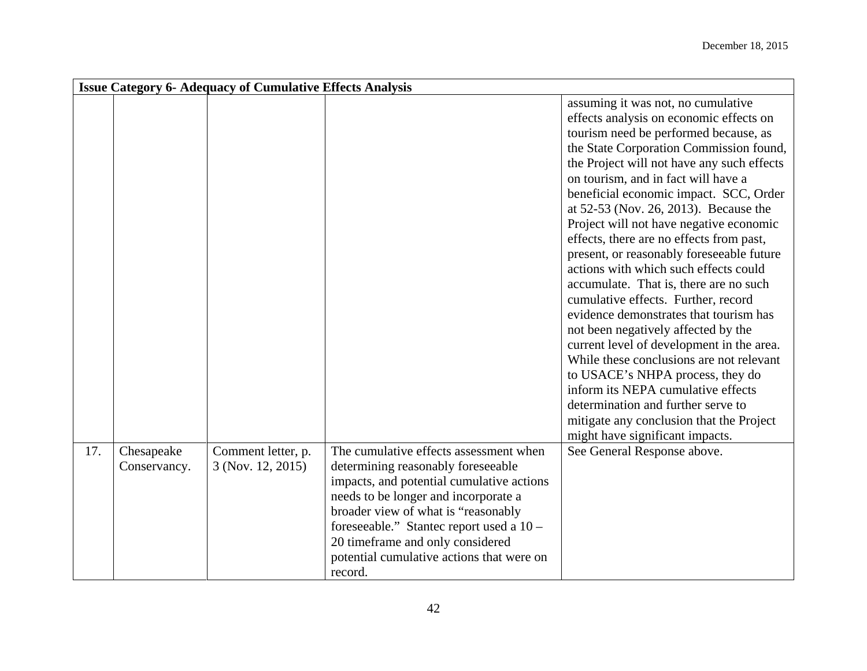|     | <b>Issue Category 6- Adequacy of Cumulative Effects Analysis</b> |                                         |                                                                                                                                                                                                                                                                  |                                                                                                                                                                                                                                                                                                                                                                                                                                                                                                                                                                                                                                                                                                                                                                                                                                                                                                                                               |  |  |
|-----|------------------------------------------------------------------|-----------------------------------------|------------------------------------------------------------------------------------------------------------------------------------------------------------------------------------------------------------------------------------------------------------------|-----------------------------------------------------------------------------------------------------------------------------------------------------------------------------------------------------------------------------------------------------------------------------------------------------------------------------------------------------------------------------------------------------------------------------------------------------------------------------------------------------------------------------------------------------------------------------------------------------------------------------------------------------------------------------------------------------------------------------------------------------------------------------------------------------------------------------------------------------------------------------------------------------------------------------------------------|--|--|
|     |                                                                  |                                         |                                                                                                                                                                                                                                                                  | assuming it was not, no cumulative<br>effects analysis on economic effects on<br>tourism need be performed because, as<br>the State Corporation Commission found,<br>the Project will not have any such effects<br>on tourism, and in fact will have a<br>beneficial economic impact. SCC, Order<br>at 52-53 (Nov. 26, 2013). Because the<br>Project will not have negative economic<br>effects, there are no effects from past,<br>present, or reasonably foreseeable future<br>actions with which such effects could<br>accumulate. That is, there are no such<br>cumulative effects. Further, record<br>evidence demonstrates that tourism has<br>not been negatively affected by the<br>current level of development in the area.<br>While these conclusions are not relevant<br>to USACE's NHPA process, they do<br>inform its NEPA cumulative effects<br>determination and further serve to<br>mitigate any conclusion that the Project |  |  |
| 17. | Chesapeake<br>Conservancy.                                       | Comment letter, p.<br>3 (Nov. 12, 2015) | The cumulative effects assessment when<br>determining reasonably foreseeable                                                                                                                                                                                     | might have significant impacts.<br>See General Response above.                                                                                                                                                                                                                                                                                                                                                                                                                                                                                                                                                                                                                                                                                                                                                                                                                                                                                |  |  |
|     |                                                                  |                                         | impacts, and potential cumulative actions<br>needs to be longer and incorporate a<br>broader view of what is "reasonably<br>foreseeable." Stantec report used a 10 -<br>20 timeframe and only considered<br>potential cumulative actions that were on<br>record. |                                                                                                                                                                                                                                                                                                                                                                                                                                                                                                                                                                                                                                                                                                                                                                                                                                                                                                                                               |  |  |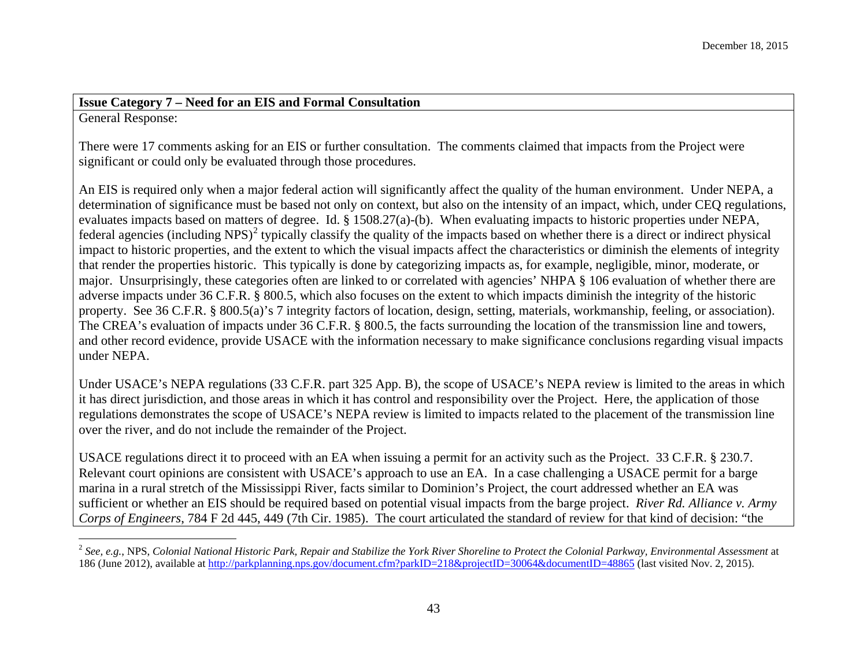# <span id="page-42-0"></span>**Issue Category 7 – Need for an EIS and Formal Consultation**

General Response:

There were 17 comments asking for an EIS or further consultation. The comments claimed that impacts from the Project were significant or could only be evaluated through those procedures.

An EIS is required only when a major federal action will significantly affect the quality of the human environment. Under NEPA, a determination of significance must be based not only on context, but also on the intensity of an impact, which, under CEO regulations, evaluates impacts based on matters of degree. Id. § 1508.27(a)-(b). When evaluating impacts to historic properties under NEPA, federal agencies (including NPS)<sup>[2](#page-42-0)</sup> typically classify the quality of the impacts based on whether there is a direct or indirect physical impact to historic properties, and the extent to which the visual impacts affect the characteristics or diminish the elements of integrity that render the properties historic. This typically is done by categorizing impacts as, for example, negligible, minor, moderate, or major. Unsurprisingly, these categories often are linked to or correlated with agencies' NHPA § 106 evaluation of whether there are adverse impacts under 36 C.F.R. § 800.5, which also focuses on the extent to which impacts diminish the integrity of the historic property. See 36 C.F.R. § 800.5(a)'s 7 integrity factors of location, design, setting, materials, workmanship, feeling, or association). The CREA's evaluation of impacts under 36 C.F.R. § 800.5, the facts surrounding the location of the transmission line and towers, and other record evidence, provide USACE with the information necessary to make significance conclusions regarding visual impacts under NEPA.

Under USACE's NEPA regulations (33 C.F.R. part 325 App. B), the scope of USACE's NEPA review is limited to the areas in which it has direct jurisdiction, and those areas in which it has control and responsibility over the Project. Here, the application of those regulations demonstrates the scope of USACE's NEPA review is limited to impacts related to the placement of the transmission line over the river, and do not include the remainder of the Project.

USACE regulations direct it to proceed with an EA when issuing a permit for an activity such as the Project. 33 C.F.R. § 230.7. Relevant court opinions are consistent with USACE's approach to use an EA. In a case challenging a USACE permit for a barge marina in a rural stretch of the Mississippi River, facts similar to Dominion's Project, the court addressed whether an EA was sufficient or whether an EIS should be required based on potential visual impacts from the barge project. *River Rd. Alliance v. Army Corps of Engineers*, 784 F 2d 445, 449 (7th Cir. 1985). The court articulated the standard of review for that kind of decision: "the

 <sup>2</sup> *See, e.g.*, NPS, *Colonial National Historic Park, Repair and Stabilize the York River Shoreline to Protect the Colonial Parkway, Environmental Assessment* at 186 (June 2012), available at<http://parkplanning.nps.gov/document.cfm?parkID=218&projectID=30064&documentID=48865> (last visited Nov. 2, 2015).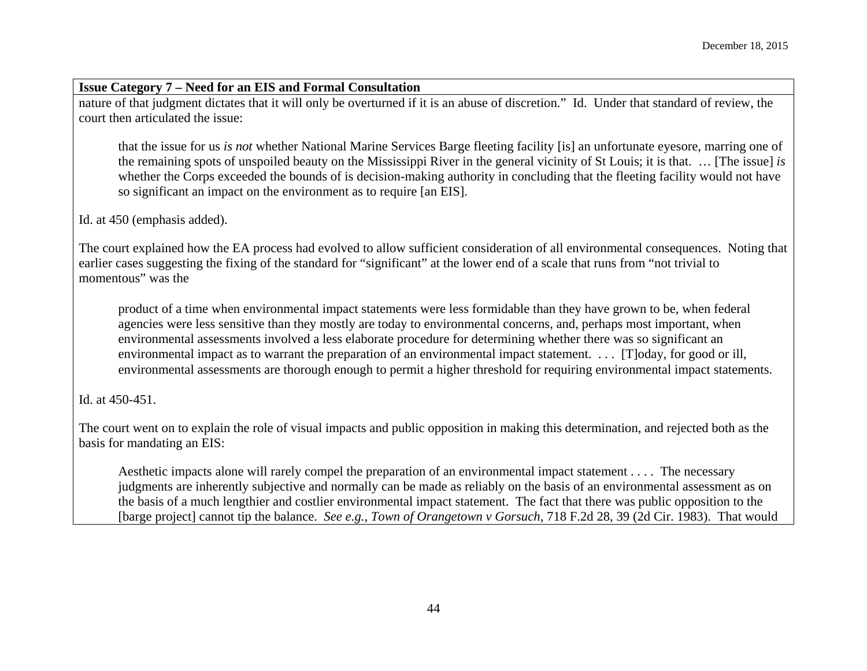#### **Issue Category 7 – Need for an EIS and Formal Consultation**

nature of that judgment dictates that it will only be overturned if it is an abuse of discretion." Id. Under that standard of review, the court then articulated the issue:

that the issue for us *is not* whether National Marine Services Barge fleeting facility [is] an unfortunate eyesore, marring one of the remaining spots of unspoiled beauty on the Mississippi River in the general vicinity of St Louis; it is that. … [The issue] *is* whether the Corps exceeded the bounds of is decision-making authority in concluding that the fleeting facility would not have so significant an impact on the environment as to require [an EIS].

Id. at 450 (emphasis added).

The court explained how the EA process had evolved to allow sufficient consideration of all environmental consequences. Noting that earlier cases suggesting the fixing of the standard for "significant" at the lower end of a scale that runs from "not trivial to momentous" was the

product of a time when environmental impact statements were less formidable than they have grown to be, when federal agencies were less sensitive than they mostly are today to environmental concerns, and, perhaps most important, when environmental assessments involved a less elaborate procedure for determining whether there was so significant an environmental impact as to warrant the preparation of an environmental impact statement. . . . [T]oday, for good or ill, environmental assessments are thorough enough to permit a higher threshold for requiring environmental impact statements.

Id. at 450-451.

The court went on to explain the role of visual impacts and public opposition in making this determination, and rejected both as the basis for mandating an EIS:

Aesthetic impacts alone will rarely compel the preparation of an environmental impact statement . . . . The necessary judgments are inherently subjective and normally can be made as reliably on the basis of an environmental assessment as on the basis of a much lengthier and costlier environmental impact statement. The fact that there was public opposition to the [barge project] cannot tip the balance. *See e.g., Town of Orangetown v Gorsuch,* 718 F.2d 28, 39 (2d Cir. 1983). That would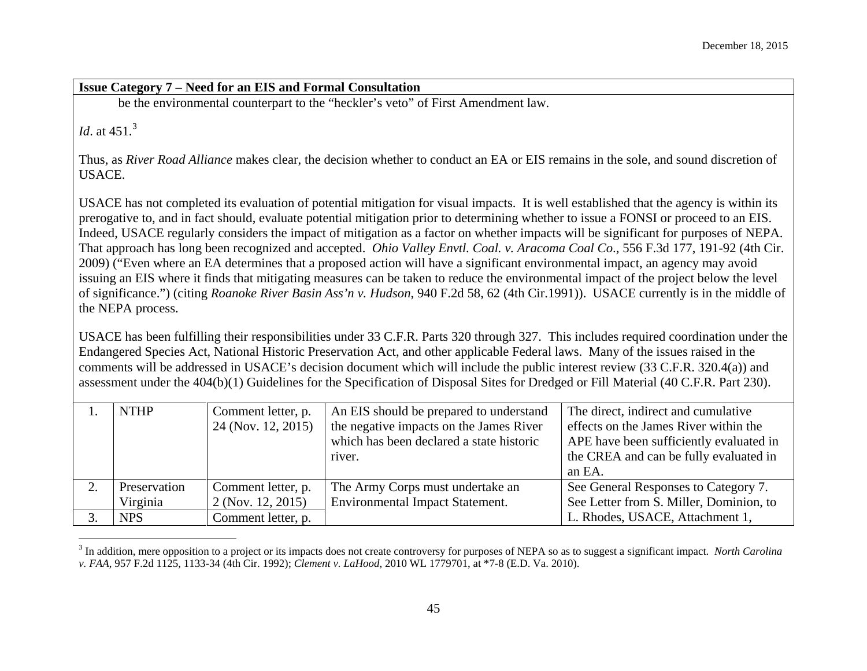<span id="page-44-0"></span>**Issue Category 7 – Need for an EIS and Formal Consultation** be the environmental counterpart to the "heckler's veto" of First Amendment law. *Id.* at 451.<sup>[3](#page-44-0)</sup> Thus, as *River Road Alliance* makes clear, the decision whether to conduct an EA or EIS remains in the sole, and sound discretion of USACE. USACE has not completed its evaluation of potential mitigation for visual impacts. It is well established that the agency is within its prerogative to, and in fact should, evaluate potential mitigation prior to determining whether to issue a FONSI or proceed to an EIS. Indeed, USACE regularly considers the impact of mitigation as a factor on whether impacts will be significant for purposes of NEPA. That approach has long been recognized and accepted. *Ohio Valley Envtl. Coal. v. Aracoma Coal Co*., 556 F.3d 177, 191-92 (4th Cir. 2009) ("Even where an EA determines that a proposed action will have a significant environmental impact, an agency may avoid issuing an EIS where it finds that mitigating measures can be taken to reduce the environmental impact of the project below the level of significance.") (citing *Roanoke River Basin Ass'n v. Hudson*, 940 F.2d 58, 62 (4th Cir.1991)). USACE currently is in the middle of the NEPA process.

USACE has been fulfilling their responsibilities under 33 C.F.R. Parts 320 through 327. This includes required coordination under the Endangered Species Act, National Historic Preservation Act, and other applicable Federal laws. Many of the issues raised in the comments will be addressed in USACE's decision document which will include the public interest review (33 C.F.R. 320.4(a)) and assessment under the 404(b)(1) Guidelines for the Specification of Disposal Sites for Dredged or Fill Material (40 C.F.R. Part 230).

| <b>NTHP</b>  | Comment letter, p.<br>24 (Nov. 12, 2015) | An EIS should be prepared to understand<br>the negative impacts on the James River<br>which has been declared a state historic<br>river. | The direct, indirect and cumulative<br>effects on the James River within the<br>APE have been sufficiently evaluated in<br>the CREA and can be fully evaluated in<br>an EA. |
|--------------|------------------------------------------|------------------------------------------------------------------------------------------------------------------------------------------|-----------------------------------------------------------------------------------------------------------------------------------------------------------------------------|
| Preservation | Comment letter, p.                       | The Army Corps must undertake an                                                                                                         | See General Responses to Category 7.                                                                                                                                        |
| Virginia     | 2 (Nov. 12, 2015)                        | <b>Environmental Impact Statement.</b>                                                                                                   | See Letter from S. Miller, Dominion, to                                                                                                                                     |
| <b>NPS</b>   | Comment letter, p.                       |                                                                                                                                          | L. Rhodes, USACE, Attachment 1,                                                                                                                                             |

 <sup>3</sup> In addition, mere opposition to a project or its impacts does not create controversy for purposes of NEPA so as to suggest a significant impact. *North Carolina v. FAA*, 957 F.2d 1125, 1133-34 (4th Cir. 1992); *Clement v. LaHood*, 2010 WL 1779701, at \*7-8 (E.D. Va. 2010).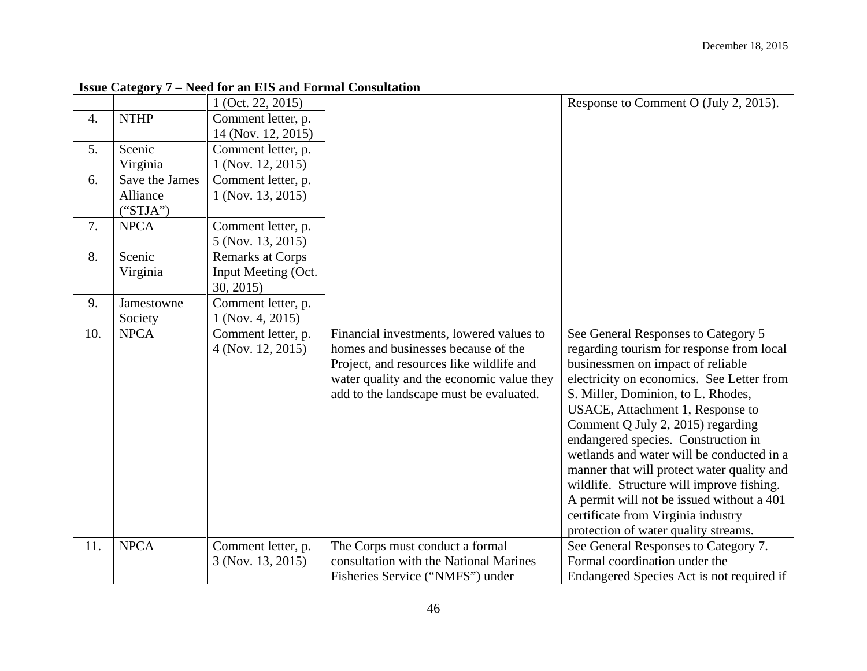|     | <b>Issue Category 7 – Need for an EIS and Formal Consultation</b> |                                         |                                                                                 |                                                                                  |  |
|-----|-------------------------------------------------------------------|-----------------------------------------|---------------------------------------------------------------------------------|----------------------------------------------------------------------------------|--|
|     |                                                                   | $1$ (Oct. 22, 2015)                     |                                                                                 | Response to Comment O (July 2, 2015).                                            |  |
| 4.  | <b>NTHP</b>                                                       | Comment letter, p.                      |                                                                                 |                                                                                  |  |
|     |                                                                   | 14 (Nov. 12, 2015)                      |                                                                                 |                                                                                  |  |
| 5.  | Scenic                                                            | Comment letter, p.                      |                                                                                 |                                                                                  |  |
|     | Virginia                                                          | 1 (Nov. 12, 2015)                       |                                                                                 |                                                                                  |  |
| 6.  | Save the James                                                    | Comment letter, p.                      |                                                                                 |                                                                                  |  |
|     | Alliance                                                          | 1 (Nov. 13, 2015)                       |                                                                                 |                                                                                  |  |
|     | ("STJA")                                                          |                                         |                                                                                 |                                                                                  |  |
| 7.  | <b>NPCA</b>                                                       | Comment letter, p.                      |                                                                                 |                                                                                  |  |
|     |                                                                   | 5 (Nov. 13, 2015)                       |                                                                                 |                                                                                  |  |
| 8.  | Scenic                                                            | <b>Remarks at Corps</b>                 |                                                                                 |                                                                                  |  |
|     | Virginia                                                          | Input Meeting (Oct.                     |                                                                                 |                                                                                  |  |
|     |                                                                   | 30, 2015                                |                                                                                 |                                                                                  |  |
| 9.  | Jamestowne                                                        | Comment letter, p.                      |                                                                                 |                                                                                  |  |
|     | Society                                                           | $1$ (Nov. 4, 2015)                      |                                                                                 |                                                                                  |  |
| 10. | <b>NPCA</b>                                                       | Comment letter, p.<br>4 (Nov. 12, 2015) | Financial investments, lowered values to<br>homes and businesses because of the | See General Responses to Category 5<br>regarding tourism for response from local |  |
|     |                                                                   |                                         | Project, and resources like wildlife and                                        | businessmen on impact of reliable                                                |  |
|     |                                                                   |                                         | water quality and the economic value they                                       | electricity on economics. See Letter from                                        |  |
|     |                                                                   |                                         | add to the landscape must be evaluated.                                         | S. Miller, Dominion, to L. Rhodes,                                               |  |
|     |                                                                   |                                         |                                                                                 | USACE, Attachment 1, Response to                                                 |  |
|     |                                                                   |                                         |                                                                                 | Comment Q July 2, 2015) regarding                                                |  |
|     |                                                                   |                                         |                                                                                 | endangered species. Construction in                                              |  |
|     |                                                                   |                                         |                                                                                 | wetlands and water will be conducted in a                                        |  |
|     |                                                                   |                                         |                                                                                 | manner that will protect water quality and                                       |  |
|     |                                                                   |                                         |                                                                                 | wildlife. Structure will improve fishing.                                        |  |
|     |                                                                   |                                         |                                                                                 | A permit will not be issued without a 401                                        |  |
|     |                                                                   |                                         |                                                                                 | certificate from Virginia industry                                               |  |
|     |                                                                   |                                         |                                                                                 | protection of water quality streams.                                             |  |
| 11. | <b>NPCA</b>                                                       | Comment letter, p.                      | The Corps must conduct a formal                                                 | See General Responses to Category 7.                                             |  |
|     |                                                                   | 3 (Nov. 13, 2015)                       | consultation with the National Marines                                          | Formal coordination under the                                                    |  |
|     |                                                                   |                                         | Fisheries Service ("NMFS") under                                                | Endangered Species Act is not required if                                        |  |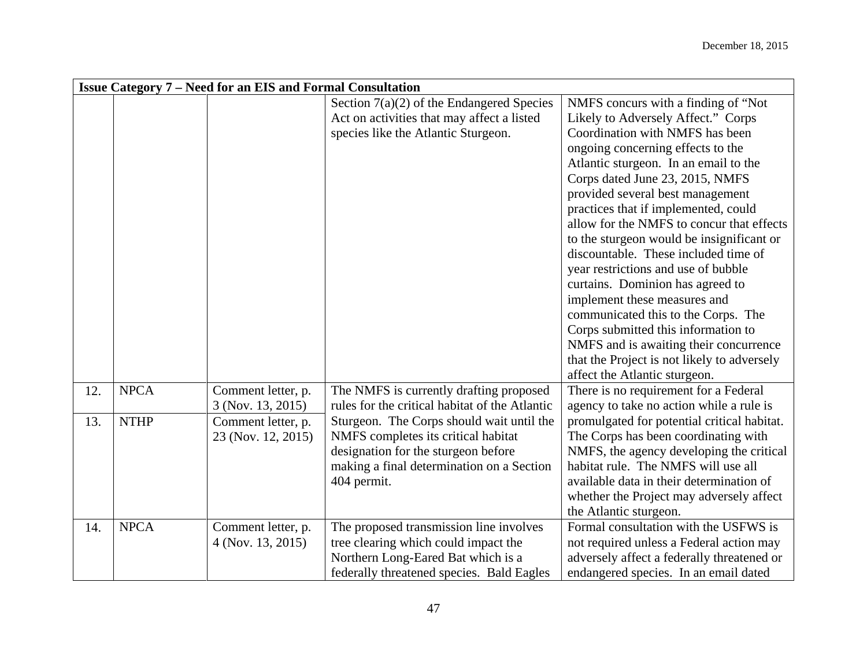|     | <b>Issue Category 7 – Need for an EIS and Formal Consultation</b> |                    |                                                |                                             |  |
|-----|-------------------------------------------------------------------|--------------------|------------------------------------------------|---------------------------------------------|--|
|     |                                                                   |                    | Section $7(a)(2)$ of the Endangered Species    | NMFS concurs with a finding of "Not"        |  |
|     |                                                                   |                    | Act on activities that may affect a listed     | Likely to Adversely Affect." Corps          |  |
|     |                                                                   |                    | species like the Atlantic Sturgeon.            | Coordination with NMFS has been             |  |
|     |                                                                   |                    |                                                | ongoing concerning effects to the           |  |
|     |                                                                   |                    |                                                | Atlantic sturgeon. In an email to the       |  |
|     |                                                                   |                    |                                                | Corps dated June 23, 2015, NMFS             |  |
|     |                                                                   |                    |                                                | provided several best management            |  |
|     |                                                                   |                    |                                                | practices that if implemented, could        |  |
|     |                                                                   |                    |                                                | allow for the NMFS to concur that effects   |  |
|     |                                                                   |                    |                                                | to the sturgeon would be insignificant or   |  |
|     |                                                                   |                    |                                                | discountable. These included time of        |  |
|     |                                                                   |                    |                                                | year restrictions and use of bubble         |  |
|     |                                                                   |                    |                                                | curtains. Dominion has agreed to            |  |
|     |                                                                   |                    |                                                | implement these measures and                |  |
|     |                                                                   |                    |                                                | communicated this to the Corps. The         |  |
|     |                                                                   |                    |                                                | Corps submitted this information to         |  |
|     |                                                                   |                    |                                                | NMFS and is awaiting their concurrence      |  |
|     |                                                                   |                    |                                                | that the Project is not likely to adversely |  |
|     |                                                                   |                    |                                                | affect the Atlantic sturgeon.               |  |
| 12. | <b>NPCA</b>                                                       | Comment letter, p. | The NMFS is currently drafting proposed        | There is no requirement for a Federal       |  |
|     |                                                                   | 3 (Nov. 13, 2015)  | rules for the critical habitat of the Atlantic | agency to take no action while a rule is    |  |
| 13. | <b>NTHP</b>                                                       | Comment letter, p. | Sturgeon. The Corps should wait until the      | promulgated for potential critical habitat. |  |
|     |                                                                   | 23 (Nov. 12, 2015) | NMFS completes its critical habitat            | The Corps has been coordinating with        |  |
|     |                                                                   |                    | designation for the sturgeon before            | NMFS, the agency developing the critical    |  |
|     |                                                                   |                    | making a final determination on a Section      | habitat rule. The NMFS will use all         |  |
|     |                                                                   |                    | 404 permit.                                    | available data in their determination of    |  |
|     |                                                                   |                    |                                                | whether the Project may adversely affect    |  |
|     |                                                                   |                    |                                                | the Atlantic sturgeon.                      |  |
| 14. | <b>NPCA</b>                                                       | Comment letter, p. | The proposed transmission line involves        | Formal consultation with the USFWS is       |  |
|     |                                                                   | 4 (Nov. 13, 2015)  | tree clearing which could impact the           | not required unless a Federal action may    |  |
|     |                                                                   |                    | Northern Long-Eared Bat which is a             | adversely affect a federally threatened or  |  |
|     |                                                                   |                    | federally threatened species. Bald Eagles      | endangered species. In an email dated       |  |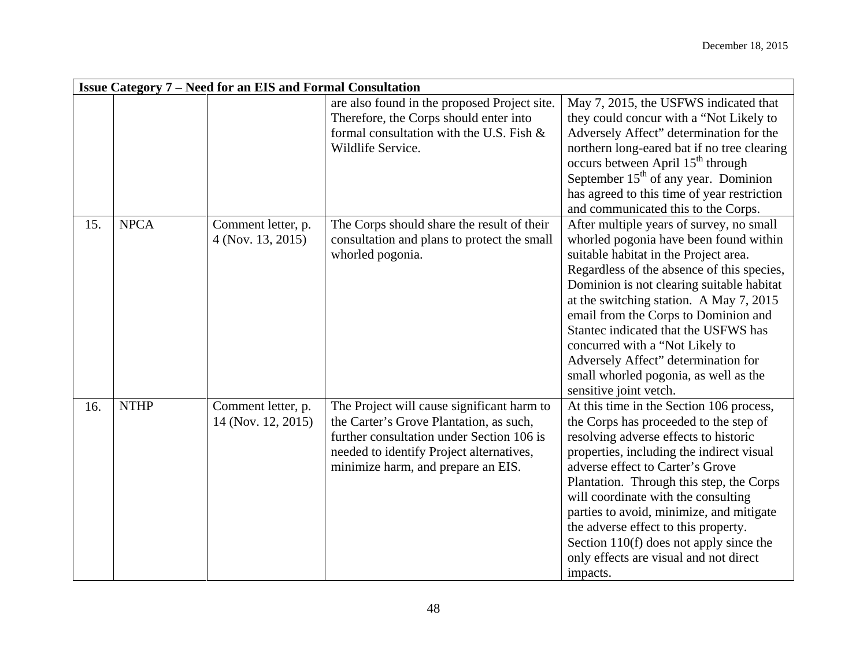|     |             |                                          |                                                                                                                                                                                                                      | <b>Issue Category 7 – Need for an EIS and Formal Consultation</b>                                                                                                                                                                                                                                                                                                                                                                                                                              |  |  |  |  |
|-----|-------------|------------------------------------------|----------------------------------------------------------------------------------------------------------------------------------------------------------------------------------------------------------------------|------------------------------------------------------------------------------------------------------------------------------------------------------------------------------------------------------------------------------------------------------------------------------------------------------------------------------------------------------------------------------------------------------------------------------------------------------------------------------------------------|--|--|--|--|
|     |             |                                          | are also found in the proposed Project site.<br>Therefore, the Corps should enter into<br>formal consultation with the U.S. Fish $\&$<br>Wildlife Service.                                                           | May 7, 2015, the USFWS indicated that<br>they could concur with a "Not Likely to<br>Adversely Affect" determination for the<br>northern long-eared bat if no tree clearing<br>occurs between April 15 <sup>th</sup> through<br>September $15th$ of any year. Dominion<br>has agreed to this time of year restriction<br>and communicated this to the Corps.                                                                                                                                    |  |  |  |  |
| 15. | <b>NPCA</b> | Comment letter, p.<br>4 (Nov. 13, 2015)  | The Corps should share the result of their<br>consultation and plans to protect the small<br>whorled pogonia.                                                                                                        | After multiple years of survey, no small<br>whorled pogonia have been found within<br>suitable habitat in the Project area.<br>Regardless of the absence of this species,<br>Dominion is not clearing suitable habitat<br>at the switching station. A May 7, 2015<br>email from the Corps to Dominion and<br>Stantec indicated that the USFWS has<br>concurred with a "Not Likely to<br>Adversely Affect" determination for<br>small whorled pogonia, as well as the<br>sensitive joint vetch. |  |  |  |  |
| 16. | <b>NTHP</b> | Comment letter, p.<br>14 (Nov. 12, 2015) | The Project will cause significant harm to<br>the Carter's Grove Plantation, as such,<br>further consultation under Section 106 is<br>needed to identify Project alternatives,<br>minimize harm, and prepare an EIS. | At this time in the Section 106 process,<br>the Corps has proceeded to the step of<br>resolving adverse effects to historic<br>properties, including the indirect visual<br>adverse effect to Carter's Grove<br>Plantation. Through this step, the Corps<br>will coordinate with the consulting<br>parties to avoid, minimize, and mitigate<br>the adverse effect to this property.<br>Section $110(f)$ does not apply since the<br>only effects are visual and not direct<br>impacts.         |  |  |  |  |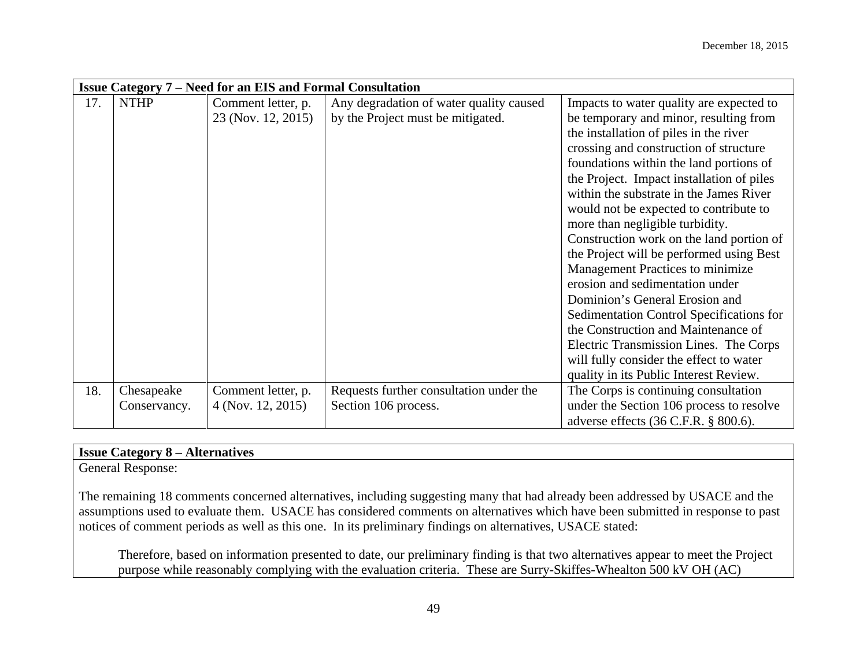|     | <b>Issue Category 7 – Need for an EIS and Formal Consultation</b> |                    |                                         |                                           |
|-----|-------------------------------------------------------------------|--------------------|-----------------------------------------|-------------------------------------------|
| 17. | <b>NTHP</b>                                                       | Comment letter, p. | Any degradation of water quality caused | Impacts to water quality are expected to  |
|     |                                                                   | 23 (Nov. 12, 2015) | by the Project must be mitigated.       | be temporary and minor, resulting from    |
|     |                                                                   |                    |                                         | the installation of piles in the river    |
|     |                                                                   |                    |                                         | crossing and construction of structure    |
|     |                                                                   |                    |                                         | foundations within the land portions of   |
|     |                                                                   |                    |                                         | the Project. Impact installation of piles |
|     |                                                                   |                    |                                         | within the substrate in the James River   |
|     |                                                                   |                    |                                         | would not be expected to contribute to    |
|     |                                                                   |                    |                                         | more than negligible turbidity.           |
|     |                                                                   |                    |                                         | Construction work on the land portion of  |
|     |                                                                   |                    |                                         | the Project will be performed using Best  |
|     |                                                                   |                    |                                         | Management Practices to minimize          |
|     |                                                                   |                    |                                         | erosion and sedimentation under           |
|     |                                                                   |                    |                                         | Dominion's General Erosion and            |
|     |                                                                   |                    |                                         | Sedimentation Control Specifications for  |
|     |                                                                   |                    |                                         | the Construction and Maintenance of       |
|     |                                                                   |                    |                                         | Electric Transmission Lines. The Corps    |
|     |                                                                   |                    |                                         | will fully consider the effect to water   |
|     |                                                                   |                    |                                         | quality in its Public Interest Review.    |
| 18. | Chesapeake                                                        | Comment letter, p. | Requests further consultation under the | The Corps is continuing consultation      |
|     | Conservancy.                                                      | 4 (Nov. 12, 2015)  | Section 106 process.                    | under the Section 106 process to resolve  |
|     |                                                                   |                    |                                         | adverse effects (36 C.F.R. § 800.6).      |

# **Issue Category 8 – Alternatives**

General Response:

The remaining 18 comments concerned alternatives, including suggesting many that had already been addressed by USACE and the assumptions used to evaluate them. USACE has considered comments on alternatives which have been submitted in response to past notices of comment periods as well as this one. In its preliminary findings on alternatives, USACE stated:

Therefore, based on information presented to date, our preliminary finding is that two alternatives appear to meet the Project purpose while reasonably complying with the evaluation criteria. These are Surry-Skiffes-Whealton 500 kV OH (AC)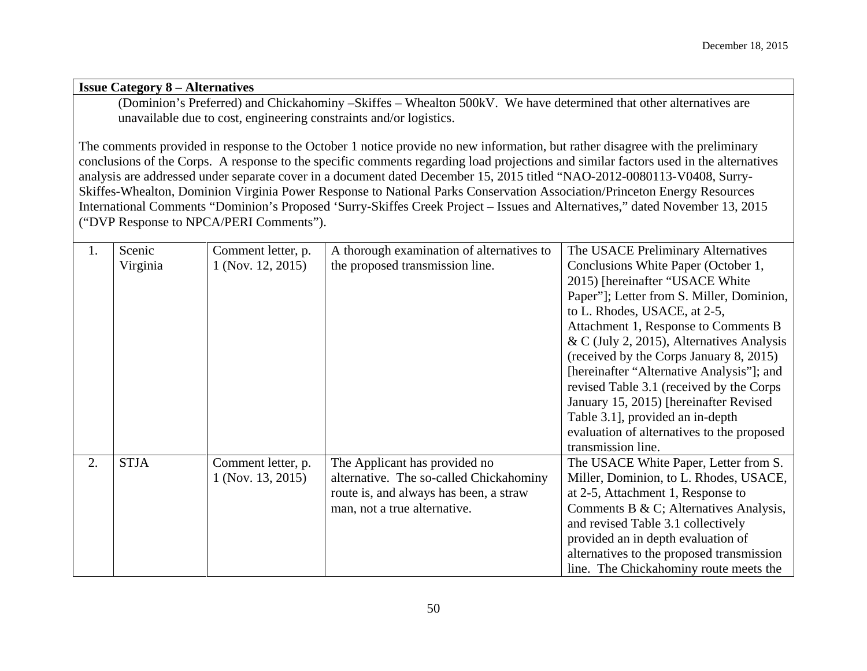#### **Issue Category 8 – Alternatives**

(Dominion's Preferred) and Chickahominy –Skiffes – Whealton 500kV. We have determined that other alternatives are unavailable due to cost, engineering constraints and/or logistics.

The comments provided in response to the October 1 notice provide no new information, but rather disagree with the preliminary conclusions of the Corps. A response to the specific comments regarding load projections and similar factors used in the alternatives analysis are addressed under separate cover in a document dated December 15, 2015 titled "NAO-2012-0080113-V0408, Surry-Skiffes-Whealton, Dominion Virginia Power Response to National Parks Conservation Association/Princeton Energy Resources International Comments "Dominion's Proposed 'Surry-Skiffes Creek Project – Issues and Alternatives," dated November 13, 2015 ("DVP Response to NPCA/PERI Comments").

| 1. | Scenic      | Comment letter, p. | A thorough examination of alternatives to | The USACE Preliminary Alternatives         |
|----|-------------|--------------------|-------------------------------------------|--------------------------------------------|
|    | Virginia    | 1 (Nov. 12, 2015)  | the proposed transmission line.           | Conclusions White Paper (October 1,        |
|    |             |                    |                                           | 2015) [hereinafter "USACE White            |
|    |             |                    |                                           | Paper"]; Letter from S. Miller, Dominion,  |
|    |             |                    |                                           | to L. Rhodes, USACE, at 2-5,               |
|    |             |                    |                                           | Attachment 1, Response to Comments B       |
|    |             |                    |                                           | & C (July 2, 2015), Alternatives Analysis  |
|    |             |                    |                                           | (received by the Corps January 8, 2015)    |
|    |             |                    |                                           | [hereinafter "Alternative Analysis"]; and  |
|    |             |                    |                                           | revised Table 3.1 (received by the Corps   |
|    |             |                    |                                           | January 15, 2015) [hereinafter Revised]    |
|    |             |                    |                                           | Table 3.1, provided an in-depth            |
|    |             |                    |                                           | evaluation of alternatives to the proposed |
|    |             |                    |                                           | transmission line.                         |
| 2. | <b>STJA</b> | Comment letter, p. | The Applicant has provided no             | The USACE White Paper, Letter from S.      |
|    |             | 1 (Nov. 13, 2015)  | alternative. The so-called Chickahominy   | Miller, Dominion, to L. Rhodes, USACE,     |
|    |             |                    | route is, and always has been, a straw    | at 2-5, Attachment 1, Response to          |
|    |             |                    | man, not a true alternative.              | Comments B & C; Alternatives Analysis,     |
|    |             |                    |                                           | and revised Table 3.1 collectively         |
|    |             |                    |                                           | provided an in depth evaluation of         |
|    |             |                    |                                           | alternatives to the proposed transmission  |
|    |             |                    |                                           | line. The Chickahominy route meets the     |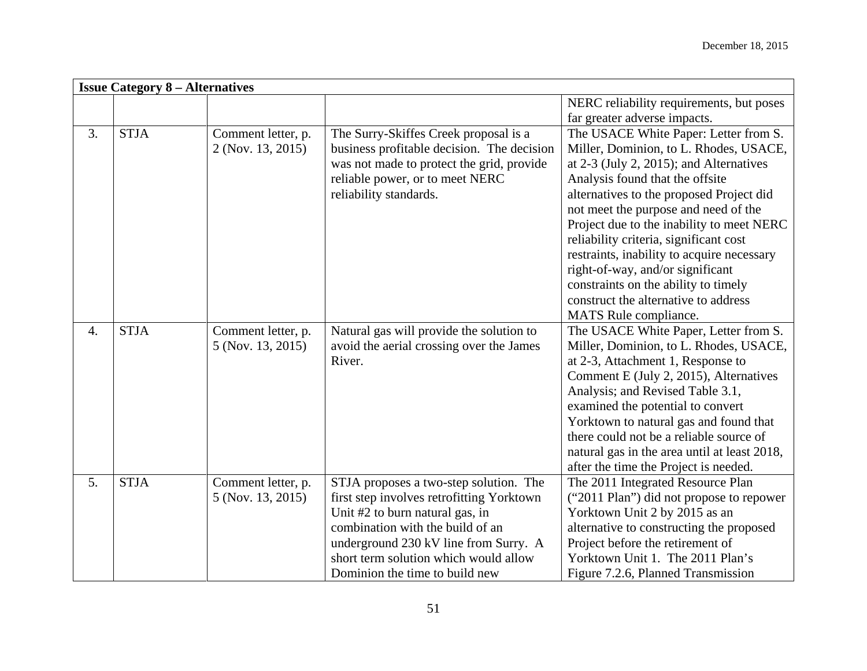|                  | <b>Issue Category 8 – Alternatives</b> |                    |                                            |                                              |  |
|------------------|----------------------------------------|--------------------|--------------------------------------------|----------------------------------------------|--|
|                  |                                        |                    |                                            | NERC reliability requirements, but poses     |  |
|                  |                                        |                    |                                            | far greater adverse impacts.                 |  |
| 3.               | <b>STJA</b>                            | Comment letter, p. | The Surry-Skiffes Creek proposal is a      | The USACE White Paper: Letter from S.        |  |
|                  |                                        | 2 (Nov. 13, 2015)  | business profitable decision. The decision | Miller, Dominion, to L. Rhodes, USACE,       |  |
|                  |                                        |                    | was not made to protect the grid, provide  | at $2-3$ (July 2, 2015); and Alternatives    |  |
|                  |                                        |                    | reliable power, or to meet NERC            | Analysis found that the offsite              |  |
|                  |                                        |                    | reliability standards.                     | alternatives to the proposed Project did     |  |
|                  |                                        |                    |                                            | not meet the purpose and need of the         |  |
|                  |                                        |                    |                                            | Project due to the inability to meet NERC    |  |
|                  |                                        |                    |                                            | reliability criteria, significant cost       |  |
|                  |                                        |                    |                                            | restraints, inability to acquire necessary   |  |
|                  |                                        |                    |                                            | right-of-way, and/or significant             |  |
|                  |                                        |                    |                                            | constraints on the ability to timely         |  |
|                  |                                        |                    |                                            | construct the alternative to address         |  |
|                  |                                        |                    |                                            | MATS Rule compliance.                        |  |
| $\overline{4}$ . | <b>STJA</b>                            | Comment letter, p. | Natural gas will provide the solution to   | The USACE White Paper, Letter from S.        |  |
|                  |                                        | 5 (Nov. 13, 2015)  | avoid the aerial crossing over the James   | Miller, Dominion, to L. Rhodes, USACE,       |  |
|                  |                                        |                    | River.                                     | at 2-3, Attachment 1, Response to            |  |
|                  |                                        |                    |                                            | Comment E (July 2, 2015), Alternatives       |  |
|                  |                                        |                    |                                            | Analysis; and Revised Table 3.1,             |  |
|                  |                                        |                    |                                            | examined the potential to convert            |  |
|                  |                                        |                    |                                            | Yorktown to natural gas and found that       |  |
|                  |                                        |                    |                                            | there could not be a reliable source of      |  |
|                  |                                        |                    |                                            | natural gas in the area until at least 2018, |  |
|                  |                                        |                    |                                            | after the time the Project is needed.        |  |
| 5.               | <b>STJA</b>                            | Comment letter, p. | STJA proposes a two-step solution. The     | The 2011 Integrated Resource Plan            |  |
|                  |                                        | 5 (Nov. 13, 2015)  | first step involves retrofitting Yorktown  | ("2011 Plan") did not propose to repower     |  |
|                  |                                        |                    | Unit #2 to burn natural gas, in            | Yorktown Unit 2 by 2015 as an                |  |
|                  |                                        |                    | combination with the build of an           | alternative to constructing the proposed     |  |
|                  |                                        |                    | underground 230 kV line from Surry. A      | Project before the retirement of             |  |
|                  |                                        |                    | short term solution which would allow      | Yorktown Unit 1. The 2011 Plan's             |  |
|                  |                                        |                    | Dominion the time to build new             | Figure 7.2.6, Planned Transmission           |  |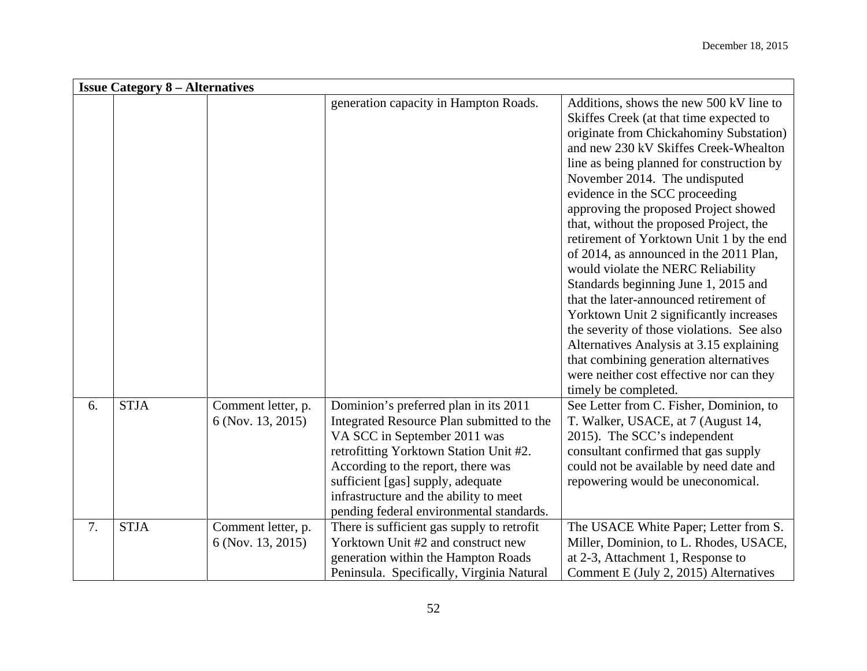|    | <b>Issue Category 8 – Alternatives</b> |                                         |                                                                                                                                                                                                                                                                                                                               |                                                                                                                                                                                                                                                                                                                                                                                                                                                                                                                                                                                                                                                                                                                                                                                                                                              |  |  |
|----|----------------------------------------|-----------------------------------------|-------------------------------------------------------------------------------------------------------------------------------------------------------------------------------------------------------------------------------------------------------------------------------------------------------------------------------|----------------------------------------------------------------------------------------------------------------------------------------------------------------------------------------------------------------------------------------------------------------------------------------------------------------------------------------------------------------------------------------------------------------------------------------------------------------------------------------------------------------------------------------------------------------------------------------------------------------------------------------------------------------------------------------------------------------------------------------------------------------------------------------------------------------------------------------------|--|--|
|    |                                        |                                         | generation capacity in Hampton Roads.                                                                                                                                                                                                                                                                                         | Additions, shows the new 500 kV line to<br>Skiffes Creek (at that time expected to<br>originate from Chickahominy Substation)<br>and new 230 kV Skiffes Creek-Whealton<br>line as being planned for construction by<br>November 2014. The undisputed<br>evidence in the SCC proceeding<br>approving the proposed Project showed<br>that, without the proposed Project, the<br>retirement of Yorktown Unit 1 by the end<br>of 2014, as announced in the 2011 Plan,<br>would violate the NERC Reliability<br>Standards beginning June 1, 2015 and<br>that the later-announced retirement of<br>Yorktown Unit 2 significantly increases<br>the severity of those violations. See also<br>Alternatives Analysis at 3.15 explaining<br>that combining generation alternatives<br>were neither cost effective nor can they<br>timely be completed. |  |  |
| 6. | <b>STJA</b>                            | Comment letter, p.<br>6 (Nov. 13, 2015) | Dominion's preferred plan in its 2011<br>Integrated Resource Plan submitted to the<br>VA SCC in September 2011 was<br>retrofitting Yorktown Station Unit #2.<br>According to the report, there was<br>sufficient [gas] supply, adequate<br>infrastructure and the ability to meet<br>pending federal environmental standards. | See Letter from C. Fisher, Dominion, to<br>T. Walker, USACE, at 7 (August 14,<br>2015). The SCC's independent<br>consultant confirmed that gas supply<br>could not be available by need date and<br>repowering would be uneconomical.                                                                                                                                                                                                                                                                                                                                                                                                                                                                                                                                                                                                        |  |  |
| 7. | <b>STJA</b>                            | Comment letter, p.<br>6 (Nov. 13, 2015) | There is sufficient gas supply to retrofit<br>Yorktown Unit #2 and construct new<br>generation within the Hampton Roads<br>Peninsula. Specifically, Virginia Natural                                                                                                                                                          | The USACE White Paper; Letter from S.<br>Miller, Dominion, to L. Rhodes, USACE,<br>at 2-3, Attachment 1, Response to<br>Comment E (July 2, 2015) Alternatives                                                                                                                                                                                                                                                                                                                                                                                                                                                                                                                                                                                                                                                                                |  |  |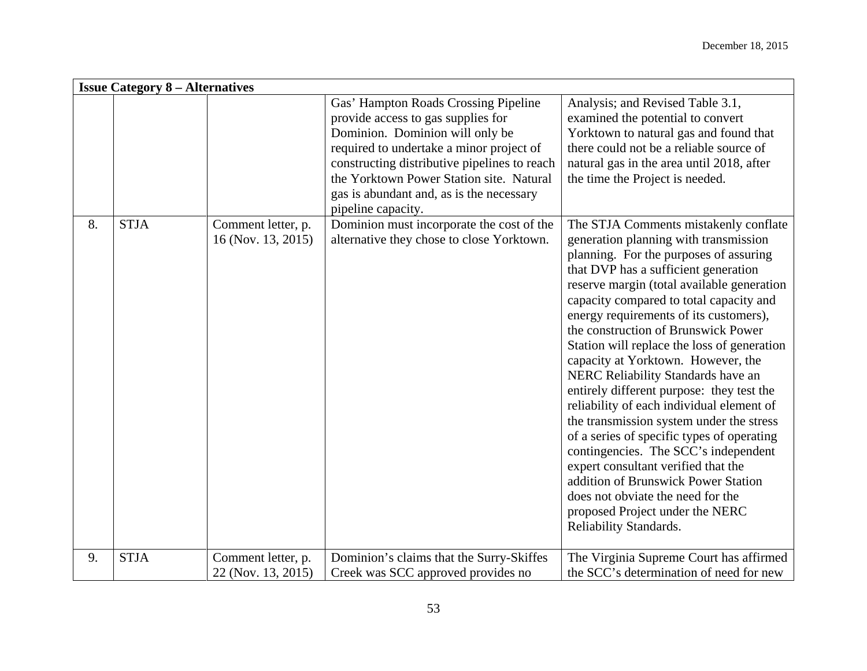| <b>Issue Category 8 – Alternatives</b> |             |                                          |                                                                                                                                                                                                                                                                                                                         |                                                                                                                                                                                                                                                                                                                                                                                                                                                                                                                                                                                                                                                                                                                                                                                                                                                                                   |  |
|----------------------------------------|-------------|------------------------------------------|-------------------------------------------------------------------------------------------------------------------------------------------------------------------------------------------------------------------------------------------------------------------------------------------------------------------------|-----------------------------------------------------------------------------------------------------------------------------------------------------------------------------------------------------------------------------------------------------------------------------------------------------------------------------------------------------------------------------------------------------------------------------------------------------------------------------------------------------------------------------------------------------------------------------------------------------------------------------------------------------------------------------------------------------------------------------------------------------------------------------------------------------------------------------------------------------------------------------------|--|
|                                        |             |                                          | Gas' Hampton Roads Crossing Pipeline<br>provide access to gas supplies for<br>Dominion. Dominion will only be<br>required to undertake a minor project of<br>constructing distributive pipelines to reach<br>the Yorktown Power Station site. Natural<br>gas is abundant and, as is the necessary<br>pipeline capacity. | Analysis; and Revised Table 3.1,<br>examined the potential to convert<br>Yorktown to natural gas and found that<br>there could not be a reliable source of<br>natural gas in the area until 2018, after<br>the time the Project is needed.                                                                                                                                                                                                                                                                                                                                                                                                                                                                                                                                                                                                                                        |  |
| 8.                                     | <b>STJA</b> | Comment letter, p.<br>16 (Nov. 13, 2015) | Dominion must incorporate the cost of the<br>alternative they chose to close Yorktown.                                                                                                                                                                                                                                  | The STJA Comments mistakenly conflate<br>generation planning with transmission<br>planning. For the purposes of assuring<br>that DVP has a sufficient generation<br>reserve margin (total available generation<br>capacity compared to total capacity and<br>energy requirements of its customers),<br>the construction of Brunswick Power<br>Station will replace the loss of generation<br>capacity at Yorktown. However, the<br>NERC Reliability Standards have an<br>entirely different purpose: they test the<br>reliability of each individual element of<br>the transmission system under the stress<br>of a series of specific types of operating<br>contingencies. The SCC's independent<br>expert consultant verified that the<br>addition of Brunswick Power Station<br>does not obviate the need for the<br>proposed Project under the NERC<br>Reliability Standards. |  |
| 9.                                     | <b>STJA</b> | Comment letter, p.<br>22 (Nov. 13, 2015) | Dominion's claims that the Surry-Skiffes<br>Creek was SCC approved provides no                                                                                                                                                                                                                                          | The Virginia Supreme Court has affirmed<br>the SCC's determination of need for new                                                                                                                                                                                                                                                                                                                                                                                                                                                                                                                                                                                                                                                                                                                                                                                                |  |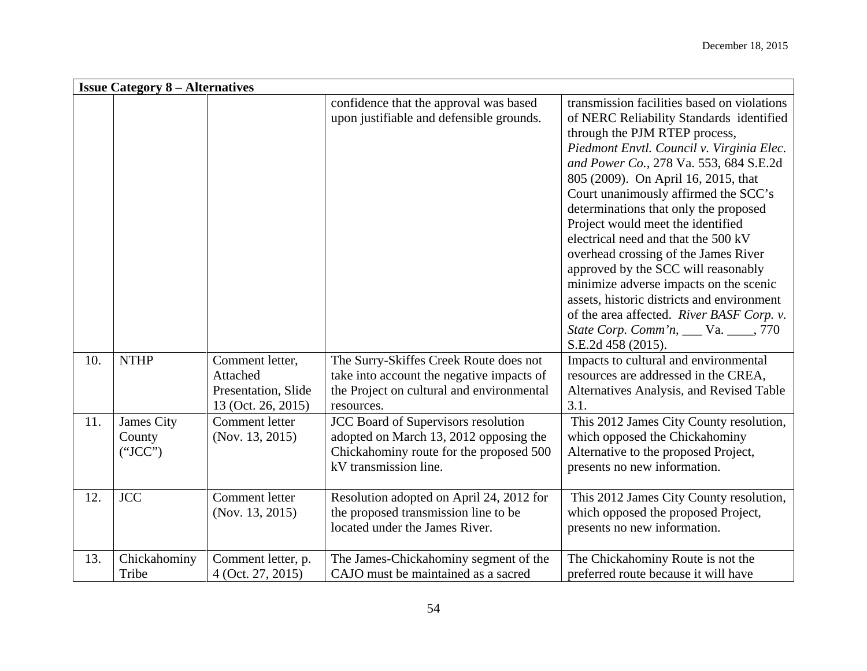|     | <b>Issue Category 8 – Alternatives</b> |                                                                          |                                                                                                                                                          |                                                                                                                                                                                                                                                                                                                                                                                                                                                                                                                                                                                                                                                                                                        |  |
|-----|----------------------------------------|--------------------------------------------------------------------------|----------------------------------------------------------------------------------------------------------------------------------------------------------|--------------------------------------------------------------------------------------------------------------------------------------------------------------------------------------------------------------------------------------------------------------------------------------------------------------------------------------------------------------------------------------------------------------------------------------------------------------------------------------------------------------------------------------------------------------------------------------------------------------------------------------------------------------------------------------------------------|--|
|     |                                        |                                                                          | confidence that the approval was based<br>upon justifiable and defensible grounds.                                                                       | transmission facilities based on violations<br>of NERC Reliability Standards identified<br>through the PJM RTEP process,<br>Piedmont Envtl. Council v. Virginia Elec.<br>and Power Co., 278 Va. 553, 684 S.E.2d<br>805 (2009). On April 16, 2015, that<br>Court unanimously affirmed the SCC's<br>determinations that only the proposed<br>Project would meet the identified<br>electrical need and that the 500 kV<br>overhead crossing of the James River<br>approved by the SCC will reasonably<br>minimize adverse impacts on the scenic<br>assets, historic districts and environment<br>of the area affected. River BASF Corp. v.<br>State Corp. Comm'n, ___ Va. ____, 770<br>S.E.2d 458 (2015). |  |
| 10. | <b>NTHP</b>                            | Comment letter,<br>Attached<br>Presentation, Slide<br>13 (Oct. 26, 2015) | The Surry-Skiffes Creek Route does not<br>take into account the negative impacts of<br>the Project on cultural and environmental<br>resources.           | Impacts to cultural and environmental<br>resources are addressed in the CREA,<br>Alternatives Analysis, and Revised Table<br>3.1.                                                                                                                                                                                                                                                                                                                                                                                                                                                                                                                                                                      |  |
| 11. | James City<br>County<br>("ICC")        | Comment letter<br>(Nov. 13, 2015)                                        | <b>JCC Board of Supervisors resolution</b><br>adopted on March 13, 2012 opposing the<br>Chickahominy route for the proposed 500<br>kV transmission line. | This 2012 James City County resolution,<br>which opposed the Chickahominy<br>Alternative to the proposed Project,<br>presents no new information.                                                                                                                                                                                                                                                                                                                                                                                                                                                                                                                                                      |  |
| 12. | <b>JCC</b>                             | Comment letter<br>(Nov. 13, 2015)                                        | Resolution adopted on April 24, 2012 for<br>the proposed transmission line to be<br>located under the James River.                                       | This 2012 James City County resolution,<br>which opposed the proposed Project,<br>presents no new information.                                                                                                                                                                                                                                                                                                                                                                                                                                                                                                                                                                                         |  |
| 13. | Chickahominy<br>Tribe                  | Comment letter, p.<br>4 (Oct. 27, 2015)                                  | The James-Chickahominy segment of the<br>CAJO must be maintained as a sacred                                                                             | The Chickahominy Route is not the<br>preferred route because it will have                                                                                                                                                                                                                                                                                                                                                                                                                                                                                                                                                                                                                              |  |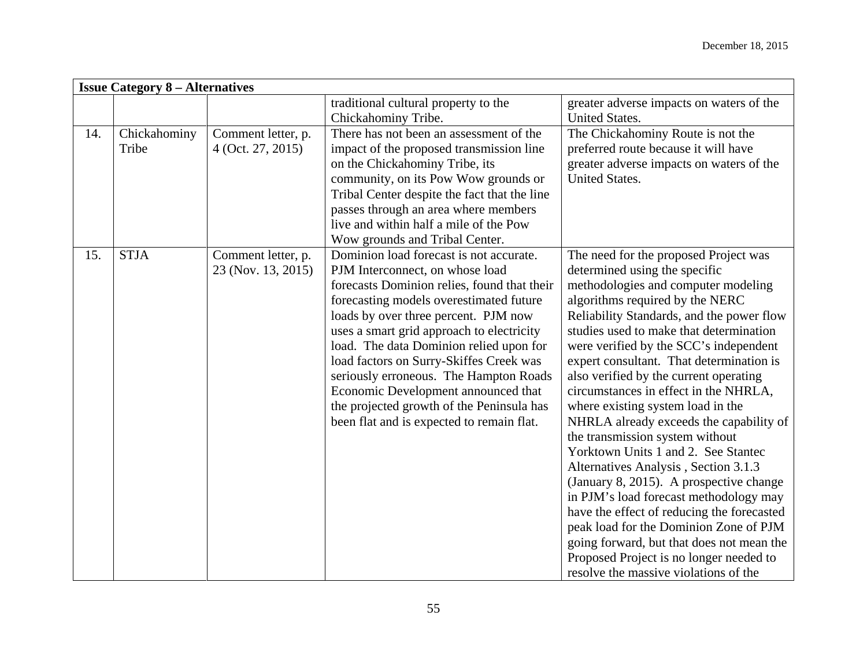| <b>Issue Category 8 – Alternatives</b> |                       |                                          |                                                                                                                                                                                                                                                                                                                                                                                                                                                                                                                            |                                                                                                                                                                                                                                                                                                                                                                                                                                                                                                                                                                                                                                                                                                                                                                                                                                                                                                                                   |  |
|----------------------------------------|-----------------------|------------------------------------------|----------------------------------------------------------------------------------------------------------------------------------------------------------------------------------------------------------------------------------------------------------------------------------------------------------------------------------------------------------------------------------------------------------------------------------------------------------------------------------------------------------------------------|-----------------------------------------------------------------------------------------------------------------------------------------------------------------------------------------------------------------------------------------------------------------------------------------------------------------------------------------------------------------------------------------------------------------------------------------------------------------------------------------------------------------------------------------------------------------------------------------------------------------------------------------------------------------------------------------------------------------------------------------------------------------------------------------------------------------------------------------------------------------------------------------------------------------------------------|--|
|                                        |                       |                                          | traditional cultural property to the<br>Chickahominy Tribe.                                                                                                                                                                                                                                                                                                                                                                                                                                                                | greater adverse impacts on waters of the<br><b>United States.</b>                                                                                                                                                                                                                                                                                                                                                                                                                                                                                                                                                                                                                                                                                                                                                                                                                                                                 |  |
| 14.                                    | Chickahominy<br>Tribe | Comment letter, p.<br>4 (Oct. 27, 2015)  | There has not been an assessment of the<br>impact of the proposed transmission line<br>on the Chickahominy Tribe, its<br>community, on its Pow Wow grounds or<br>Tribal Center despite the fact that the line<br>passes through an area where members<br>live and within half a mile of the Pow<br>Wow grounds and Tribal Center.                                                                                                                                                                                          | The Chickahominy Route is not the<br>preferred route because it will have<br>greater adverse impacts on waters of the<br><b>United States.</b>                                                                                                                                                                                                                                                                                                                                                                                                                                                                                                                                                                                                                                                                                                                                                                                    |  |
| 15.                                    | <b>STJA</b>           | Comment letter, p.<br>23 (Nov. 13, 2015) | Dominion load forecast is not accurate.<br>PJM Interconnect, on whose load<br>forecasts Dominion relies, found that their<br>forecasting models overestimated future<br>loads by over three percent. PJM now<br>uses a smart grid approach to electricity<br>load. The data Dominion relied upon for<br>load factors on Surry-Skiffes Creek was<br>seriously erroneous. The Hampton Roads<br>Economic Development announced that<br>the projected growth of the Peninsula has<br>been flat and is expected to remain flat. | The need for the proposed Project was<br>determined using the specific<br>methodologies and computer modeling<br>algorithms required by the NERC<br>Reliability Standards, and the power flow<br>studies used to make that determination<br>were verified by the SCC's independent<br>expert consultant. That determination is<br>also verified by the current operating<br>circumstances in effect in the NHRLA,<br>where existing system load in the<br>NHRLA already exceeds the capability of<br>the transmission system without<br>Yorktown Units 1 and 2. See Stantec<br>Alternatives Analysis, Section 3.1.3<br>(January 8, 2015). A prospective change<br>in PJM's load forecast methodology may<br>have the effect of reducing the forecasted<br>peak load for the Dominion Zone of PJM<br>going forward, but that does not mean the<br>Proposed Project is no longer needed to<br>resolve the massive violations of the |  |